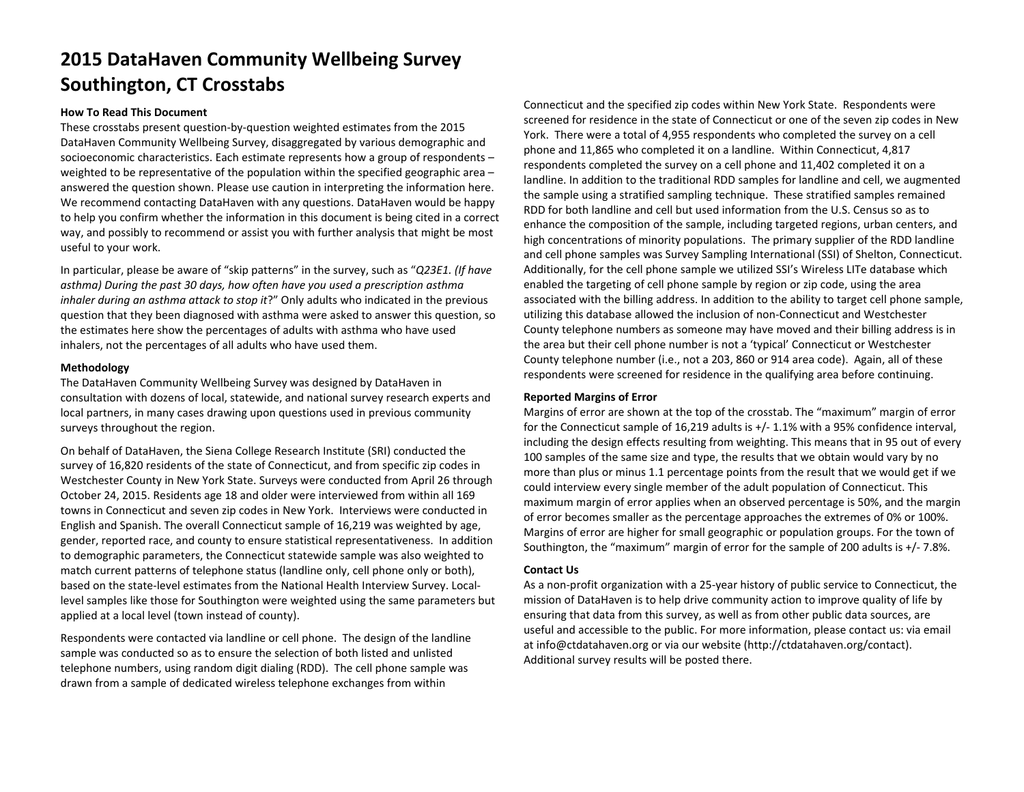# **2015 DataHaven Community Wellbeing Survey Southington, CT Crosstabs**

#### **How To Read This Document**

These crosstabs present question‐by‐question weighted estimates from the 2015 DataHaven Community Wellbeing Survey, disaggregated by various demographic and socioeconomic characteristics. Each estimate represents how <sup>a</sup> group of respondents –weighted to be representative of the population within the specified geographic area – answered the question shown. Please use caution in interpreting the information here. We recommend contacting DataHaven with any questions. DataHaven would be happy to help you confirm whether the information in this document is being cited in <sup>a</sup> correct way, and possibly to recommend or assist you with further analysis that might be most useful to your work.

In particular, please be aware of "skip patterns" in the survey, such as "*Q23E1. (If have asthma) During the past 30 days, how often have you used <sup>a</sup> prescription asthma inhaler during an asthma attack to stop it*?" Only adults who indicated in the previous question that they been diagnosed with asthma were asked to answer this question, so the estimates here show the percentages of adults with asthma who have used inhalers, not the percentages of all adults who have used them.

#### **Methodology**

The DataHaven Community Wellbeing Survey was designed by DataHaven in consultation with dozens of local, statewide, and national survey research experts and local partners, in many cases drawing upon questions used in previous community surveys throughout the region.

On behalf of DataHaven, the Siena College Research Institute (SRI) conducted the survey of 16,820 residents of the state of Connecticut, and from specific zip codes in Westchester County in New York State. Surveys were conducted from April 26 through October 24, 2015. Residents age 18 and older were interviewed from within all 169 towns in Connecticut and seven zip codes in New York. Interviews were conducted in English and Spanish. The overall Connecticut sample of 16,219 was weighted by age, gender, reported race, and county to ensure statistical representativeness. In addition to demographic parameters, the Connecticut statewide sample was also weighted to match current patterns of telephone status (landline only, cell phone only or both), based on the state‐level estimates from the National Health Interview Survey. Local‐ level samples like those for Southington were weighted using the same parameters but applied at <sup>a</sup> local level (town instead of county).

Respondents were contacted via landline or cell phone. The design of the landline sample was conducted so as to ensure the selection of both listed and unlisted telephone numbers, using random digit dialing (RDD). The cell phone sample was drawn from <sup>a</sup> sample of dedicated wireless telephone exchanges from within

Connecticut and the specified zip codes within New York State. Respondents were screened for residence in the state of Connecticut or one of the seven zip codes in New York. There were <sup>a</sup> total of 4,955 respondents who completed the survey on <sup>a</sup> cell phone and 11,865 who completed it on <sup>a</sup> landline. Within Connecticut, 4,817 respondents completed the survey on <sup>a</sup> cell phone and 11,402 completed it on <sup>a</sup> landline. In addition to the traditional RDD samples for landline and cell, we augmented the sample using <sup>a</sup> stratified sampling technique. These stratified samples remained RDD for both landline and cell but used information from the U.S. Census so as to enhance the composition of the sample, including targeted regions, urban centers, and high concentrations of minority populations. The primary supplier of the RDD landline and cell phone samples was Survey Sampling International (SSI) of Shelton, Connecticut. Additionally, for the cell phone sample we utilized SSI's Wireless LITe database which enabled the targeting of cell phone sample by region or zip code, using the area associated with the billing address. In addition to the ability to target cell phone sample, utilizing this database allowed the inclusion of non‐Connecticut and Westchester County telephone numbers as someone may have moved and their billing address is in the area but their cell phone number is not <sup>a</sup> 'typical' Connecticut or Westchester County telephone number (i.e., not <sup>a</sup> 203, 860 or 914 area code). Again, all of these respondents were screened for residence in the qualifying area before continuing.

#### **Reported Margins of Error**

Margins of error are shown at the top of the crosstab. The "maximum" margin of error for the Connecticut sample of 16,219 adults is +/‐ 1.1% with <sup>a</sup> 95% confidence interval, including the design effects resulting from weighting. This means that in 95 out of every 100 samples of the same size and type, the results that we obtain would vary by no more than plus or minus 1.1 percentage points from the result that we would get if we could interview every single member of the adult population of Connecticut. This maximum margin of error applies when an observed percentage is 50%, and the margin of error becomes smaller as the percentage approaches the extremes of 0% or 100%. Margins of error are higher for small geographic or population groups. For the town of Southington, the "maximum" margin of error for the sample of 200 adults is +/‐ 7.8%.

#### **Contact Us**

As a non‐profit organization with <sup>a</sup> 25‐year history of public service to Connecticut, the mission of DataHaven is to help drive community action to improve quality of life by ensuring that data from this survey, as well as from other public data sources, are useful and accessible to the public. For more information, please contact us: via email at info@ctdatahaven.org or via our website (http://ctdatahaven.org/contact). Additional survey results will be posted there.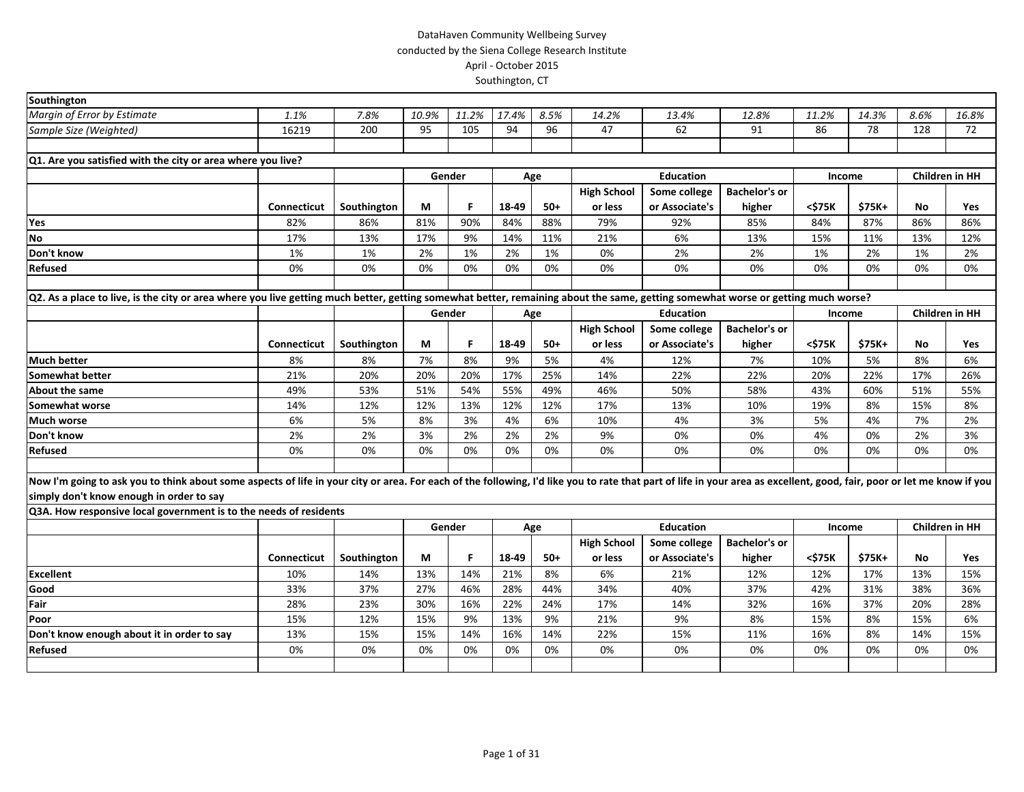| Southington                                                                                                                                                                                                            |             |             |       |        |       |       |                    |                  |                      |        |        |      |                       |
|------------------------------------------------------------------------------------------------------------------------------------------------------------------------------------------------------------------------|-------------|-------------|-------|--------|-------|-------|--------------------|------------------|----------------------|--------|--------|------|-----------------------|
| Margin of Error by Estimate                                                                                                                                                                                            | 1.1%        | 7.8%        | 10.9% | 11.2%  | 17.4% | 8.5%  | 14.2%              | 13.4%            | 12.8%                | 11.2%  | 14.3%  | 8.6% | 16.8%                 |
| Sample Size (Weighted)                                                                                                                                                                                                 | 16219       | 200         | 95    | 105    | 94    | 96    | 47                 | 62               | 91                   | 86     | 78     | 128  | 72                    |
|                                                                                                                                                                                                                        |             |             |       |        |       |       |                    |                  |                      |        |        |      |                       |
| Q1. Are you satisfied with the city or area where you live?                                                                                                                                                            |             |             |       |        |       |       |                    |                  |                      |        |        |      |                       |
|                                                                                                                                                                                                                        |             |             |       | Gender |       | Age   |                    | <b>Education</b> |                      | Income |        |      | <b>Children in HH</b> |
|                                                                                                                                                                                                                        |             |             |       |        |       |       | <b>High School</b> | Some college     | <b>Bachelor's or</b> |        |        |      |                       |
|                                                                                                                                                                                                                        | Connecticut | Southington | М     | F      | 18-49 | $50+$ | or less            | or Associate's   | higher               | <\$75K | \$75K+ | No.  | Yes                   |
| Yes                                                                                                                                                                                                                    | 82%         | 86%         | 81%   | 90%    | 84%   | 88%   | 79%                | 92%              | 85%                  | 84%    | 87%    | 86%  | 86%                   |
| <b>No</b>                                                                                                                                                                                                              | 17%         | 13%         | 17%   | 9%     | 14%   | 11%   | 21%                | 6%               | 13%                  | 15%    | 11%    | 13%  | 12%                   |
| Don't know                                                                                                                                                                                                             | 1%          | 1%          | 2%    | 1%     | 2%    | 1%    | 0%                 | 2%               | 2%                   | 1%     | 2%     | 1%   | 2%                    |
| Refused                                                                                                                                                                                                                | 0%          | 0%          | 0%    | 0%     | 0%    | 0%    | 0%                 | 0%               | 0%                   | 0%     | 0%     | 0%   | 0%                    |
|                                                                                                                                                                                                                        |             |             |       |        |       |       |                    |                  |                      |        |        |      |                       |
| Q2. As a place to live, is the city or area where you live getting much better, getting somewhat better, remaining about the same, getting somewhat worse or getting much worse?                                       |             |             |       |        |       |       |                    |                  |                      |        |        |      |                       |
|                                                                                                                                                                                                                        |             |             |       | Gender |       | Age   |                    | <b>Education</b> |                      | Income |        |      | <b>Children in HH</b> |
|                                                                                                                                                                                                                        |             |             |       |        |       |       | <b>High School</b> | Some college     | <b>Bachelor's or</b> |        |        |      |                       |
|                                                                                                                                                                                                                        | Connecticut | Southington | М     | F      | 18-49 | $50+$ | or less            | or Associate's   | higher               | <\$75K | \$75K+ | No   | Yes                   |
| <b>Much better</b>                                                                                                                                                                                                     | 8%          | 8%          | 7%    | 8%     | 9%    | 5%    | 4%                 | 12%              | 7%                   | 10%    | 5%     | 8%   | 6%                    |
| <b>Somewhat better</b>                                                                                                                                                                                                 | 21%         | 20%         | 20%   | 20%    | 17%   | 25%   | 14%                | 22%              | 22%                  | 20%    | 22%    | 17%  | 26%                   |
| About the same                                                                                                                                                                                                         | 49%         | 53%         | 51%   | 54%    | 55%   | 49%   | 46%                | 50%              | 58%                  | 43%    | 60%    | 51%  | 55%                   |
| Somewhat worse                                                                                                                                                                                                         | 14%         | 12%         | 12%   | 13%    | 12%   | 12%   | 17%                | 13%              | 10%                  | 19%    | 8%     | 15%  | 8%                    |
| <b>Much worse</b>                                                                                                                                                                                                      | 6%          | 5%          | 8%    | 3%     | 4%    | 6%    | 10%                | 4%               | 3%                   | 5%     | 4%     | 7%   | 2%                    |
| Don't know                                                                                                                                                                                                             | 2%          | 2%          | 3%    | 2%     | 2%    | 2%    | 9%                 | 0%               | 0%                   | 4%     | 0%     | 2%   | 3%                    |
| <b>Refused</b>                                                                                                                                                                                                         | 0%          | 0%          | 0%    | 0%     | 0%    | 0%    | 0%                 | 0%               | 0%                   | 0%     | 0%     | 0%   | 0%                    |
|                                                                                                                                                                                                                        |             |             |       |        |       |       |                    |                  |                      |        |        |      |                       |
| Now I'm going to ask you to think about some aspects of life in your city or area. For each of the following, I'd like you to rate that part of life in your area as excellent, good, fair, poor or let me know if you |             |             |       |        |       |       |                    |                  |                      |        |        |      |                       |
| simply don't know enough in order to say                                                                                                                                                                               |             |             |       |        |       |       |                    |                  |                      |        |        |      |                       |
| Q3A. How responsive local government is to the needs of residents                                                                                                                                                      |             |             |       |        |       |       |                    |                  |                      |        |        |      |                       |
|                                                                                                                                                                                                                        |             |             |       | Gender |       | Age   |                    | <b>Education</b> |                      | Income |        |      | <b>Children in HH</b> |
|                                                                                                                                                                                                                        |             |             |       |        |       |       | <b>High School</b> | Some college     | <b>Bachelor's or</b> |        |        |      |                       |
|                                                                                                                                                                                                                        | Connecticut | Southington | М     | F      | 18-49 | $50+$ | or less            | or Associate's   | higher               | <\$75K | \$75K+ | No.  | Yes                   |
| <b>Excellent</b>                                                                                                                                                                                                       | 10%         | 14%         | 13%   | 14%    | 21%   | 8%    | 6%                 | 21%              | 12%                  | 12%    | 17%    | 13%  | 15%                   |
| Good                                                                                                                                                                                                                   | 33%         | 37%         | 27%   | 46%    | 28%   | 44%   | 34%                | 40%              | 37%                  | 42%    | 31%    | 38%  | 36%                   |
| Fair                                                                                                                                                                                                                   | 28%         | 23%         | 30%   | 16%    | 22%   | 24%   | 17%                | 14%              | 32%                  | 16%    | 37%    | 20%  | 28%                   |
| Poor                                                                                                                                                                                                                   | 15%         | 12%         | 15%   | 9%     | 13%   | 9%    | 21%                | 9%               | 8%                   | 15%    | 8%     | 15%  | 6%                    |
| Don't know enough about it in order to say                                                                                                                                                                             | 13%         | 15%         | 15%   | 14%    | 16%   | 14%   | 22%                | 15%              | 11%                  | 16%    | 8%     | 14%  | 15%                   |
| Refused                                                                                                                                                                                                                | 0%          | 0%          | 0%    | 0%     | 0%    | 0%    | 0%                 | 0%               | 0%                   | 0%     | 0%     | 0%   | 0%                    |
|                                                                                                                                                                                                                        |             |             |       |        |       |       |                    |                  |                      |        |        |      |                       |
|                                                                                                                                                                                                                        |             |             |       |        |       |       |                    |                  |                      |        |        |      |                       |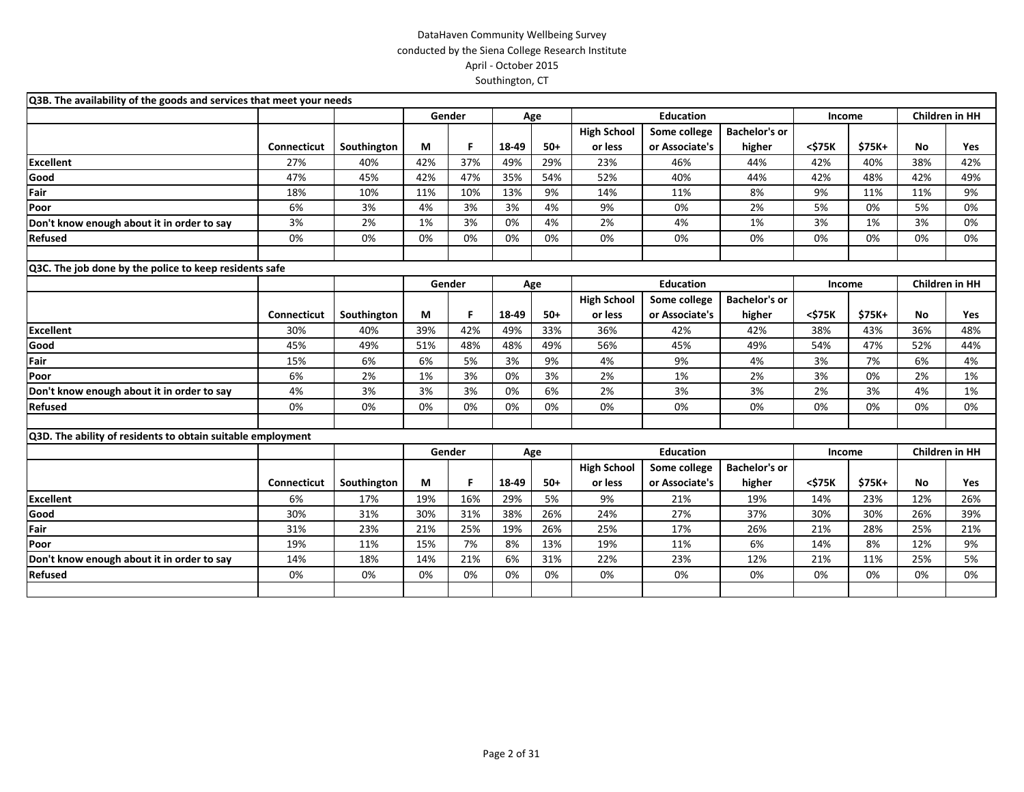| Q3B. The availability of the goods and services that meet your needs |                    |             |        |        |       |       |                    |                  |                      |               |               |                       |     |
|----------------------------------------------------------------------|--------------------|-------------|--------|--------|-------|-------|--------------------|------------------|----------------------|---------------|---------------|-----------------------|-----|
|                                                                      |                    |             |        | Gender |       | Age   |                    | <b>Education</b> |                      | Income        |               | Children in HH        |     |
|                                                                      |                    |             |        |        |       |       | <b>High School</b> | Some college     | <b>Bachelor's or</b> |               |               |                       |     |
|                                                                      | Connecticut        | Southington | М      | F.     | 18-49 | $50+$ | or less            | or Associate's   | higher               | <\$75K        | \$75K+        | No                    | Yes |
| <b>Excellent</b>                                                     | 27%                | 40%         | 42%    | 37%    | 49%   | 29%   | 23%                | 46%              | 44%                  | 42%           | 40%           | 38%                   | 42% |
| Good                                                                 | 47%                | 45%         | 42%    | 47%    | 35%   | 54%   | 52%                | 40%              | 44%                  | 42%           | 48%           | 42%                   | 49% |
| Fair                                                                 | 18%                | 10%         | 11%    | 10%    | 13%   | 9%    | 14%                | 11%              | 8%                   | 9%            | 11%           | 11%                   | 9%  |
| Poor                                                                 | 6%                 | 3%          | 4%     | 3%     | 3%    | 4%    | 9%                 | 0%               | 2%                   | 5%            | 0%            | 5%                    | 0%  |
| Don't know enough about it in order to say                           | 3%                 | 2%          | 1%     | 3%     | 0%    | 4%    | 2%                 | 4%               | 1%                   | 3%            | 1%            | 3%                    | 0%  |
| Refused                                                              | 0%                 | 0%          | 0%     | 0%     | 0%    | 0%    | 0%                 | 0%               | 0%                   | 0%            | 0%            | 0%                    | 0%  |
|                                                                      |                    |             |        |        |       |       |                    |                  |                      |               |               |                       |     |
| Q3C. The job done by the police to keep residents safe               |                    |             |        |        |       |       |                    |                  |                      |               |               |                       |     |
|                                                                      |                    |             | Gender |        |       | Age   |                    | <b>Education</b> |                      | <b>Income</b> |               | <b>Children in HH</b> |     |
|                                                                      |                    |             |        |        |       |       | <b>High School</b> | Some college     | <b>Bachelor's or</b> |               |               |                       |     |
|                                                                      | <b>Connecticut</b> | Southington | М      | F      | 18-49 | $50+$ | or less            | or Associate's   | higher               | <\$75K        | \$75K+        | <b>No</b>             | Yes |
| <b>Excellent</b>                                                     | 30%                | 40%         | 39%    | 42%    | 49%   | 33%   | 36%                | 42%              | 42%                  | 38%           | 43%           | 36%                   | 48% |
| Good                                                                 | 45%                | 49%         | 51%    | 48%    | 48%   | 49%   | 56%                | 45%              | 49%                  | 54%           | 47%           | 52%                   | 44% |
| Fair                                                                 | 15%                | 6%          | 6%     | 5%     | 3%    | 9%    | 4%                 | 9%               | 4%                   | 3%            | 7%            | 6%                    | 4%  |
| Poor                                                                 | 6%                 | 2%          | 1%     | 3%     | 0%    | 3%    | 2%                 | 1%               | 2%                   | 3%            | 0%            | 2%                    | 1%  |
| Don't know enough about it in order to say                           | 4%                 | 3%          | 3%     | 3%     | 0%    | 6%    | 2%                 | 3%               | 3%                   | 2%            | 3%            | 4%                    | 1%  |
| <b>Refused</b>                                                       | 0%                 | 0%          | 0%     | 0%     | 0%    | 0%    | 0%                 | 0%               | 0%                   | 0%            | 0%            | 0%                    | 0%  |
|                                                                      |                    |             |        |        |       |       |                    |                  |                      |               |               |                       |     |
| Q3D. The ability of residents to obtain suitable employment          |                    |             |        |        |       |       |                    |                  |                      |               |               |                       |     |
|                                                                      |                    |             | Gender |        |       | Age   |                    | <b>Education</b> |                      | Income        |               | <b>Children in HH</b> |     |
|                                                                      |                    |             |        |        |       |       | <b>High School</b> | Some college     | <b>Bachelor's or</b> |               |               |                       |     |
|                                                                      | <b>Connecticut</b> | Southington | М      | F.     | 18-49 | $50+$ | or less            | or Associate's   | higher               | <\$75K        | <b>\$75K+</b> | <b>No</b>             | Yes |
| <b>Excellent</b>                                                     | 6%                 | 17%         | 19%    | 16%    | 29%   | 5%    | 9%                 | 21%              | 19%                  | 14%           | 23%           | 12%                   | 26% |
| Good                                                                 | 30%                | 31%         | 30%    | 31%    | 38%   | 26%   | 24%                | 27%              | 37%                  | 30%           | 30%           | 26%                   | 39% |
| Fair                                                                 | 31%                | 23%         | 21%    | 25%    | 19%   | 26%   | 25%                | 17%              | 26%                  | 21%           | 28%           | 25%                   | 21% |
| Poor                                                                 | 19%                | 11%         | 15%    | 7%     | 8%    | 13%   | 19%                | 11%              | 6%                   | 14%           | 8%            | 12%                   | 9%  |
| Don't know enough about it in order to say                           | 14%                | 18%         | 14%    | 21%    | 6%    | 31%   | 22%                | 23%              | 12%                  | 21%           | 11%           | 25%                   | 5%  |
| <b>Refused</b>                                                       | 0%                 | 0%          | 0%     | 0%     | 0%    | 0%    | 0%                 | 0%               | 0%                   | 0%            | 0%            | 0%                    | 0%  |
|                                                                      |                    |             |        |        |       |       |                    |                  |                      |               |               |                       |     |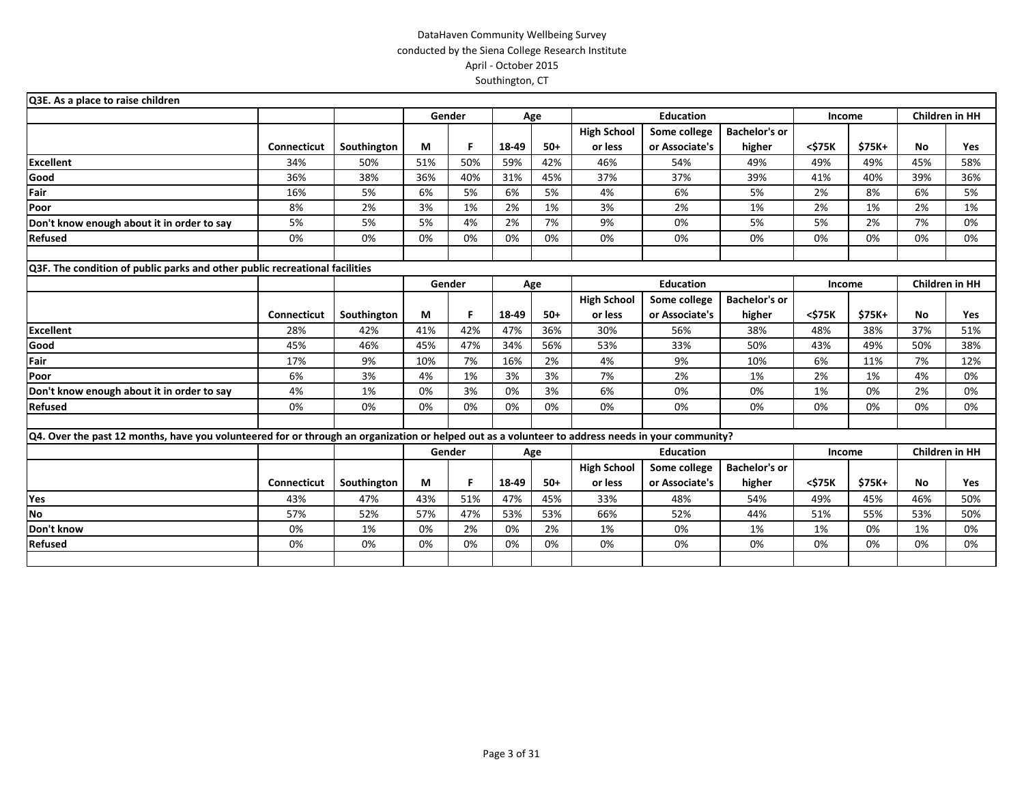| Q3E. As a place to raise children                                                                                                                 |                    |             |     |        |       |       |                    |                  |                      |        |        |     |                       |
|---------------------------------------------------------------------------------------------------------------------------------------------------|--------------------|-------------|-----|--------|-------|-------|--------------------|------------------|----------------------|--------|--------|-----|-----------------------|
|                                                                                                                                                   |                    |             |     | Gender |       | Age   |                    | <b>Education</b> |                      | Income |        |     | <b>Children in HH</b> |
|                                                                                                                                                   |                    |             |     |        |       |       | <b>High School</b> | Some college     | <b>Bachelor's or</b> |        |        |     |                       |
|                                                                                                                                                   | <b>Connecticut</b> | Southington | М   | F      | 18-49 | $50+$ | or less            | or Associate's   | higher               | <\$75K | \$75K+ | No  | Yes                   |
| <b>Excellent</b>                                                                                                                                  | 34%                | 50%         | 51% | 50%    | 59%   | 42%   | 46%                | 54%              | 49%                  | 49%    | 49%    | 45% | 58%                   |
| Good                                                                                                                                              | 36%                | 38%         | 36% | 40%    | 31%   | 45%   | 37%                | 37%              | 39%                  | 41%    | 40%    | 39% | 36%                   |
| Fair                                                                                                                                              | 16%                | 5%          | 6%  | 5%     | 6%    | 5%    | 4%                 | 6%               | 5%                   | 2%     | 8%     | 6%  | 5%                    |
| Poor                                                                                                                                              | 8%                 | 2%          | 3%  | 1%     | 2%    | 1%    | 3%                 | 2%               | 1%                   | 2%     | 1%     | 2%  | 1%                    |
| Don't know enough about it in order to say                                                                                                        | 5%                 | 5%          | 5%  | 4%     | 2%    | 7%    | 9%                 | 0%               | 5%                   | 5%     | 2%     | 7%  | 0%                    |
| <b>Refused</b>                                                                                                                                    | 0%                 | 0%          | 0%  | 0%     | 0%    | 0%    | 0%                 | 0%               | 0%                   | 0%     | 0%     | 0%  | 0%                    |
|                                                                                                                                                   |                    |             |     |        |       |       |                    |                  |                      |        |        |     |                       |
| Q3F. The condition of public parks and other public recreational facilities                                                                       |                    |             |     |        |       |       |                    |                  |                      |        |        |     |                       |
|                                                                                                                                                   |                    |             |     | Gender |       | Age   |                    | <b>Education</b> |                      | Income |        |     | <b>Children in HH</b> |
|                                                                                                                                                   |                    |             |     |        |       |       | <b>High School</b> | Some college     | <b>Bachelor's or</b> |        |        |     |                       |
|                                                                                                                                                   | Connecticut        | Southington | М   | F      | 18-49 | $50+$ | or less            | or Associate's   | higher               | <\$75K | \$75K+ | No  | Yes                   |
| <b>Excellent</b>                                                                                                                                  | 28%                | 42%         | 41% | 42%    | 47%   | 36%   | 30%                | 56%              | 38%                  | 48%    | 38%    | 37% | 51%                   |
| Good                                                                                                                                              | 45%                | 46%         | 45% | 47%    | 34%   | 56%   | 53%                | 33%              | 50%                  | 43%    | 49%    | 50% | 38%                   |
| Fair                                                                                                                                              | 17%                | 9%          | 10% | 7%     | 16%   | 2%    | 4%                 | 9%               | 10%                  | 6%     | 11%    | 7%  | 12%                   |
| Poor                                                                                                                                              | 6%                 | 3%          | 4%  | 1%     | 3%    | 3%    | 7%                 | 2%               | 1%                   | 2%     | 1%     | 4%  | 0%                    |
| Don't know enough about it in order to say                                                                                                        | 4%                 | 1%          | 0%  | 3%     | 0%    | 3%    | 6%                 | 0%               | 0%                   | 1%     | 0%     | 2%  | 0%                    |
| <b>Refused</b>                                                                                                                                    | 0%                 | 0%          | 0%  | 0%     | 0%    | 0%    | 0%                 | 0%               | 0%                   | 0%     | 0%     | 0%  | 0%                    |
|                                                                                                                                                   |                    |             |     |        |       |       |                    |                  |                      |        |        |     |                       |
| Q4. Over the past 12 months, have you volunteered for or through an organization or helped out as a volunteer to address needs in your community? |                    |             |     |        |       |       |                    |                  |                      |        |        |     |                       |
|                                                                                                                                                   |                    |             |     | Gender |       | Age   |                    | <b>Education</b> |                      | Income |        |     | Children in HH        |
|                                                                                                                                                   |                    |             |     |        |       |       | <b>High School</b> | Some college     | <b>Bachelor's or</b> |        |        |     |                       |
|                                                                                                                                                   | <b>Connecticut</b> | Southington | M   | F      | 18-49 | $50+$ | or less            | or Associate's   | higher               | <\$75K | \$75K+ | No  | Yes                   |
| Yes                                                                                                                                               | 43%                | 47%         | 43% | 51%    | 47%   | 45%   | 33%                | 48%              | 54%                  | 49%    | 45%    | 46% | 50%                   |
| No                                                                                                                                                | 57%                | 52%         | 57% | 47%    | 53%   | 53%   | 66%                | 52%              | 44%                  | 51%    | 55%    | 53% | 50%                   |
| Don't know                                                                                                                                        | 0%                 | 1%          | 0%  | 2%     | 0%    | 2%    | 1%                 | 0%               | 1%                   | 1%     | 0%     | 1%  | 0%                    |
| <b>Refused</b>                                                                                                                                    | 0%                 | 0%          | 0%  | 0%     | 0%    | 0%    | 0%                 | 0%               | 0%                   | 0%     | 0%     | 0%  | 0%                    |
|                                                                                                                                                   |                    |             |     |        |       |       |                    |                  |                      |        |        |     |                       |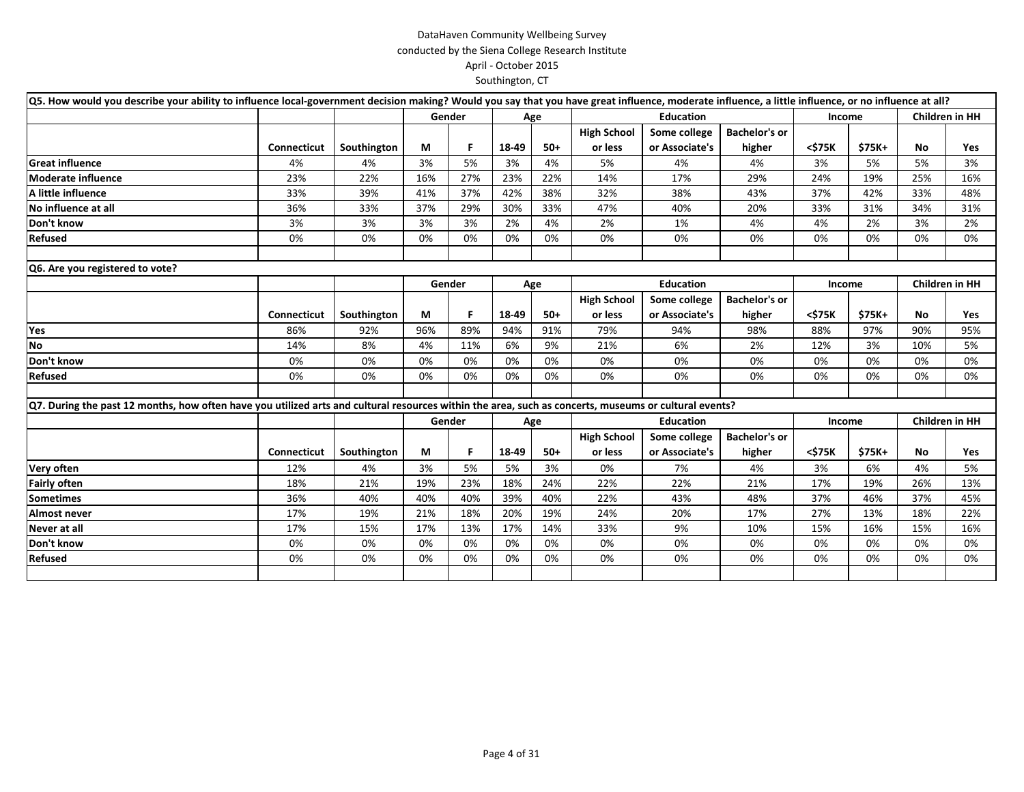| Q5. How would you describe your ability to influence local-government decision making? Would you say that you have great influence, moderate influence, a little influence, or no influence at all? |                    |             |     |        |       |       |                    |                  |                      |        |         |                       |                       |
|-----------------------------------------------------------------------------------------------------------------------------------------------------------------------------------------------------|--------------------|-------------|-----|--------|-------|-------|--------------------|------------------|----------------------|--------|---------|-----------------------|-----------------------|
|                                                                                                                                                                                                     |                    |             |     | Gender |       | Age   |                    | <b>Education</b> |                      | Income |         |                       | <b>Children in HH</b> |
|                                                                                                                                                                                                     |                    |             |     |        |       |       | <b>High School</b> | Some college     | <b>Bachelor's or</b> |        |         |                       |                       |
|                                                                                                                                                                                                     | Connecticut        | Southington | М   | F.     | 18-49 | $50+$ | or less            | or Associate's   | higher               | <\$75K | $$75K+$ | No                    | Yes                   |
| <b>Great influence</b>                                                                                                                                                                              | 4%                 | 4%          | 3%  | 5%     | 3%    | 4%    | 5%                 | 4%               | 4%                   | 3%     | 5%      | 5%                    | 3%                    |
| <b>Moderate influence</b>                                                                                                                                                                           | 23%                | 22%         | 16% | 27%    | 23%   | 22%   | 14%                | 17%              | 29%                  | 24%    | 19%     | 25%                   | 16%                   |
| A little influence                                                                                                                                                                                  | 33%                | 39%         | 41% | 37%    | 42%   | 38%   | 32%                | 38%              | 43%                  | 37%    | 42%     | 33%                   | 48%                   |
| No influence at all                                                                                                                                                                                 | 36%                | 33%         | 37% | 29%    | 30%   | 33%   | 47%                | 40%              | 20%                  | 33%    | 31%     | 34%                   | 31%                   |
| Don't know                                                                                                                                                                                          | 3%                 | 3%          | 3%  | 3%     | 2%    | 4%    | 2%                 | 1%               | 4%                   | 4%     | 2%      | 3%                    | 2%                    |
| <b>Refused</b>                                                                                                                                                                                      | 0%                 | 0%          | 0%  | 0%     | 0%    | 0%    | 0%                 | 0%               | 0%                   | 0%     | 0%      | 0%                    | 0%                    |
|                                                                                                                                                                                                     |                    |             |     |        |       |       |                    |                  |                      |        |         |                       |                       |
| Q6. Are you registered to vote?                                                                                                                                                                     |                    |             |     |        |       |       |                    |                  |                      |        |         |                       |                       |
|                                                                                                                                                                                                     |                    |             |     | Gender |       | Age   |                    | <b>Education</b> |                      | Income |         | <b>Children in HH</b> |                       |
|                                                                                                                                                                                                     |                    |             |     |        |       |       | <b>High School</b> | Some college     | <b>Bachelor's or</b> |        |         |                       |                       |
|                                                                                                                                                                                                     | Connecticut        | Southington | М   | F.     | 18-49 | $50+$ | or less            | or Associate's   | higher               | <\$75K | $$75K+$ | No                    | Yes                   |
| Yes                                                                                                                                                                                                 | 86%                | 92%         | 96% | 89%    | 94%   | 91%   | 79%                | 94%              | 98%                  | 88%    | 97%     | 90%                   | 95%                   |
| No                                                                                                                                                                                                  | 14%                | 8%          | 4%  | 11%    | 6%    | 9%    | 21%                | 6%               | 2%                   | 12%    | 3%      | 10%                   | 5%                    |
| Don't know                                                                                                                                                                                          | 0%                 | 0%          | 0%  | 0%     | 0%    | 0%    | 0%                 | 0%               | 0%                   | 0%     | 0%      | 0%                    | 0%                    |
| <b>Refused</b>                                                                                                                                                                                      | 0%                 | 0%          | 0%  | 0%     | 0%    | 0%    | 0%                 | 0%               | 0%                   | 0%     | 0%      | 0%                    | 0%                    |
|                                                                                                                                                                                                     |                    |             |     |        |       |       |                    |                  |                      |        |         |                       |                       |
| Q7. During the past 12 months, how often have you utilized arts and cultural resources within the area, such as concerts, museums or cultural events?                                               |                    |             |     |        |       |       |                    |                  |                      |        |         |                       |                       |
|                                                                                                                                                                                                     |                    |             |     | Gender |       | Age   |                    | <b>Education</b> |                      | Income |         | <b>Children in HH</b> |                       |
|                                                                                                                                                                                                     |                    |             |     |        |       |       | <b>High School</b> | Some college     | <b>Bachelor's or</b> |        |         |                       |                       |
|                                                                                                                                                                                                     | <b>Connecticut</b> | Southington | М   | F.     | 18-49 | $50+$ | or less            | or Associate's   | higher               | <\$75K | \$75K+  | No                    | Yes                   |
| Very often                                                                                                                                                                                          | 12%                | 4%          | 3%  | 5%     | 5%    | 3%    | 0%                 | 7%               | 4%                   | 3%     | 6%      | 4%                    | 5%                    |
| <b>Fairly often</b>                                                                                                                                                                                 | 18%                | 21%         | 19% | 23%    | 18%   | 24%   | 22%                | 22%              | 21%                  | 17%    | 19%     | 26%                   | 13%                   |
| <b>Sometimes</b>                                                                                                                                                                                    | 36%                | 40%         | 40% | 40%    | 39%   | 40%   | 22%                | 43%              | 48%                  | 37%    | 46%     | 37%                   | 45%                   |
| Almost never                                                                                                                                                                                        | 17%                | 19%         | 21% | 18%    | 20%   | 19%   | 24%                | 20%              | 17%                  | 27%    | 13%     | 18%                   | 22%                   |
| Never at all                                                                                                                                                                                        | 17%                | 15%         | 17% | 13%    | 17%   | 14%   | 33%                | 9%               | 10%                  | 15%    | 16%     | 15%                   | 16%                   |
| Don't know                                                                                                                                                                                          | 0%                 | 0%          | 0%  | 0%     | 0%    | 0%    | 0%                 | 0%               | 0%                   | 0%     | 0%      | 0%                    | 0%                    |
| Refused                                                                                                                                                                                             | 0%                 | 0%          | 0%  | 0%     | 0%    | 0%    | 0%                 | 0%               | 0%                   | 0%     | 0%      | 0%                    | 0%                    |
|                                                                                                                                                                                                     |                    |             |     |        |       |       |                    |                  |                      |        |         |                       |                       |
|                                                                                                                                                                                                     |                    |             |     |        |       |       |                    |                  |                      |        |         |                       |                       |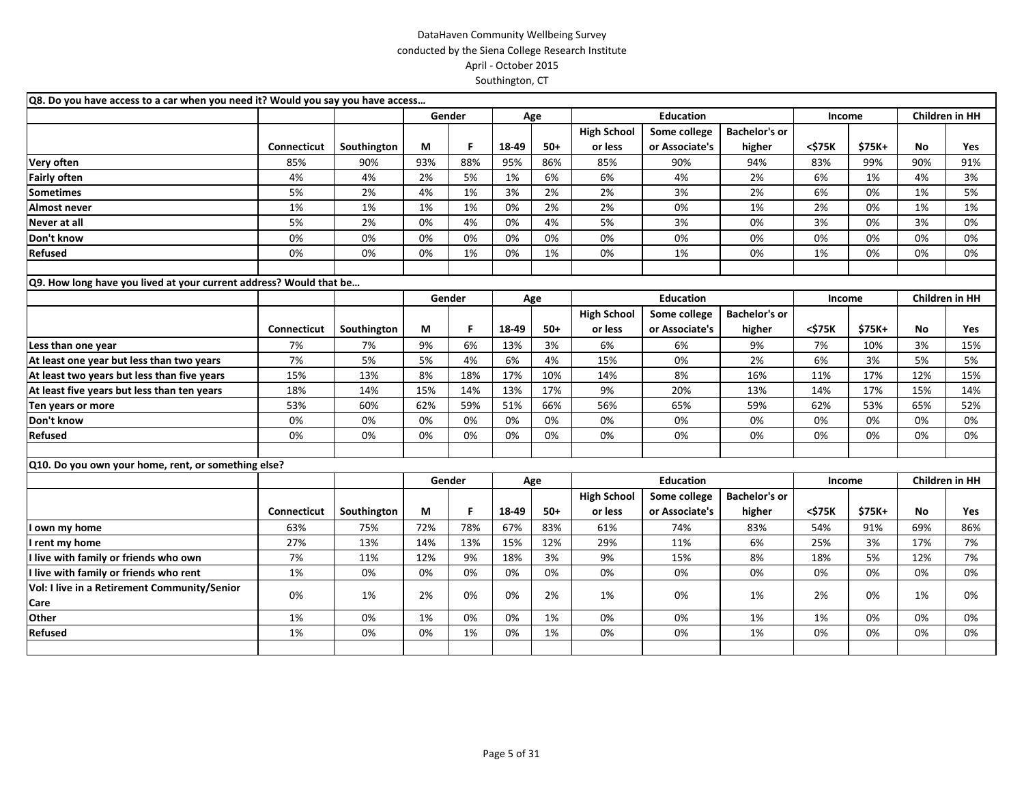| Q8. Do you have access to a car when you need it? Would you say you have access |                    |             |     |        |       |       |                    |                  |                      |        |        |     |                       |
|---------------------------------------------------------------------------------|--------------------|-------------|-----|--------|-------|-------|--------------------|------------------|----------------------|--------|--------|-----|-----------------------|
|                                                                                 |                    |             |     | Gender |       | Age   |                    | <b>Education</b> |                      | Income |        |     | <b>Children in HH</b> |
|                                                                                 |                    |             |     |        |       |       | <b>High School</b> | Some college     | <b>Bachelor's or</b> |        |        |     |                       |
|                                                                                 | <b>Connecticut</b> | Southington | М   | F.     | 18-49 | $50+$ | or less            | or Associate's   | higher               | <\$75K | \$75K+ | No  | Yes                   |
| Very often                                                                      | 85%                | 90%         | 93% | 88%    | 95%   | 86%   | 85%                | 90%              | 94%                  | 83%    | 99%    | 90% | 91%                   |
| <b>Fairly often</b>                                                             | 4%                 | 4%          | 2%  | 5%     | 1%    | 6%    | 6%                 | 4%               | 2%                   | 6%     | 1%     | 4%  | 3%                    |
| <b>Sometimes</b>                                                                | 5%                 | 2%          | 4%  | 1%     | 3%    | 2%    | 2%                 | 3%               | 2%                   | 6%     | 0%     | 1%  | 5%                    |
| Almost never                                                                    | 1%                 | 1%          | 1%  | 1%     | 0%    | 2%    | 2%                 | 0%               | 1%                   | 2%     | 0%     | 1%  | 1%                    |
| Never at all                                                                    | 5%                 | 2%          | 0%  | 4%     | 0%    | 4%    | 5%                 | 3%               | 0%                   | 3%     | 0%     | 3%  | 0%                    |
| Don't know                                                                      | 0%                 | 0%          | 0%  | 0%     | 0%    | 0%    | 0%                 | 0%               | 0%                   | 0%     | 0%     | 0%  | 0%                    |
| Refused                                                                         | 0%                 | 0%          | 0%  | 1%     | 0%    | 1%    | 0%                 | 1%               | 0%                   | 1%     | 0%     | 0%  | 0%                    |
|                                                                                 |                    |             |     |        |       |       |                    |                  |                      |        |        |     |                       |
| Q9. How long have you lived at your current address? Would that be              |                    |             |     |        |       |       |                    |                  |                      |        |        |     |                       |
|                                                                                 |                    |             |     | Gender |       | Age   |                    | <b>Education</b> |                      | Income |        |     | <b>Children in HH</b> |
|                                                                                 |                    |             |     |        |       |       | <b>High School</b> | Some college     | <b>Bachelor's or</b> |        |        |     |                       |
|                                                                                 | Connecticut        | Southington | М   | F.     | 18-49 | $50+$ | or less            | or Associate's   | higher               | <\$75K | \$75K+ | No  | Yes                   |
| Less than one year                                                              | 7%                 | 7%          | 9%  | 6%     | 13%   | 3%    | 6%                 | 6%               | 9%                   | 7%     | 10%    | 3%  | 15%                   |
| At least one year but less than two years                                       | 7%                 | 5%          | 5%  | 4%     | 6%    | 4%    | 15%                | 0%               | 2%                   | 6%     | 3%     | 5%  | 5%                    |
| At least two years but less than five years                                     | 15%                | 13%         | 8%  | 18%    | 17%   | 10%   | 14%                | 8%               | 16%                  | 11%    | 17%    | 12% | 15%                   |
| At least five years but less than ten years                                     | 18%                | 14%         | 15% | 14%    | 13%   | 17%   | 9%                 | 20%              | 13%                  | 14%    | 17%    | 15% | 14%                   |
| Ten years or more                                                               | 53%                | 60%         | 62% | 59%    | 51%   | 66%   | 56%                | 65%              | 59%                  | 62%    | 53%    | 65% | 52%                   |
| Don't know                                                                      | $0\%$              | 0%          | 0%  | 0%     | 0%    | 0%    | 0%                 | 0%               | 0%                   | 0%     | 0%     | 0%  | 0%                    |
| Refused                                                                         | 0%                 | 0%          | 0%  | 0%     | 0%    | 0%    | 0%                 | 0%               | 0%                   | 0%     | 0%     | 0%  | 0%                    |
|                                                                                 |                    |             |     |        |       |       |                    |                  |                      |        |        |     |                       |
| Q10. Do you own your home, rent, or something else?                             |                    |             |     |        |       |       |                    |                  |                      |        |        |     |                       |
|                                                                                 |                    |             |     | Gender |       | Age   |                    | <b>Education</b> |                      | Income |        |     | Children in HH        |
|                                                                                 |                    |             |     |        |       |       | <b>High School</b> | Some college     | <b>Bachelor's or</b> |        |        |     |                       |
|                                                                                 | Connecticut        | Southington | М   | F.     | 18-49 | $50+$ | or less            | or Associate's   | higher               | <\$75K | \$75K+ | No  | <b>Yes</b>            |
| I own my home                                                                   | 63%                | 75%         | 72% | 78%    | 67%   | 83%   | 61%                | 74%              | 83%                  | 54%    | 91%    | 69% | 86%                   |
| I rent my home                                                                  | 27%                | 13%         | 14% | 13%    | 15%   | 12%   | 29%                | 11%              | 6%                   | 25%    | 3%     | 17% | 7%                    |
| I live with family or friends who own                                           | 7%                 | 11%         | 12% | 9%     | 18%   | 3%    | 9%                 | 15%              | 8%                   | 18%    | 5%     | 12% | 7%                    |
| I live with family or friends who rent                                          | 1%                 | 0%          | 0%  | 0%     | 0%    | 0%    | 0%                 | 0%               | 0%                   | 0%     | 0%     | 0%  | 0%                    |
| Vol: I live in a Retirement Community/Senior                                    |                    |             |     |        |       |       |                    |                  |                      |        | 0%     |     |                       |
| Care                                                                            | 0%                 | 1%          | 2%  | 0%     | 0%    | 2%    | 1%                 | 0%               | 1%                   | 2%     |        | 1%  | 0%                    |
| Other                                                                           | 1%                 | 0%          | 1%  | 0%     | 0%    | 1%    | 0%                 | 0%               | 1%                   | 1%     | 0%     | 0%  | 0%                    |
| Refused                                                                         | 1%                 | 0%          | 0%  | 1%     | 0%    | 1%    | 0%                 | 0%               | 1%                   | 0%     | 0%     | 0%  | 0%                    |
|                                                                                 |                    |             |     |        |       |       |                    |                  |                      |        |        |     |                       |
|                                                                                 |                    |             |     |        |       |       |                    |                  |                      |        |        |     |                       |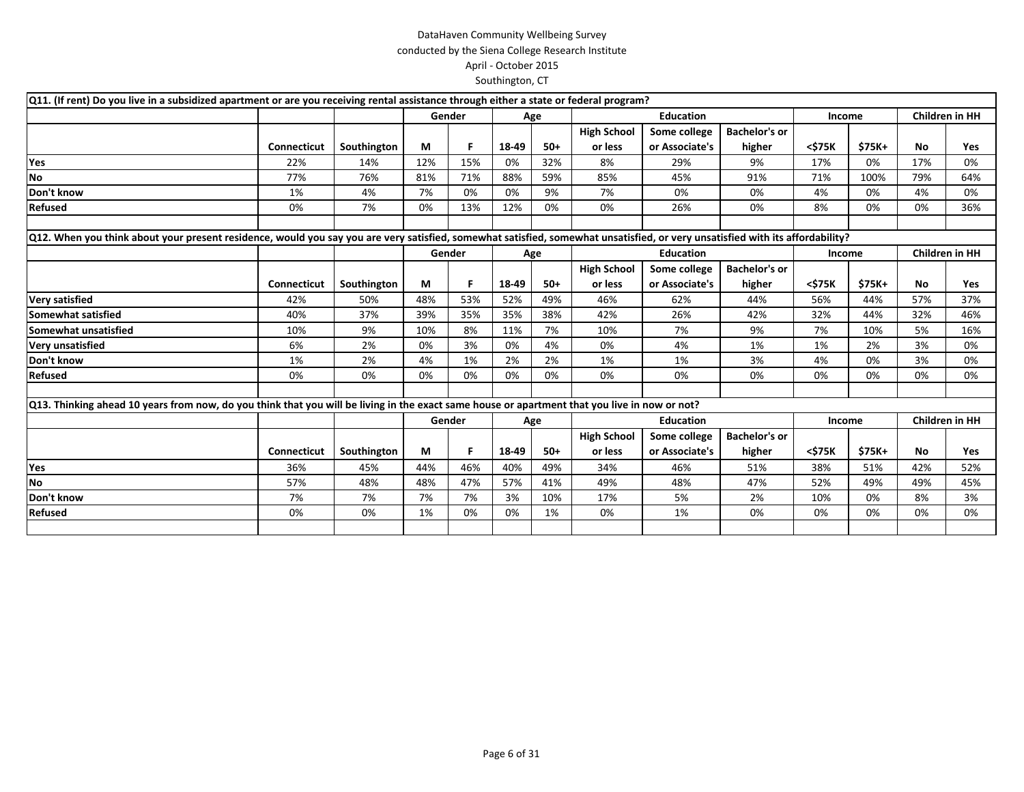| Q11. (If rent) Do you live in a subsidized apartment or are you receiving rental assistance through either a state or federal program?                                        |                    |             |     |        |       |       |                    |                  |                      |        |        |                       |     |
|-------------------------------------------------------------------------------------------------------------------------------------------------------------------------------|--------------------|-------------|-----|--------|-------|-------|--------------------|------------------|----------------------|--------|--------|-----------------------|-----|
|                                                                                                                                                                               |                    |             |     | Gender |       | Age   |                    | <b>Education</b> |                      | Income |        | Children in HH        |     |
|                                                                                                                                                                               |                    |             |     |        |       |       | <b>High School</b> | Some college     | <b>Bachelor's or</b> |        |        |                       |     |
|                                                                                                                                                                               | <b>Connecticut</b> | Southington | M   | F      | 18-49 | $50+$ | or less            | or Associate's   | higher               | <\$75K | \$75K+ | No                    | Yes |
| Yes                                                                                                                                                                           | 22%                | 14%         | 12% | 15%    | 0%    | 32%   | 8%                 | 29%              | 9%                   | 17%    | 0%     | 17%                   | 0%  |
| <b>No</b>                                                                                                                                                                     | 77%                | 76%         | 81% | 71%    | 88%   | 59%   | 85%                | 45%              | 91%                  | 71%    | 100%   | 79%                   | 64% |
| Don't know                                                                                                                                                                    | 1%                 | 4%          | 7%  | 0%     | 0%    | 9%    | 7%                 | 0%               | 0%                   | 4%     | 0%     | 4%                    | 0%  |
| <b>Refused</b>                                                                                                                                                                | 0%                 | 7%          | 0%  | 13%    | 12%   | 0%    | 0%                 | 26%              | 0%                   | 8%     | 0%     | 0%                    | 36% |
|                                                                                                                                                                               |                    |             |     |        |       |       |                    |                  |                      |        |        |                       |     |
| Q12. When you think about your present residence, would you say you are very satisfied, somewhat satisfied, somewhat unsatisfied, or very unsatisfied with its affordability? |                    |             |     |        |       |       |                    |                  |                      |        |        |                       |     |
|                                                                                                                                                                               |                    |             |     | Gender |       | Age   |                    | <b>Education</b> |                      | Income |        | <b>Children in HH</b> |     |
|                                                                                                                                                                               |                    |             |     |        |       |       | <b>High School</b> | Some college     | <b>Bachelor's or</b> |        |        |                       |     |
|                                                                                                                                                                               | Connecticut        | Southington | М   | F      | 18-49 | $50+$ | or less            | or Associate's   | higher               | <\$75K | \$75K+ | No                    | Yes |
| <b>Very satisfied</b>                                                                                                                                                         | 42%                | 50%         | 48% | 53%    | 52%   | 49%   | 46%                | 62%              | 44%                  | 56%    | 44%    | 57%                   | 37% |
| Somewhat satisfied                                                                                                                                                            | 40%                | 37%         | 39% | 35%    | 35%   | 38%   | 42%                | 26%              | 42%                  | 32%    | 44%    | 32%                   | 46% |
| Somewhat unsatisfied                                                                                                                                                          | 10%                | 9%          | 10% | 8%     | 11%   | 7%    | 10%                | 7%               | 9%                   | 7%     | 10%    | 5%                    | 16% |
| <b>Very unsatisfied</b>                                                                                                                                                       | 6%                 | 2%          | 0%  | 3%     | 0%    | 4%    | 0%                 | 4%               | 1%                   | 1%     | 2%     | 3%                    | 0%  |
| Don't know                                                                                                                                                                    | 1%                 | 2%          | 4%  | 1%     | 2%    | 2%    | 1%                 | 1%               | 3%                   | 4%     | 0%     | 3%                    | 0%  |
| <b>Refused</b>                                                                                                                                                                | 0%                 | 0%          | 0%  | 0%     | 0%    | 0%    | 0%                 | 0%               | 0%                   | 0%     | 0%     | 0%                    | 0%  |
|                                                                                                                                                                               |                    |             |     |        |       |       |                    |                  |                      |        |        |                       |     |
| Q13. Thinking ahead 10 years from now, do you think that you will be living in the exact same house or apartment that you live in now or not?                                 |                    |             |     |        |       |       |                    |                  |                      |        |        |                       |     |
|                                                                                                                                                                               |                    |             |     | Gender |       | Age   |                    | <b>Education</b> |                      | Income |        | <b>Children in HH</b> |     |
|                                                                                                                                                                               |                    |             |     |        |       |       | <b>High School</b> | Some college     | <b>Bachelor's or</b> |        |        |                       |     |
|                                                                                                                                                                               | Connecticut        | Southington | М   | F      | 18-49 | $50+$ | or less            | or Associate's   | higher               | <\$75K | \$75K+ | <b>No</b>             | Yes |
| Yes                                                                                                                                                                           | 36%                | 45%         | 44% | 46%    | 40%   | 49%   | 34%                | 46%              | 51%                  | 38%    | 51%    | 42%                   | 52% |
| No                                                                                                                                                                            | 57%                | 48%         | 48% | 47%    | 57%   | 41%   | 49%                | 48%              | 47%                  | 52%    | 49%    | 49%                   | 45% |
| Don't know                                                                                                                                                                    | 7%                 | 7%          | 7%  | 7%     | 3%    | 10%   | 17%                | 5%               | 2%                   | 10%    | 0%     | 8%                    | 3%  |
| <b>Refused</b>                                                                                                                                                                | 0%                 | 0%          | 1%  | 0%     | 0%    | 1%    | 0%                 | 1%               | 0%                   | 0%     | 0%     | 0%                    | 0%  |
|                                                                                                                                                                               |                    |             |     |        |       |       |                    |                  |                      |        |        |                       |     |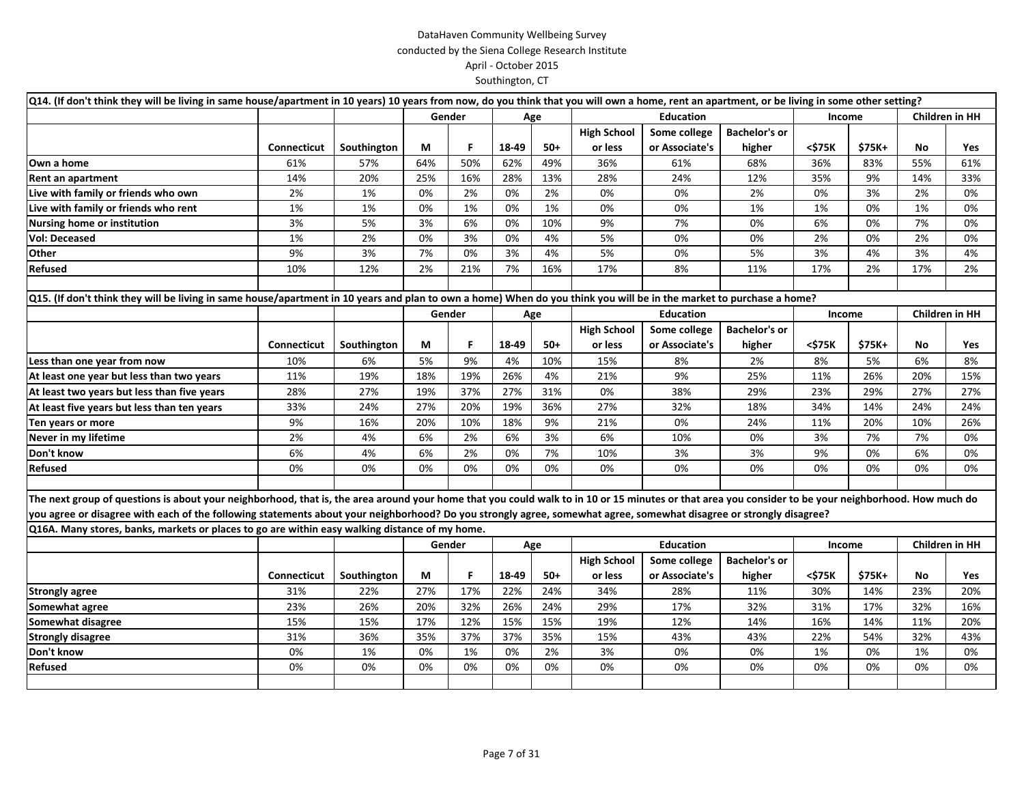| Q14. (If don't think they will be living in same house/apartment in 10 years) 10 years from now, do you think that you will own a home, rent an apartment, or be living in some other setting?       |                    |             |     |        |       |       |                    |                  |                      |        |        |     |                       |
|------------------------------------------------------------------------------------------------------------------------------------------------------------------------------------------------------|--------------------|-------------|-----|--------|-------|-------|--------------------|------------------|----------------------|--------|--------|-----|-----------------------|
|                                                                                                                                                                                                      |                    |             |     | Gender |       | Age   |                    | <b>Education</b> |                      | Income |        |     | <b>Children in HH</b> |
|                                                                                                                                                                                                      |                    |             |     |        |       |       | <b>High School</b> | Some college     | <b>Bachelor's or</b> |        |        |     |                       |
|                                                                                                                                                                                                      | <b>Connecticut</b> | Southington | М   | F      | 18-49 | $50+$ | or less            | or Associate's   | higher               | <\$75K | \$75K+ | No  | Yes                   |
| Own a home                                                                                                                                                                                           | 61%                | 57%         | 64% | 50%    | 62%   | 49%   | 36%                | 61%              | 68%                  | 36%    | 83%    | 55% | 61%                   |
| Rent an apartment                                                                                                                                                                                    | 14%                | 20%         | 25% | 16%    | 28%   | 13%   | 28%                | 24%              | 12%                  | 35%    | 9%     | 14% | 33%                   |
| Live with family or friends who own                                                                                                                                                                  | 2%                 | 1%          | 0%  | 2%     | 0%    | 2%    | 0%                 | 0%               | 2%                   | 0%     | 3%     | 2%  | 0%                    |
| Live with family or friends who rent                                                                                                                                                                 | 1%                 | 1%          | 0%  | 1%     | 0%    | 1%    | 0%                 | 0%               | 1%                   | 1%     | 0%     | 1%  | 0%                    |
| Nursing home or institution                                                                                                                                                                          | 3%                 | 5%          | 3%  | 6%     | 0%    | 10%   | 9%                 | 7%               | 0%                   | 6%     | 0%     | 7%  | 0%                    |
| <b>Vol: Deceased</b>                                                                                                                                                                                 | 1%                 | 2%          | 0%  | 3%     | 0%    | 4%    | 5%                 | 0%               | 0%                   | 2%     | 0%     | 2%  | 0%                    |
| Other                                                                                                                                                                                                | 9%                 | 3%          | 7%  | 0%     | 3%    | 4%    | 5%                 | 0%               | 5%                   | 3%     | 4%     | 3%  | 4%                    |
| Refused                                                                                                                                                                                              | 10%                | 12%         | 2%  | 21%    | 7%    | 16%   | 17%                | 8%               | 11%                  | 17%    | 2%     | 17% | 2%                    |
|                                                                                                                                                                                                      |                    |             |     |        |       |       |                    |                  |                      |        |        |     |                       |
| Q15. (If don't think they will be living in same house/apartment in 10 years and plan to own a home) When do you think you will be in the market to purchase a home?                                 |                    |             |     |        |       |       |                    |                  |                      |        |        |     |                       |
|                                                                                                                                                                                                      |                    |             |     | Gender |       | Age   |                    | <b>Education</b> |                      | Income |        |     | <b>Children in HH</b> |
|                                                                                                                                                                                                      |                    |             |     |        |       |       | <b>High School</b> | Some college     | <b>Bachelor's or</b> |        |        |     |                       |
|                                                                                                                                                                                                      | Connecticut        | Southington | М   | F      | 18-49 | $50+$ | or less            | or Associate's   | higher               | <\$75K | \$75K+ | No  | Yes                   |
| Less than one year from now                                                                                                                                                                          | 10%                | 6%          | 5%  | 9%     | 4%    | 10%   | 15%                | 8%               | 2%                   | 8%     | 5%     | 6%  | 8%                    |
| At least one year but less than two years                                                                                                                                                            | 11%                | 19%         | 18% | 19%    | 26%   | 4%    | 21%                | 9%               | 25%                  | 11%    | 26%    | 20% | 15%                   |
| At least two years but less than five years                                                                                                                                                          | 28%                | 27%         | 19% | 37%    | 27%   | 31%   | 0%                 | 38%              | 29%                  | 23%    | 29%    | 27% | 27%                   |
| At least five years but less than ten years                                                                                                                                                          | 33%                | 24%         | 27% | 20%    | 19%   | 36%   | 27%                | 32%              | 18%                  | 34%    | 14%    | 24% | 24%                   |
| Ten years or more                                                                                                                                                                                    | 9%                 | 16%         | 20% | 10%    | 18%   | 9%    | 21%                | 0%               | 24%                  | 11%    | 20%    | 10% | 26%                   |
| Never in my lifetime                                                                                                                                                                                 | 2%                 | 4%          | 6%  | 2%     | 6%    | 3%    | 6%                 | 10%              | 0%                   | 3%     | 7%     | 7%  | 0%                    |
| Don't know                                                                                                                                                                                           | 6%                 | 4%          | 6%  | 2%     | 0%    | 7%    | 10%                | 3%               | 3%                   | 9%     | 0%     | 6%  | 0%                    |
| Refused                                                                                                                                                                                              | 0%                 | 0%          | 0%  | 0%     | 0%    | 0%    | 0%                 | 0%               | 0%                   | 0%     | 0%     | 0%  | 0%                    |
|                                                                                                                                                                                                      |                    |             |     |        |       |       |                    |                  |                      |        |        |     |                       |
| The next group of questions is about your neighborhood, that is, the area around your home that you could walk to in 10 or 15 minutes or that area you consider to be your neighborhood. How much do |                    |             |     |        |       |       |                    |                  |                      |        |        |     |                       |
| you agree or disagree with each of the following statements about your neighborhood? Do you strongly agree, somewhat agree, somewhat disagree or strongly disagree?                                  |                    |             |     |        |       |       |                    |                  |                      |        |        |     |                       |
| Q16A. Many stores, banks, markets or places to go are within easy walking distance of my home.                                                                                                       |                    |             |     |        |       |       |                    |                  |                      |        |        |     |                       |
|                                                                                                                                                                                                      |                    |             |     | Gender |       | Age   |                    | <b>Education</b> |                      | Income |        |     | Children in HH        |
|                                                                                                                                                                                                      |                    |             |     |        |       |       | <b>High School</b> | Some college     | <b>Bachelor's or</b> |        |        |     |                       |
|                                                                                                                                                                                                      | <b>Connecticut</b> | Southington | М   | F      | 18-49 | $50+$ | or less            | or Associate's   | higher               | <\$75K | \$75K+ | No  | Yes                   |
| <b>Strongly agree</b>                                                                                                                                                                                | 31%                | 22%         | 27% | 17%    | 22%   | 24%   | 34%                | 28%              | 11%                  | 30%    | 14%    | 23% | 20%                   |
| Somewhat agree                                                                                                                                                                                       | 23%                | 26%         | 20% | 32%    | 26%   | 24%   | 29%                | 17%              | 32%                  | 31%    | 17%    | 32% | 16%                   |
| Somewhat disagree                                                                                                                                                                                    | 15%                | 15%         | 17% | 12%    | 15%   | 15%   | 19%                | 12%              | 14%                  | 16%    | 14%    | 11% | 20%                   |
| <b>Strongly disagree</b>                                                                                                                                                                             | 31%                | 36%         | 35% | 37%    | 37%   | 35%   | 15%                | 43%              | 43%                  | 22%    | 54%    | 32% | 43%                   |
| Don't know                                                                                                                                                                                           | 0%                 | 1%          | 0%  | 1%     | 0%    | 2%    | 3%                 | 0%               | 0%                   | 1%     | 0%     | 1%  | 0%                    |
| Refused                                                                                                                                                                                              | 0%                 | 0%          | 0%  | 0%     | 0%    | 0%    | 0%                 | 0%               | 0%                   | 0%     | 0%     | 0%  | 0%                    |
|                                                                                                                                                                                                      |                    |             |     |        |       |       |                    |                  |                      |        |        |     |                       |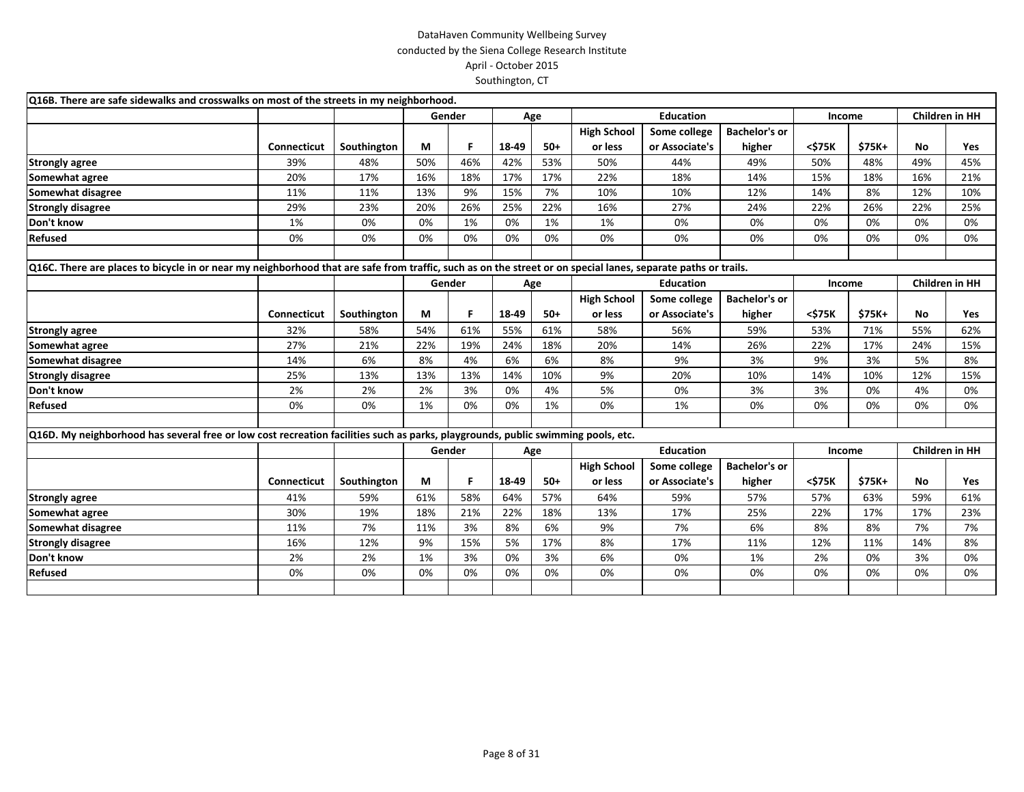| Q16B. There are safe sidewalks and crosswalks on most of the streets in my neighborhood.                                                                      |                    |             |     |        |       |       |                    |                  |                      |        |               |     |                       |
|---------------------------------------------------------------------------------------------------------------------------------------------------------------|--------------------|-------------|-----|--------|-------|-------|--------------------|------------------|----------------------|--------|---------------|-----|-----------------------|
|                                                                                                                                                               |                    |             |     | Gender |       | Age   |                    | <b>Education</b> |                      | Income |               |     | <b>Children in HH</b> |
|                                                                                                                                                               |                    |             |     |        |       |       | <b>High School</b> | Some college     | <b>Bachelor's or</b> |        |               |     |                       |
|                                                                                                                                                               | <b>Connecticut</b> | Southington | М   | F.     | 18-49 | $50+$ | or less            | or Associate's   | higher               | <\$75K | \$75K+        | No. | Yes                   |
| <b>Strongly agree</b>                                                                                                                                         | 39%                | 48%         | 50% | 46%    | 42%   | 53%   | 50%                | 44%              | 49%                  | 50%    | 48%           | 49% | 45%                   |
| Somewhat agree                                                                                                                                                | 20%                | 17%         | 16% | 18%    | 17%   | 17%   | 22%                | 18%              | 14%                  | 15%    | 18%           | 16% | 21%                   |
| Somewhat disagree                                                                                                                                             | 11%                | 11%         | 13% | 9%     | 15%   | 7%    | 10%                | 10%              | 12%                  | 14%    | 8%            | 12% | 10%                   |
| <b>Strongly disagree</b>                                                                                                                                      | 29%                | 23%         | 20% | 26%    | 25%   | 22%   | 16%                | 27%              | 24%                  | 22%    | 26%           | 22% | 25%                   |
| Don't know                                                                                                                                                    | 1%                 | 0%          | 0%  | 1%     | 0%    | 1%    | 1%                 | 0%               | 0%                   | 0%     | 0%            | 0%  | 0%                    |
| Refused                                                                                                                                                       | 0%                 | 0%          | 0%  | 0%     | 0%    | 0%    | 0%                 | 0%               | 0%                   | 0%     | 0%            | 0%  | 0%                    |
| Q16C. There are places to bicycle in or near my neighborhood that are safe from traffic, such as on the street or on special lanes, separate paths or trails. |                    |             |     |        |       |       |                    |                  |                      |        |               |     |                       |
|                                                                                                                                                               |                    |             |     | Gender |       | Age   |                    | <b>Education</b> |                      | Income |               |     | <b>Children in HH</b> |
|                                                                                                                                                               |                    |             |     |        |       |       | <b>High School</b> | Some college     | <b>Bachelor's or</b> |        |               |     |                       |
|                                                                                                                                                               | Connecticut        | Southington | М   | F      | 18-49 | $50+$ | or less            | or Associate's   | higher               | <\$75K | \$75K+        | No. | Yes                   |
| <b>Strongly agree</b>                                                                                                                                         | 32%                | 58%         | 54% | 61%    | 55%   | 61%   | 58%                | 56%              | 59%                  | 53%    | 71%           | 55% | 62%                   |
| Somewhat agree                                                                                                                                                | 27%                | 21%         | 22% | 19%    | 24%   | 18%   | 20%                | 14%              | 26%                  | 22%    | 17%           | 24% | 15%                   |
| Somewhat disagree                                                                                                                                             | 14%                | 6%          | 8%  | 4%     | 6%    | 6%    | 8%                 | 9%               | 3%                   | 9%     | 3%            | 5%  | 8%                    |
| <b>Strongly disagree</b>                                                                                                                                      | 25%                | 13%         | 13% | 13%    | 14%   | 10%   | 9%                 | 20%              | 10%                  | 14%    | 10%           | 12% | 15%                   |
| Don't know                                                                                                                                                    | 2%                 | 2%          | 2%  | 3%     | 0%    | 4%    | 5%                 | 0%               | 3%                   | 3%     | 0%            | 4%  | 0%                    |
| Refused                                                                                                                                                       | 0%                 | 0%          | 1%  | 0%     | 0%    | 1%    | 0%                 | 1%               | 0%                   | 0%     | 0%            | 0%  | 0%                    |
| Q16D. My neighborhood has several free or low cost recreation facilities such as parks, playgrounds, public swimming pools, etc.                              |                    |             |     |        |       |       |                    |                  |                      |        |               |     |                       |
|                                                                                                                                                               |                    |             |     | Gender |       | Age   |                    | <b>Education</b> |                      | Income |               |     | <b>Children in HH</b> |
|                                                                                                                                                               |                    |             |     |        |       |       | <b>High School</b> | Some college     | <b>Bachelor's or</b> |        |               |     |                       |
|                                                                                                                                                               | <b>Connecticut</b> | Southington | M   | F      | 18-49 | $50+$ | or less            | or Associate's   | higher               | <\$75K | <b>\$75K+</b> | No. | Yes                   |
| <b>Strongly agree</b>                                                                                                                                         | 41%                | 59%         | 61% | 58%    | 64%   | 57%   | 64%                | 59%              | 57%                  | 57%    | 63%           | 59% | 61%                   |
| Somewhat agree                                                                                                                                                | 30%                | 19%         | 18% | 21%    | 22%   | 18%   | 13%                | 17%              | 25%                  | 22%    | 17%           | 17% | 23%                   |
| Somewhat disagree                                                                                                                                             | 11%                | 7%          | 11% | 3%     | 8%    | 6%    | 9%                 | 7%               | 6%                   | 8%     | 8%            | 7%  | 7%                    |
| <b>Strongly disagree</b>                                                                                                                                      | 16%                | 12%         | 9%  | 15%    | 5%    | 17%   | 8%                 | 17%              | 11%                  | 12%    | 11%           | 14% | 8%                    |
| Don't know                                                                                                                                                    | 2%                 | 2%          | 1%  | 3%     | 0%    | 3%    | 6%                 | 0%               | 1%                   | 2%     | 0%            | 3%  | 0%                    |
| Refused                                                                                                                                                       | 0%                 | 0%          | 0%  | 0%     | 0%    | 0%    | 0%                 | 0%               | 0%                   | 0%     | 0%            | 0%  | 0%                    |
|                                                                                                                                                               |                    |             |     |        |       |       |                    |                  |                      |        |               |     |                       |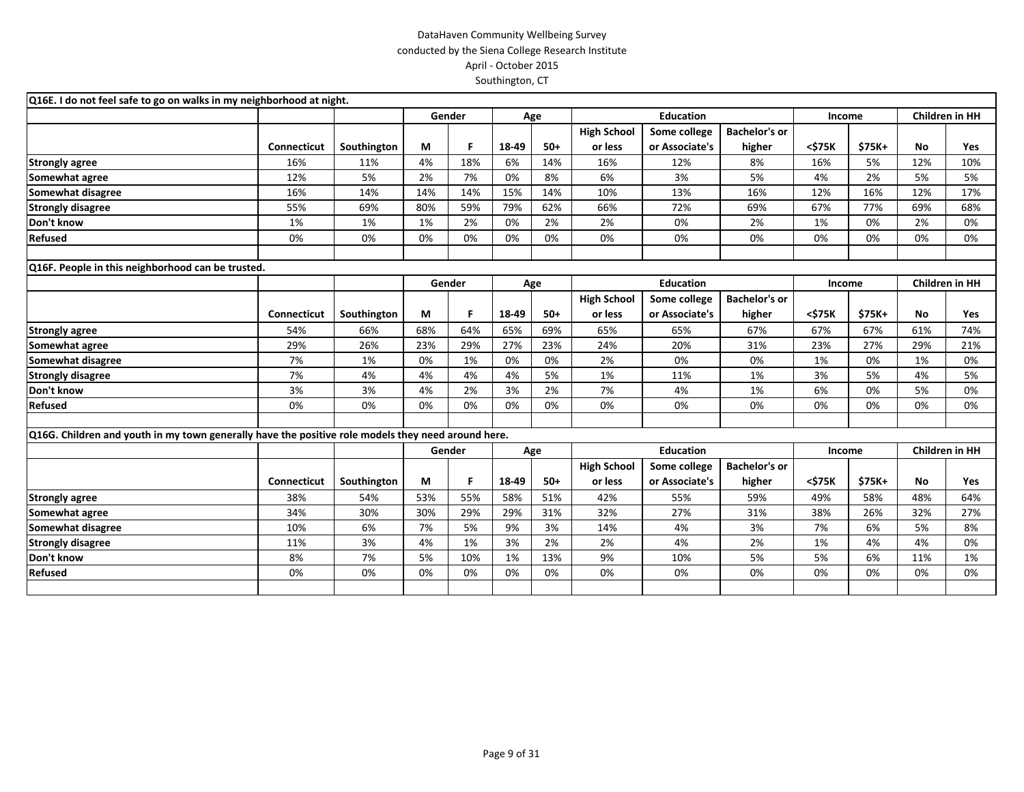| Q16E. I do not feel safe to go on walks in my neighborhood at night.                               |                    |             |        |     |       |       |                    |                  |                      |        |        |                       |     |
|----------------------------------------------------------------------------------------------------|--------------------|-------------|--------|-----|-------|-------|--------------------|------------------|----------------------|--------|--------|-----------------------|-----|
|                                                                                                    |                    |             | Gender |     | Age   |       |                    | <b>Education</b> |                      | Income |        | <b>Children in HH</b> |     |
|                                                                                                    |                    |             |        |     |       |       | <b>High School</b> | Some college     | <b>Bachelor's or</b> |        |        |                       |     |
|                                                                                                    | <b>Connecticut</b> | Southington | M      | F   | 18-49 | $50+$ | or less            | or Associate's   | higher               | <\$75K | \$75K+ | <b>No</b>             | Yes |
| <b>Strongly agree</b>                                                                              | 16%                | 11%         | 4%     | 18% | 6%    | 14%   | 16%                | 12%              | 8%                   | 16%    | 5%     | 12%                   | 10% |
| Somewhat agree                                                                                     | 12%                | 5%          | 2%     | 7%  | 0%    | 8%    | 6%                 | 3%               | 5%                   | 4%     | 2%     | 5%                    | 5%  |
| Somewhat disagree                                                                                  | 16%                | 14%         | 14%    | 14% | 15%   | 14%   | 10%                | 13%              | 16%                  | 12%    | 16%    | 12%                   | 17% |
| <b>Strongly disagree</b>                                                                           | 55%                | 69%         | 80%    | 59% | 79%   | 62%   | 66%                | 72%              | 69%                  | 67%    | 77%    | 69%                   | 68% |
| Don't know                                                                                         | 1%                 | 1%          | 1%     | 2%  | 0%    | 2%    | 2%                 | 0%               | 2%                   | 1%     | 0%     | 2%                    | 0%  |
| Refused                                                                                            | 0%                 | 0%          | 0%     | 0%  | 0%    | 0%    | 0%                 | 0%               | 0%                   | 0%     | 0%     | 0%                    | 0%  |
| Q16F. People in this neighborhood can be trusted.                                                  |                    |             |        |     |       |       |                    |                  |                      |        |        |                       |     |
|                                                                                                    |                    |             | Gender |     |       | Age   |                    | <b>Education</b> |                      | Income |        | <b>Children in HH</b> |     |
|                                                                                                    |                    |             |        |     |       |       | <b>High School</b> | Some college     | <b>Bachelor's or</b> |        |        |                       |     |
|                                                                                                    | <b>Connecticut</b> | Southington | М      | F.  | 18-49 | $50+$ | or less            | or Associate's   | higher               | <\$75K | \$75K+ | <b>No</b>             | Yes |
| <b>Strongly agree</b>                                                                              | 54%                | 66%         | 68%    | 64% | 65%   | 69%   | 65%                | 65%              | 67%                  | 67%    | 67%    | 61%                   | 74% |
| Somewhat agree                                                                                     | 29%                | 26%         | 23%    | 29% | 27%   | 23%   | 24%                | 20%              | 31%                  | 23%    | 27%    | 29%                   | 21% |
| Somewhat disagree                                                                                  | 7%                 | 1%          | 0%     | 1%  | 0%    | 0%    | 2%                 | 0%               | 0%                   | 1%     | 0%     | 1%                    | 0%  |
| <b>Strongly disagree</b>                                                                           | 7%                 | 4%          | 4%     | 4%  | 4%    | 5%    | 1%                 | 11%              | 1%                   | 3%     | 5%     | 4%                    | 5%  |
| Don't know                                                                                         | 3%                 | 3%          | 4%     | 2%  | 3%    | 2%    | 7%                 | 4%               | 1%                   | 6%     | 0%     | 5%                    | 0%  |
| Refused                                                                                            | 0%                 | 0%          | 0%     | 0%  | 0%    | 0%    | 0%                 | 0%               | 0%                   | 0%     | 0%     | 0%                    | 0%  |
| Q16G. Children and youth in my town generally have the positive role models they need around here. |                    |             |        |     |       |       |                    |                  |                      |        |        |                       |     |
|                                                                                                    |                    |             | Gender |     |       | Age   |                    | <b>Education</b> |                      | Income |        | <b>Children in HH</b> |     |
|                                                                                                    |                    |             |        |     |       |       | <b>High School</b> | Some college     | <b>Bachelor's or</b> |        |        |                       |     |
|                                                                                                    | Connecticut        | Southington | M      | F   | 18-49 | $50+$ | or less            | or Associate's   | higher               | <\$75K | \$75K+ | <b>No</b>             | Yes |
| <b>Strongly agree</b>                                                                              | 38%                | 54%         | 53%    | 55% | 58%   | 51%   | 42%                | 55%              | 59%                  | 49%    | 58%    | 48%                   | 64% |
| Somewhat agree                                                                                     | 34%                | 30%         | 30%    | 29% | 29%   | 31%   | 32%                | 27%              | 31%                  | 38%    | 26%    | 32%                   | 27% |
| Somewhat disagree                                                                                  | 10%                | 6%          | 7%     | 5%  | 9%    | 3%    | 14%                | 4%               | 3%                   | 7%     | 6%     | 5%                    | 8%  |
| <b>Strongly disagree</b>                                                                           | 11%                | 3%          | 4%     | 1%  | 3%    | 2%    | 2%                 | 4%               | 2%                   | 1%     | 4%     | 4%                    | 0%  |
| Don't know                                                                                         | 8%                 | 7%          | 5%     | 10% | 1%    | 13%   | 9%                 | 10%              | 5%                   | 5%     | 6%     | 11%                   | 1%  |
| Refused                                                                                            | 0%                 | 0%          | 0%     | 0%  | 0%    | 0%    | 0%                 | 0%               | 0%                   | 0%     | 0%     | 0%                    | 0%  |
|                                                                                                    |                    |             |        |     |       |       |                    |                  |                      |        |        |                       |     |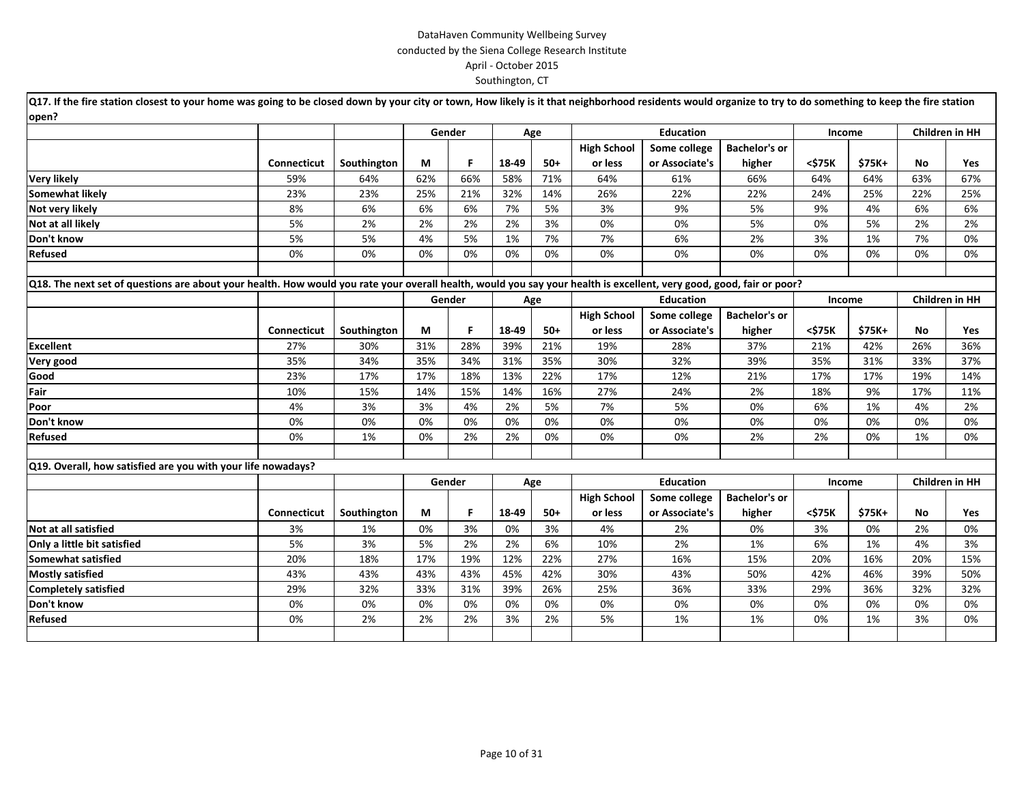| Q17. If the fire station closest to your home was going to be closed down by your city or town, How likely is it that neighborhood residents would organize to try to do something to keep the fire station |                    |             |     |        |       |       |                    |                  |                      |        |        |                |                       |
|-------------------------------------------------------------------------------------------------------------------------------------------------------------------------------------------------------------|--------------------|-------------|-----|--------|-------|-------|--------------------|------------------|----------------------|--------|--------|----------------|-----------------------|
| open?                                                                                                                                                                                                       |                    |             |     |        |       |       |                    |                  |                      |        |        |                |                       |
|                                                                                                                                                                                                             |                    |             |     | Gender |       | Age   |                    | <b>Education</b> |                      | Income |        |                | <b>Children in HH</b> |
|                                                                                                                                                                                                             |                    |             |     |        |       |       | <b>High School</b> | Some college     | <b>Bachelor's or</b> |        |        |                |                       |
|                                                                                                                                                                                                             | <b>Connecticut</b> | Southington | М   | F.     | 18-49 | $50+$ | or less            | or Associate's   | higher               | <\$75K | \$75K+ | No             | Yes                   |
| <b>Very likely</b>                                                                                                                                                                                          | 59%                | 64%         | 62% | 66%    | 58%   | 71%   | 64%                | 61%              | 66%                  | 64%    | 64%    | 63%            | 67%                   |
| <b>Somewhat likely</b>                                                                                                                                                                                      | 23%                | 23%         | 25% | 21%    | 32%   | 14%   | 26%                | 22%              | 22%                  | 24%    | 25%    | 22%            | 25%                   |
| Not very likely                                                                                                                                                                                             | 8%                 | 6%          | 6%  | 6%     | 7%    | 5%    | 3%                 | 9%               | 5%                   | 9%     | 4%     | 6%             | 6%                    |
| Not at all likely                                                                                                                                                                                           | 5%                 | 2%          | 2%  | 2%     | 2%    | 3%    | 0%                 | 0%               | 5%                   | 0%     | 5%     | 2%             | 2%                    |
| Don't know                                                                                                                                                                                                  | 5%                 | 5%          | 4%  | 5%     | 1%    | 7%    | 7%                 | 6%               | 2%                   | 3%     | 1%     | 7%             | 0%                    |
| Refused                                                                                                                                                                                                     | 0%                 | 0%          | 0%  | 0%     | 0%    | 0%    | 0%                 | 0%               | 0%                   | 0%     | 0%     | 0%             | 0%                    |
|                                                                                                                                                                                                             |                    |             |     |        |       |       |                    |                  |                      |        |        |                |                       |
| Q18. The next set of questions are about your health. How would you rate your overall health, would you say your health is excellent, very good, good, fair or poor?                                        |                    |             |     |        |       |       |                    |                  |                      |        |        |                |                       |
|                                                                                                                                                                                                             |                    |             |     | Gender |       | Age   |                    | <b>Education</b> |                      | Income |        | Children in HH |                       |
|                                                                                                                                                                                                             |                    |             |     |        |       |       | <b>High School</b> | Some college     | <b>Bachelor's or</b> |        |        |                |                       |
|                                                                                                                                                                                                             | Connecticut        | Southington | М   | F.     | 18-49 | $50+$ | or less            | or Associate's   | higher               | <\$75K | \$75K+ | No             | Yes                   |
| <b>Excellent</b>                                                                                                                                                                                            | 27%                | 30%         | 31% | 28%    | 39%   | 21%   | 19%                | 28%              | 37%                  | 21%    | 42%    | 26%            | 36%                   |
| Very good                                                                                                                                                                                                   | 35%                | 34%         | 35% | 34%    | 31%   | 35%   | 30%                | 32%              | 39%                  | 35%    | 31%    | 33%            | 37%                   |
| Good                                                                                                                                                                                                        | 23%                | 17%         | 17% | 18%    | 13%   | 22%   | 17%                | 12%              | 21%                  | 17%    | 17%    | 19%            | 14%                   |
| Fair                                                                                                                                                                                                        | 10%                | 15%         | 14% | 15%    | 14%   | 16%   | 27%                | 24%              | 2%                   | 18%    | 9%     | 17%            | 11%                   |
| Poor                                                                                                                                                                                                        | 4%                 | 3%          | 3%  | 4%     | 2%    | 5%    | 7%                 | 5%               | 0%                   | 6%     | 1%     | 4%             | 2%                    |
| Don't know                                                                                                                                                                                                  | 0%                 | 0%          | 0%  | 0%     | 0%    | 0%    | 0%                 | 0%               | 0%                   | 0%     | 0%     | 0%             | 0%                    |
| <b>Refused</b>                                                                                                                                                                                              | 0%                 | 1%          | 0%  | 2%     | 2%    | 0%    | 0%                 | 0%               | 2%                   | 2%     | 0%     | 1%             | 0%                    |
|                                                                                                                                                                                                             |                    |             |     |        |       |       |                    |                  |                      |        |        |                |                       |
| Q19. Overall, how satisfied are you with your life nowadays?                                                                                                                                                |                    |             |     |        |       |       |                    |                  |                      |        |        |                |                       |
|                                                                                                                                                                                                             |                    |             |     | Gender |       | Age   |                    | <b>Education</b> |                      | Income |        |                | Children in HH        |
|                                                                                                                                                                                                             |                    |             |     |        |       |       | <b>High School</b> | Some college     | <b>Bachelor's or</b> |        |        |                |                       |
|                                                                                                                                                                                                             | Connecticut        | Southington | M   | F.     | 18-49 | $50+$ | or less            | or Associate's   | higher               | <\$75K | \$75K+ | No             | Yes                   |
| Not at all satisfied                                                                                                                                                                                        | 3%                 | 1%          | 0%  | 3%     | 0%    | 3%    | 4%                 | 2%               | 0%                   | 3%     | 0%     | 2%             | 0%                    |
| Only a little bit satisfied                                                                                                                                                                                 | 5%                 | 3%          | 5%  | 2%     | 2%    | 6%    | 10%                | 2%               | 1%                   | 6%     | 1%     | 4%             | 3%                    |
| Somewhat satisfied                                                                                                                                                                                          | 20%                | 18%         | 17% | 19%    | 12%   | 22%   | 27%                | 16%              | 15%                  | 20%    | 16%    | 20%            | 15%                   |
| <b>Mostly satisfied</b>                                                                                                                                                                                     | 43%                | 43%         | 43% | 43%    | 45%   | 42%   | 30%                | 43%              | 50%                  | 42%    | 46%    | 39%            | 50%                   |
| <b>Completely satisfied</b>                                                                                                                                                                                 | 29%                | 32%         | 33% | 31%    | 39%   | 26%   | 25%                | 36%              | 33%                  | 29%    | 36%    | 32%            | 32%                   |
| Don't know                                                                                                                                                                                                  | 0%                 | 0%          | 0%  | 0%     | 0%    | 0%    | 0%                 | 0%               | 0%                   | 0%     | 0%     | 0%             | 0%                    |
| Refused                                                                                                                                                                                                     | 0%                 | 2%          | 2%  | 2%     | 3%    | 2%    | 5%                 | 1%               | 1%                   | 0%     | 1%     | 3%             | 0%                    |
|                                                                                                                                                                                                             |                    |             |     |        |       |       |                    |                  |                      |        |        |                |                       |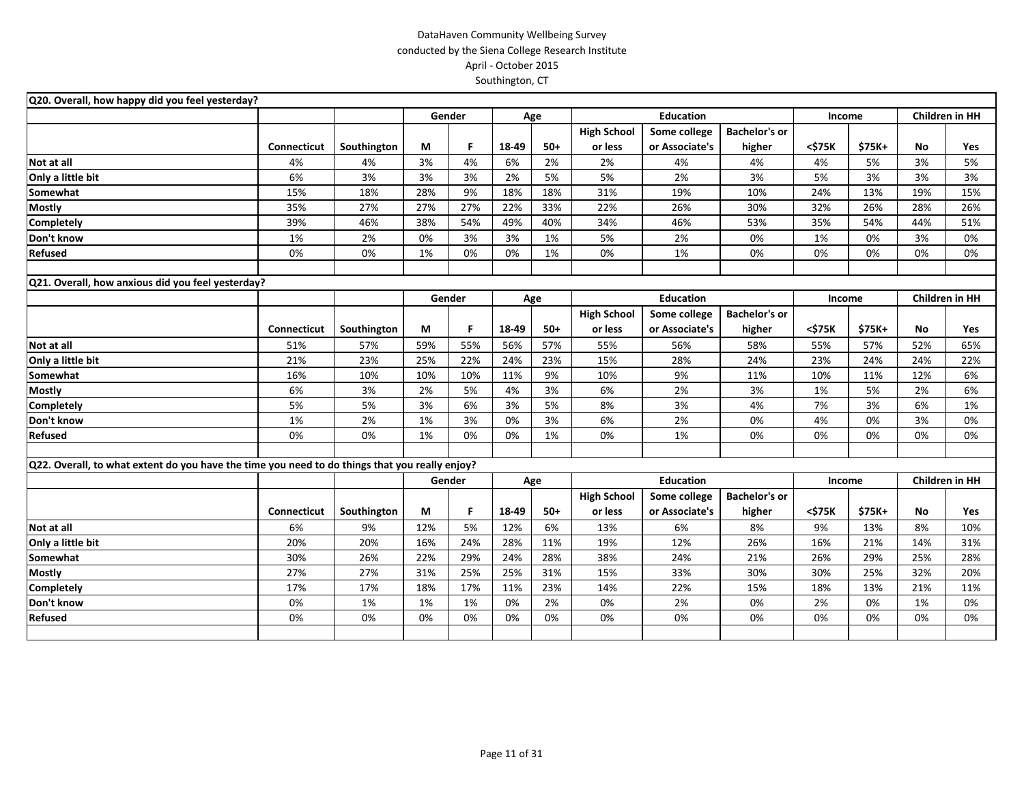| Q20. Overall, how happy did you feel yesterday?                                                |                    |             |     |        |       |       |                    |                  |                      |        |        |                       |                       |
|------------------------------------------------------------------------------------------------|--------------------|-------------|-----|--------|-------|-------|--------------------|------------------|----------------------|--------|--------|-----------------------|-----------------------|
|                                                                                                |                    |             |     | Gender |       | Age   |                    | <b>Education</b> |                      | Income |        |                       | <b>Children in HH</b> |
|                                                                                                |                    |             |     |        |       |       | <b>High School</b> | Some college     | <b>Bachelor's or</b> |        |        |                       |                       |
|                                                                                                | Connecticut        | Southington | M   | F.     | 18-49 | $50+$ | or less            | or Associate's   | higher               | <\$75K | \$75K+ | No                    | Yes                   |
| Not at all                                                                                     | 4%                 | 4%          | 3%  | 4%     | 6%    | 2%    | 2%                 | 4%               | 4%                   | 4%     | 5%     | 3%                    | 5%                    |
| Only a little bit                                                                              | 6%                 | 3%          | 3%  | 3%     | 2%    | 5%    | 5%                 | 2%               | 3%                   | 5%     | 3%     | 3%                    | 3%                    |
| Somewhat                                                                                       | 15%                | 18%         | 28% | 9%     | 18%   | 18%   | 31%                | 19%              | 10%                  | 24%    | 13%    | 19%                   | 15%                   |
| <b>Mostly</b>                                                                                  | 35%                | 27%         | 27% | 27%    | 22%   | 33%   | 22%                | 26%              | 30%                  | 32%    | 26%    | 28%                   | 26%                   |
| Completely                                                                                     | 39%                | 46%         | 38% | 54%    | 49%   | 40%   | 34%                | 46%              | 53%                  | 35%    | 54%    | 44%                   | 51%                   |
| Don't know                                                                                     | 1%                 | 2%          | 0%  | 3%     | 3%    | 1%    | 5%                 | 2%               | 0%                   | 1%     | 0%     | 3%                    | 0%                    |
| Refused                                                                                        | 0%                 | 0%          | 1%  | 0%     | 0%    | 1%    | 0%                 | 1%               | 0%                   | 0%     | 0%     | 0%                    | 0%                    |
|                                                                                                |                    |             |     |        |       |       |                    |                  |                      |        |        |                       |                       |
| Q21. Overall, how anxious did you feel yesterday?                                              |                    |             |     |        |       |       |                    |                  |                      |        |        |                       |                       |
|                                                                                                |                    |             |     | Gender |       | Age   |                    | <b>Education</b> |                      | Income |        | <b>Children in HH</b> |                       |
|                                                                                                |                    |             |     |        |       |       | <b>High School</b> | Some college     | <b>Bachelor's or</b> |        |        |                       |                       |
|                                                                                                | <b>Connecticut</b> | Southington | M   | F.     | 18-49 | $50+$ | or less            | or Associate's   | higher               | <\$75K | \$75K+ | No                    | <b>Yes</b>            |
| Not at all                                                                                     | 51%                | 57%         | 59% | 55%    | 56%   | 57%   | 55%                | 56%              | 58%                  | 55%    | 57%    | 52%                   | 65%                   |
| Only a little bit                                                                              | 21%                | 23%         | 25% | 22%    | 24%   | 23%   | 15%                | 28%              | 24%                  | 23%    | 24%    | 24%                   | 22%                   |
| Somewhat                                                                                       | 16%                | 10%         | 10% | 10%    | 11%   | 9%    | 10%                | 9%               | 11%                  | 10%    | 11%    | 12%                   | 6%                    |
| <b>Mostly</b>                                                                                  | 6%                 | 3%          | 2%  | 5%     | 4%    | 3%    | 6%                 | 2%               | 3%                   | 1%     | 5%     | 2%                    | 6%                    |
| <b>Completely</b>                                                                              | 5%                 | 5%          | 3%  | 6%     | 3%    | 5%    | 8%                 | 3%               | 4%                   | 7%     | 3%     | 6%                    | 1%                    |
| Don't know                                                                                     | 1%                 | 2%          | 1%  | 3%     | 0%    | 3%    | 6%                 | 2%               | 0%                   | 4%     | 0%     | 3%                    | 0%                    |
| Refused                                                                                        | 0%                 | 0%          | 1%  | 0%     | 0%    | 1%    | 0%                 | 1%               | 0%                   | 0%     | 0%     | 0%                    | 0%                    |
|                                                                                                |                    |             |     |        |       |       |                    |                  |                      |        |        |                       |                       |
| Q22. Overall, to what extent do you have the time you need to do things that you really enjoy? |                    |             |     |        |       |       |                    |                  |                      |        |        |                       |                       |
|                                                                                                |                    |             |     | Gender |       | Age   |                    | <b>Education</b> |                      | Income |        | <b>Children in HH</b> |                       |
|                                                                                                |                    |             |     |        |       |       | <b>High School</b> | Some college     | <b>Bachelor's or</b> |        |        |                       |                       |
|                                                                                                | Connecticut        | Southington | М   | F.     | 18-49 | $50+$ | or less            | or Associate's   | higher               | <\$75K | \$75K+ | No                    | Yes                   |
| Not at all                                                                                     | 6%                 | 9%          | 12% | 5%     | 12%   | 6%    | 13%                | 6%               | 8%                   | 9%     | 13%    | 8%                    | 10%                   |
| Only a little bit                                                                              | 20%                | 20%         | 16% | 24%    | 28%   | 11%   | 19%                | 12%              | 26%                  | 16%    | 21%    | 14%                   | 31%                   |
| Somewhat                                                                                       | 30%                | 26%         | 22% | 29%    | 24%   | 28%   | 38%                | 24%              | 21%                  | 26%    | 29%    | 25%                   | 28%                   |
| <b>Mostly</b>                                                                                  | 27%                | 27%         | 31% | 25%    | 25%   | 31%   | 15%                | 33%              | 30%                  | 30%    | 25%    | 32%                   | 20%                   |
| Completely                                                                                     | 17%                | 17%         | 18% | 17%    | 11%   | 23%   | 14%                | 22%              | 15%                  | 18%    | 13%    | 21%                   | 11%                   |
| Don't know                                                                                     | 0%                 | 1%          | 1%  | 1%     | 0%    | 2%    | 0%                 | 2%               | 0%                   | 2%     | 0%     | 1%                    | 0%                    |
| <b>Refused</b>                                                                                 | 0%                 | 0%          | 0%  | 0%     | 0%    | 0%    | 0%                 | 0%               | 0%                   | 0%     | 0%     | 0%                    | 0%                    |
|                                                                                                |                    |             |     |        |       |       |                    |                  |                      |        |        |                       |                       |
|                                                                                                |                    |             |     |        |       |       |                    |                  |                      |        |        |                       |                       |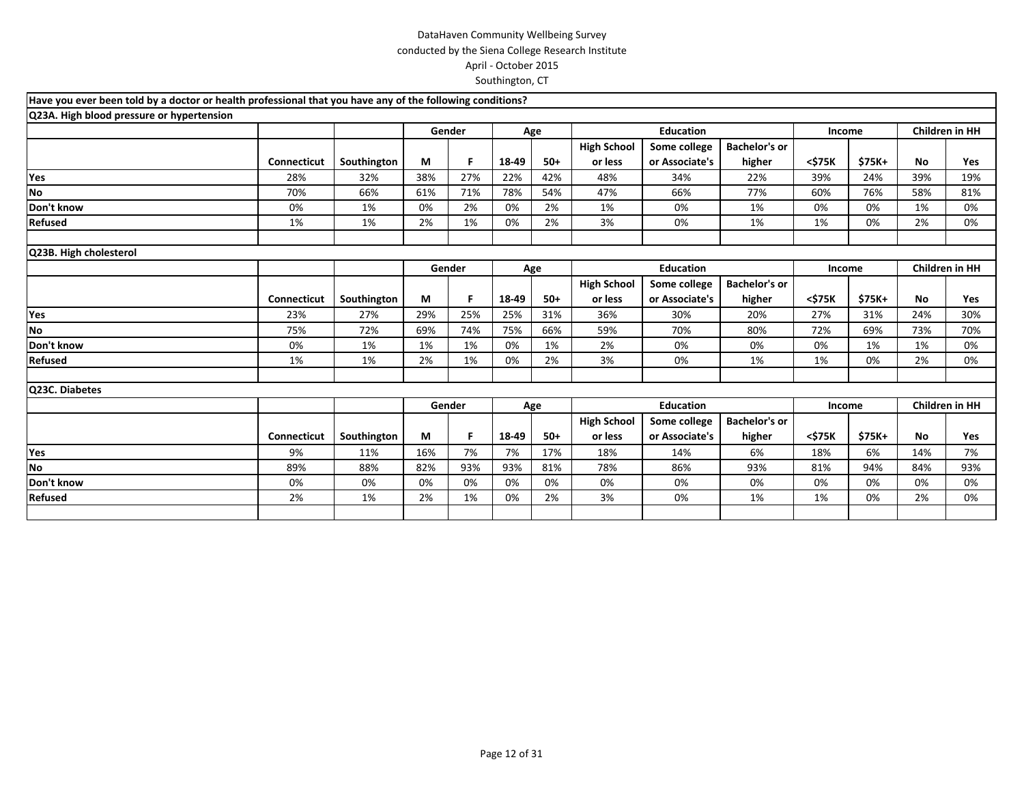| Have you ever been told by a doctor or health professional that you have any of the following conditions? |                    |             |     |        |       |       |                    |                  |                      |        |         |           |                       |
|-----------------------------------------------------------------------------------------------------------|--------------------|-------------|-----|--------|-------|-------|--------------------|------------------|----------------------|--------|---------|-----------|-----------------------|
| Q23A. High blood pressure or hypertension                                                                 |                    |             |     |        |       |       |                    |                  |                      |        |         |           |                       |
|                                                                                                           |                    |             |     | Gender |       | Age   |                    | <b>Education</b> |                      | Income |         |           | Children in HH        |
|                                                                                                           |                    |             |     |        |       |       | <b>High School</b> | Some college     | <b>Bachelor's or</b> |        |         |           |                       |
|                                                                                                           | <b>Connecticut</b> | Southington | М   | F.     | 18-49 | $50+$ | or less            | or Associate's   | higher               | <\$75K | \$75K+  | No        | Yes                   |
| Yes                                                                                                       | 28%                | 32%         | 38% | 27%    | 22%   | 42%   | 48%                | 34%              | 22%                  | 39%    | 24%     | 39%       | 19%                   |
| No                                                                                                        | 70%                | 66%         | 61% | 71%    | 78%   | 54%   | 47%                | 66%              | 77%                  | 60%    | 76%     | 58%       | 81%                   |
| Don't know                                                                                                | 0%                 | 1%          | 0%  | 2%     | 0%    | 2%    | 1%                 | 0%               | 1%                   | 0%     | 0%      | 1%        | 0%                    |
| Refused                                                                                                   | 1%                 | 1%          | 2%  | 1%     | 0%    | 2%    | 3%                 | 0%               | 1%                   | 1%     | 0%      | 2%        | 0%                    |
|                                                                                                           |                    |             |     |        |       |       |                    |                  |                      |        |         |           |                       |
| Q23B. High cholesterol                                                                                    |                    |             |     |        |       |       |                    |                  |                      |        |         |           |                       |
|                                                                                                           |                    |             |     | Gender |       | Age   |                    | <b>Education</b> |                      | Income |         |           | <b>Children in HH</b> |
|                                                                                                           |                    |             |     |        |       |       | <b>High School</b> | Some college     | <b>Bachelor's or</b> |        |         |           |                       |
|                                                                                                           | Connecticut        | Southington | М   | F      | 18-49 | $50+$ | or less            | or Associate's   | higher               | <\$75K | $$75K+$ | <b>No</b> | Yes                   |
| Yes                                                                                                       | 23%                | 27%         | 29% | 25%    | 25%   | 31%   | 36%                | 30%              | 20%                  | 27%    | 31%     | 24%       | 30%                   |
| No                                                                                                        | 75%                | 72%         | 69% | 74%    | 75%   | 66%   | 59%                | 70%              | 80%                  | 72%    | 69%     | 73%       | 70%                   |
| Don't know                                                                                                | 0%                 | 1%          | 1%  | 1%     | 0%    | 1%    | 2%                 | 0%               | 0%                   | 0%     | 1%      | 1%        | 0%                    |
| Refused                                                                                                   | 1%                 | 1%          | 2%  | 1%     | 0%    | 2%    | 3%                 | 0%               | 1%                   | 1%     | 0%      | 2%        | 0%                    |
|                                                                                                           |                    |             |     |        |       |       |                    |                  |                      |        |         |           |                       |
| Q23C. Diabetes                                                                                            |                    |             |     |        |       |       |                    |                  |                      |        |         |           |                       |
|                                                                                                           |                    |             |     | Gender |       | Age   |                    | <b>Education</b> |                      | Income |         |           | Children in HH        |
|                                                                                                           |                    |             |     |        |       |       | <b>High School</b> | Some college     | <b>Bachelor's or</b> |        |         |           |                       |
|                                                                                                           | <b>Connecticut</b> | Southington | M   | F      | 18-49 | $50+$ | or less            | or Associate's   | higher               | <\$75K | \$75K+  | <b>No</b> | Yes                   |
| Yes                                                                                                       | 9%                 | 11%         | 16% | 7%     | 7%    | 17%   | 18%                | 14%              | 6%                   | 18%    | 6%      | 14%       | 7%                    |
| No                                                                                                        | 89%                | 88%         | 82% | 93%    | 93%   | 81%   | 78%                | 86%              | 93%                  | 81%    | 94%     | 84%       | 93%                   |
| Don't know                                                                                                | 0%                 | 0%          | 0%  | 0%     | 0%    | 0%    | 0%                 | 0%               | 0%                   | 0%     | 0%      | 0%        | 0%                    |
| Refused                                                                                                   | 2%                 | 1%          | 2%  | 1%     | 0%    | 2%    | 3%                 | 0%               | 1%                   | 1%     | 0%      | 2%        | 0%                    |
|                                                                                                           |                    |             |     |        |       |       |                    |                  |                      |        |         |           |                       |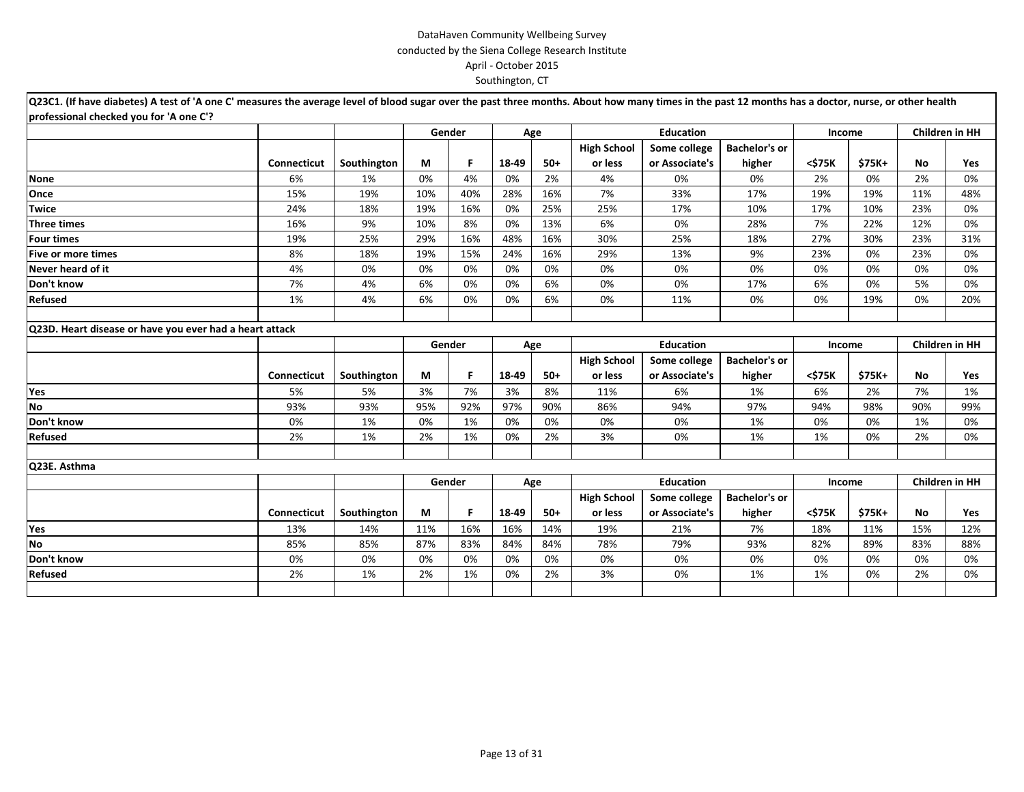| Q23C1. (If have diabetes) A test of 'A one C' measures the average level of blood sugar over the past three months. About how many times in the past 12 months has a doctor, nurse, or other health |                    |             |     |        |       |       |                    |                  |                      |        |         |                       |                       |
|-----------------------------------------------------------------------------------------------------------------------------------------------------------------------------------------------------|--------------------|-------------|-----|--------|-------|-------|--------------------|------------------|----------------------|--------|---------|-----------------------|-----------------------|
| professional checked you for 'A one C'?                                                                                                                                                             |                    |             |     |        |       |       |                    |                  |                      |        |         |                       |                       |
|                                                                                                                                                                                                     |                    |             |     | Gender |       | Age   |                    | <b>Education</b> |                      | Income |         |                       | <b>Children in HH</b> |
|                                                                                                                                                                                                     |                    |             |     |        |       |       | <b>High School</b> | Some college     | <b>Bachelor's or</b> |        |         |                       |                       |
|                                                                                                                                                                                                     | <b>Connecticut</b> | Southington | М   | F.     | 18-49 | $50+$ | or less            | or Associate's   | higher               | <\$75K | \$75K+  | <b>No</b>             | Yes                   |
| <b>None</b>                                                                                                                                                                                         | 6%                 | 1%          | 0%  | 4%     | 0%    | 2%    | 4%                 | 0%               | 0%                   | 2%     | 0%      | 2%                    | 0%                    |
| Once                                                                                                                                                                                                | 15%                | 19%         | 10% | 40%    | 28%   | 16%   | 7%                 | 33%              | 17%                  | 19%    | 19%     | 11%                   | 48%                   |
| <b>Twice</b>                                                                                                                                                                                        | 24%                | 18%         | 19% | 16%    | 0%    | 25%   | 25%                | 17%              | 10%                  | 17%    | 10%     | 23%                   | 0%                    |
| <b>Three times</b>                                                                                                                                                                                  | 16%                | 9%          | 10% | 8%     | 0%    | 13%   | 6%                 | 0%               | 28%                  | 7%     | 22%     | 12%                   | 0%                    |
| <b>Four times</b>                                                                                                                                                                                   | 19%                | 25%         | 29% | 16%    | 48%   | 16%   | 30%                | 25%              | 18%                  | 27%    | 30%     | 23%                   | 31%                   |
| <b>Five or more times</b>                                                                                                                                                                           | 8%                 | 18%         | 19% | 15%    | 24%   | 16%   | 29%                | 13%              | 9%                   | 23%    | 0%      | 23%                   | 0%                    |
| Never heard of it                                                                                                                                                                                   | 4%                 | 0%          | 0%  | 0%     | 0%    | 0%    | 0%                 | 0%               | 0%                   | 0%     | 0%      | 0%                    | 0%                    |
| Don't know                                                                                                                                                                                          | 7%                 | 4%          | 6%  | 0%     | 0%    | 6%    | 0%                 | 0%               | 17%                  | 6%     | 0%      | 5%                    | 0%                    |
| Refused                                                                                                                                                                                             | 1%                 | 4%          | 6%  | 0%     | 0%    | 6%    | 0%                 | 11%              | 0%                   | 0%     | 19%     | 0%                    | 20%                   |
|                                                                                                                                                                                                     |                    |             |     |        |       |       |                    |                  |                      |        |         |                       |                       |
| Q23D. Heart disease or have you ever had a heart attack                                                                                                                                             |                    |             |     |        |       |       |                    |                  |                      |        |         |                       |                       |
|                                                                                                                                                                                                     |                    |             |     | Gender |       | Age   |                    | <b>Education</b> |                      | Income |         | <b>Children in HH</b> |                       |
|                                                                                                                                                                                                     |                    |             |     |        |       |       | <b>High School</b> | Some college     | <b>Bachelor's or</b> |        |         |                       |                       |
|                                                                                                                                                                                                     | <b>Connecticut</b> | Southington | М   | F      | 18-49 | $50+$ | or less            | or Associate's   | higher               | <\$75K | \$75K+  | <b>No</b>             | Yes                   |
| Yes                                                                                                                                                                                                 | 5%                 | 5%          | 3%  | 7%     | 3%    | 8%    | 11%                | 6%               | 1%                   | 6%     | 2%      | 7%                    | 1%                    |
| <b>No</b>                                                                                                                                                                                           | 93%                | 93%         | 95% | 92%    | 97%   | 90%   | 86%                | 94%              | 97%                  | 94%    | 98%     | 90%                   | 99%                   |
| Don't know                                                                                                                                                                                          | 0%                 | 1%          | 0%  | 1%     | 0%    | 0%    | 0%                 | 0%               | 1%                   | 0%     | 0%      | 1%                    | 0%                    |
| Refused                                                                                                                                                                                             | 2%                 | 1%          | 2%  | 1%     | 0%    | 2%    | 3%                 | 0%               | 1%                   | 1%     | 0%      | 2%                    | 0%                    |
|                                                                                                                                                                                                     |                    |             |     |        |       |       |                    |                  |                      |        |         |                       |                       |
| Q23E. Asthma                                                                                                                                                                                        |                    |             |     |        |       |       |                    |                  |                      |        |         |                       |                       |
|                                                                                                                                                                                                     |                    |             |     | Gender |       | Age   |                    | <b>Education</b> |                      | Income |         |                       | Children in HH        |
|                                                                                                                                                                                                     |                    |             |     |        |       |       | <b>High School</b> | Some college     | <b>Bachelor's or</b> |        |         |                       |                       |
|                                                                                                                                                                                                     | Connecticut        | Southington | М   | F.     | 18-49 | $50+$ | or less            | or Associate's   | higher               | <\$75K | $$75K+$ | No                    | Yes                   |
| Yes                                                                                                                                                                                                 | 13%                | 14%         | 11% | 16%    | 16%   | 14%   | 19%                | 21%              | 7%                   | 18%    | 11%     | 15%                   | 12%                   |
| <b>No</b>                                                                                                                                                                                           | 85%                | 85%         | 87% | 83%    | 84%   | 84%   | 78%                | 79%              | 93%                  | 82%    | 89%     | 83%                   | 88%                   |
| Don't know                                                                                                                                                                                          | 0%                 | 0%          | 0%  | 0%     | 0%    | 0%    | 0%                 | 0%               | 0%                   | 0%     | 0%      | 0%                    | 0%                    |
| Refused                                                                                                                                                                                             | 2%                 | 1%          | 2%  | 1%     | 0%    | 2%    | 3%                 | 0%               | 1%                   | 1%     | 0%      | 2%                    | 0%                    |
|                                                                                                                                                                                                     |                    |             |     |        |       |       |                    |                  |                      |        |         |                       |                       |
|                                                                                                                                                                                                     |                    |             |     |        |       |       |                    |                  |                      |        |         |                       |                       |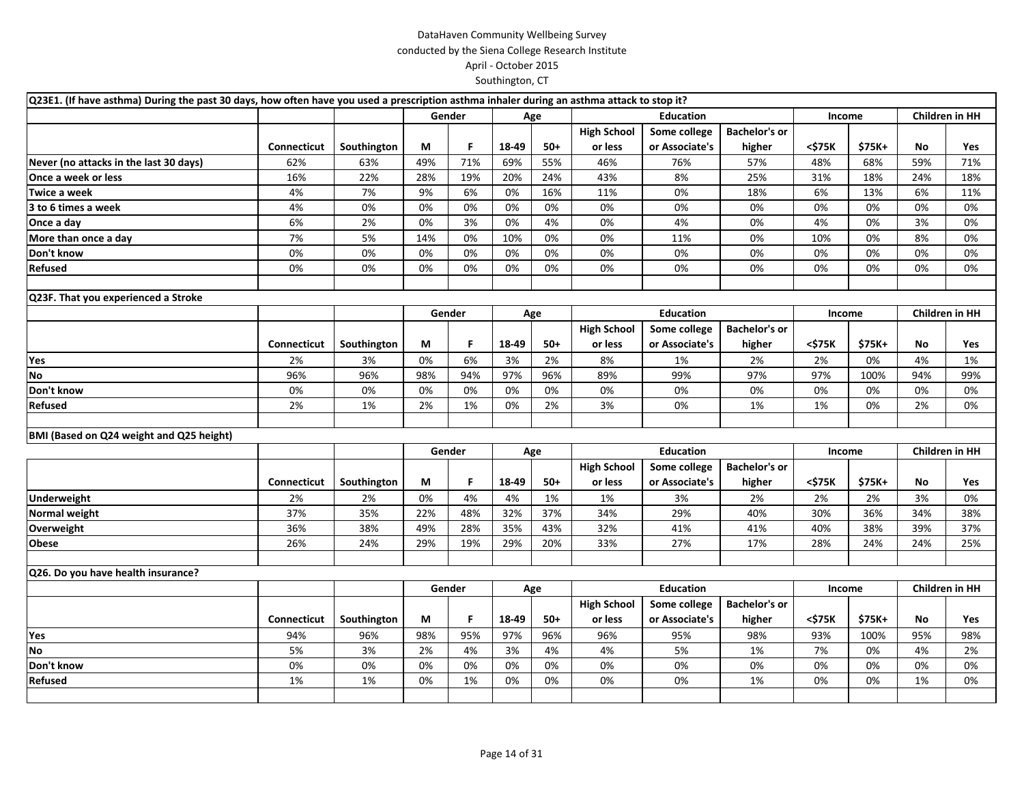| Q23E1. (If have asthma) During the past 30 days, how often have you used a prescription asthma inhaler during an asthma attack to stop it? |             |             |     |        |       |       |                    |                  |                      |        |        |     |                       |
|--------------------------------------------------------------------------------------------------------------------------------------------|-------------|-------------|-----|--------|-------|-------|--------------------|------------------|----------------------|--------|--------|-----|-----------------------|
|                                                                                                                                            |             |             |     | Gender |       | Age   |                    | <b>Education</b> |                      | Income |        |     | <b>Children in HH</b> |
|                                                                                                                                            |             |             |     |        |       |       | <b>High School</b> | Some college     | <b>Bachelor's or</b> |        |        |     |                       |
|                                                                                                                                            | Connecticut | Southington | М   | F      | 18-49 | $50+$ | or less            | or Associate's   | higher               | <\$75K | \$75K+ | No  | Yes                   |
| Never (no attacks in the last 30 days)                                                                                                     | 62%         | 63%         | 49% | 71%    | 69%   | 55%   | 46%                | 76%              | 57%                  | 48%    | 68%    | 59% | 71%                   |
| Once a week or less                                                                                                                        | 16%         | 22%         | 28% | 19%    | 20%   | 24%   | 43%                | 8%               | 25%                  | 31%    | 18%    | 24% | 18%                   |
| Twice a week                                                                                                                               | 4%          | 7%          | 9%  | 6%     | 0%    | 16%   | 11%                | 0%               | 18%                  | 6%     | 13%    | 6%  | 11%                   |
| 3 to 6 times a week                                                                                                                        | 4%          | 0%          | 0%  | 0%     | 0%    | 0%    | 0%                 | 0%               | 0%                   | 0%     | 0%     | 0%  | 0%                    |
| Once a day                                                                                                                                 | 6%          | 2%          | 0%  | 3%     | 0%    | 4%    | 0%                 | 4%               | 0%                   | 4%     | 0%     | 3%  | 0%                    |
| More than once a day                                                                                                                       | 7%          | 5%          | 14% | 0%     | 10%   | 0%    | 0%                 | 11%              | 0%                   | 10%    | 0%     | 8%  | 0%                    |
| Don't know                                                                                                                                 | 0%          | 0%          | 0%  | 0%     | 0%    | 0%    | 0%                 | 0%               | 0%                   | 0%     | 0%     | 0%  | 0%                    |
| Refused                                                                                                                                    | 0%          | 0%          | 0%  | 0%     | 0%    | 0%    | 0%                 | 0%               | 0%                   | 0%     | 0%     | 0%  | 0%                    |
|                                                                                                                                            |             |             |     |        |       |       |                    |                  |                      |        |        |     |                       |
| Q23F. That you experienced a Stroke                                                                                                        |             |             |     |        |       |       |                    |                  |                      |        |        |     |                       |
|                                                                                                                                            |             |             |     | Gender |       | Age   |                    | <b>Education</b> |                      | Income |        |     | <b>Children in HH</b> |
|                                                                                                                                            |             |             |     |        |       |       | <b>High School</b> | Some college     | <b>Bachelor's or</b> |        |        |     |                       |
|                                                                                                                                            | Connecticut | Southington | М   | F      | 18-49 | $50+$ | or less            | or Associate's   | higher               | <\$75K | \$75K+ | No  | Yes                   |
| Yes                                                                                                                                        | 2%          | 3%          | 0%  | 6%     | 3%    | 2%    | 8%                 | 1%               | 2%                   | 2%     | 0%     | 4%  | 1%                    |
| <b>No</b>                                                                                                                                  | 96%         | 96%         | 98% | 94%    | 97%   | 96%   | 89%                | 99%              | 97%                  | 97%    | 100%   | 94% | 99%                   |
| Don't know                                                                                                                                 | 0%          | 0%          | 0%  | 0%     | 0%    | 0%    | 0%                 | 0%               | 0%                   | 0%     | 0%     | 0%  | 0%                    |
| Refused                                                                                                                                    | 2%          | 1%          | 2%  | 1%     | 0%    | 2%    | 3%                 | 0%               | 1%                   | 1%     | 0%     | 2%  | 0%                    |
|                                                                                                                                            |             |             |     |        |       |       |                    |                  |                      |        |        |     |                       |
| BMI (Based on Q24 weight and Q25 height)                                                                                                   |             |             |     |        |       |       |                    |                  |                      |        |        |     |                       |
|                                                                                                                                            |             |             |     | Gender |       | Age   |                    | <b>Education</b> |                      | Income |        |     | <b>Children in HH</b> |
|                                                                                                                                            |             |             |     |        |       |       | <b>High School</b> | Some college     | <b>Bachelor's or</b> |        |        |     |                       |
|                                                                                                                                            | Connecticut | Southington | М   | F      | 18-49 | $50+$ | or less            | or Associate's   | higher               | <\$75K | \$75K+ | No  | Yes                   |
| <b>Underweight</b>                                                                                                                         | 2%          | 2%          | 0%  | 4%     | 4%    | 1%    | 1%                 | 3%               | 2%                   | 2%     | 2%     | 3%  | 0%                    |
| Normal weight                                                                                                                              | 37%         | 35%         | 22% | 48%    | 32%   | 37%   | 34%                | 29%              | 40%                  | 30%    | 36%    | 34% | 38%                   |
| Overweight                                                                                                                                 | 36%         | 38%         | 49% | 28%    | 35%   | 43%   | 32%                | 41%              | 41%                  | 40%    | 38%    | 39% | 37%                   |
| Obese                                                                                                                                      | 26%         | 24%         | 29% | 19%    | 29%   | 20%   | 33%                | 27%              | 17%                  | 28%    | 24%    | 24% | 25%                   |
| Q26. Do you have health insurance?                                                                                                         |             |             |     |        |       |       |                    |                  |                      |        |        |     |                       |
|                                                                                                                                            |             |             |     | Gender |       | Age   |                    | <b>Education</b> |                      | Income |        |     | <b>Children in HH</b> |
|                                                                                                                                            |             |             |     |        |       |       | <b>High School</b> | Some college     | <b>Bachelor's or</b> |        |        |     |                       |
|                                                                                                                                            | Connecticut | Southington | М   | F      | 18-49 | $50+$ | or less            | or Associate's   | higher               | <\$75K | \$75K+ | No  | Yes                   |
| Yes                                                                                                                                        | 94%         | 96%         | 98% | 95%    | 97%   | 96%   | 96%                | 95%              | 98%                  | 93%    | 100%   | 95% | 98%                   |
| <b>No</b>                                                                                                                                  | 5%          | 3%          | 2%  | 4%     | 3%    | 4%    | 4%                 | 5%               | 1%                   | 7%     | 0%     | 4%  | 2%                    |
| Don't know                                                                                                                                 | 0%          | 0%          | 0%  | 0%     | 0%    | 0%    | 0%                 | 0%               | 0%                   | 0%     | 0%     | 0%  | 0%                    |
| Refused                                                                                                                                    | 1%          | 1%          | 0%  | 1%     | 0%    | 0%    | 0%                 | 0%               | 1%                   | 0%     | 0%     | 1%  | 0%                    |
|                                                                                                                                            |             |             |     |        |       |       |                    |                  |                      |        |        |     |                       |
|                                                                                                                                            |             |             |     |        |       |       |                    |                  |                      |        |        |     |                       |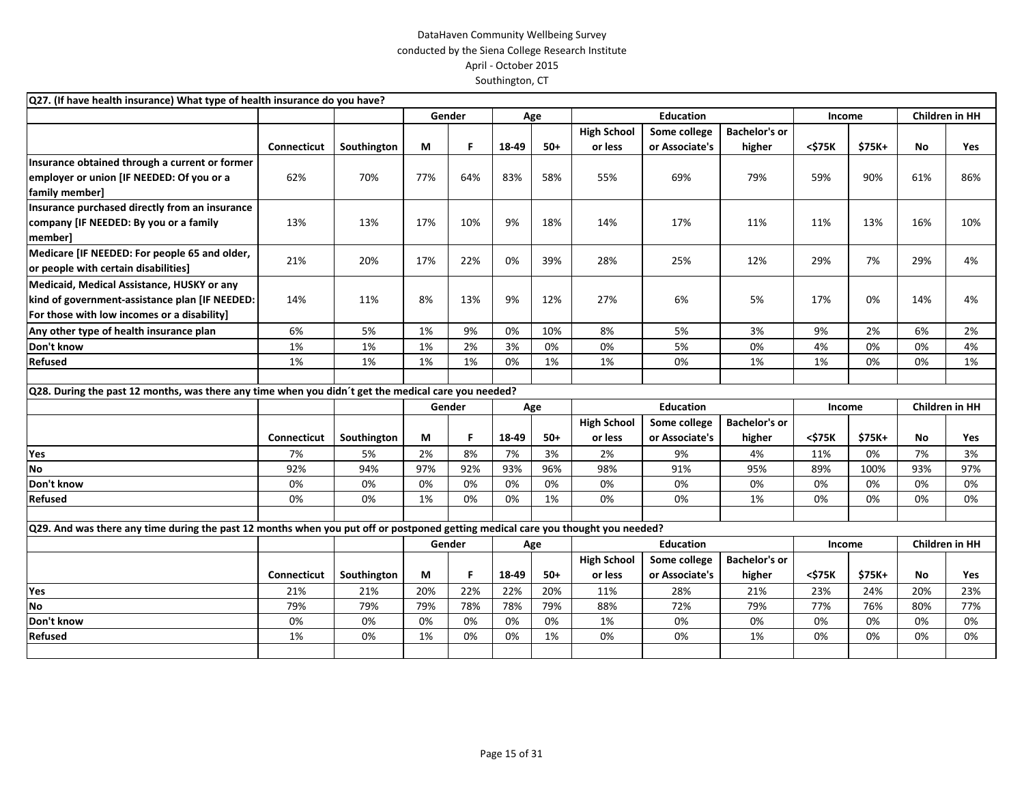| Q27. (If have health insurance) What type of health insurance do you have?                                                       |             |             |     |        |       |       |                    |                  |                      |        |        |     |                       |
|----------------------------------------------------------------------------------------------------------------------------------|-------------|-------------|-----|--------|-------|-------|--------------------|------------------|----------------------|--------|--------|-----|-----------------------|
|                                                                                                                                  |             |             |     | Gender |       | Age   |                    | <b>Education</b> |                      | Income |        |     | <b>Children in HH</b> |
|                                                                                                                                  |             |             |     |        |       |       | <b>High School</b> | Some college     | <b>Bachelor's or</b> |        |        |     |                       |
|                                                                                                                                  | Connecticut | Southington | М   | F      | 18-49 | $50+$ | or less            | or Associate's   | higher               | <\$75K | \$75K+ | No  | <b>Yes</b>            |
| Insurance obtained through a current or former                                                                                   |             |             |     |        |       |       |                    |                  |                      |        |        |     |                       |
| employer or union [IF NEEDED: Of you or a                                                                                        | 62%         | 70%         | 77% | 64%    | 83%   | 58%   | 55%                | 69%              | 79%                  | 59%    | 90%    | 61% | 86%                   |
| family member]                                                                                                                   |             |             |     |        |       |       |                    |                  |                      |        |        |     |                       |
| Insurance purchased directly from an insurance                                                                                   |             |             |     |        |       |       |                    |                  |                      |        |        |     |                       |
| company [IF NEEDED: By you or a family                                                                                           | 13%         | 13%         | 17% | 10%    | 9%    | 18%   | 14%                | 17%              | 11%                  | 11%    | 13%    | 16% | 10%                   |
| member]                                                                                                                          |             |             |     |        |       |       |                    |                  |                      |        |        |     |                       |
| Medicare [IF NEEDED: For people 65 and older,                                                                                    | 21%         | 20%         | 17% | 22%    | 0%    | 39%   | 28%                | 25%              | 12%                  | 29%    | 7%     | 29% | 4%                    |
| or people with certain disabilities]                                                                                             |             |             |     |        |       |       |                    |                  |                      |        |        |     |                       |
| Medicaid, Medical Assistance, HUSKY or any                                                                                       |             |             |     |        |       |       |                    |                  |                      |        |        |     |                       |
| kind of government-assistance plan [IF NEEDED:                                                                                   | 14%         | 11%         | 8%  | 13%    | 9%    | 12%   | 27%                | 6%               | 5%                   | 17%    | 0%     | 14% | 4%                    |
| For those with low incomes or a disability]                                                                                      |             |             |     |        |       |       |                    |                  |                      |        |        |     |                       |
| Any other type of health insurance plan                                                                                          | 6%          | 5%          | 1%  | 9%     | 0%    | 10%   | 8%                 | 5%               | 3%                   | 9%     | 2%     | 6%  | 2%                    |
| Don't know                                                                                                                       | 1%          | 1%          | 1%  | 2%     | 3%    | 0%    | 0%                 | 5%               | 0%                   | 4%     | 0%     | 0%  | 4%                    |
| Refused                                                                                                                          | 1%          | 1%          | 1%  | 1%     | 0%    | 1%    | 1%                 | 0%               | 1%                   | 1%     | 0%     | 0%  | 1%                    |
|                                                                                                                                  |             |             |     |        |       |       |                    |                  |                      |        |        |     |                       |
| Q28. During the past 12 months, was there any time when you didn't get the medical care you needed?                              |             |             |     |        |       |       |                    |                  |                      |        |        |     |                       |
|                                                                                                                                  |             |             |     | Gender |       | Age   |                    | <b>Education</b> |                      | Income |        |     | Children in HH        |
|                                                                                                                                  |             |             |     |        |       |       | <b>High School</b> | Some college     | <b>Bachelor's or</b> |        |        |     |                       |
|                                                                                                                                  | Connecticut | Southington | М   | F.     | 18-49 | $50+$ | or less            | or Associate's   | higher               | <\$75K | \$75K+ | No  | Yes                   |
| Yes                                                                                                                              | 7%          | 5%          | 2%  | 8%     | 7%    | 3%    | 2%                 | 9%               | 4%                   | 11%    | 0%     | 7%  | 3%                    |
| <b>No</b>                                                                                                                        | 92%         | 94%         | 97% | 92%    | 93%   | 96%   | 98%                | 91%              | 95%                  | 89%    | 100%   | 93% | 97%                   |
| Don't know                                                                                                                       | 0%          | 0%          | 0%  | 0%     | 0%    | 0%    | 0%                 | 0%               | 0%                   | 0%     | 0%     | 0%  | 0%                    |
| Refused                                                                                                                          | 0%          | 0%          | 1%  | 0%     | 0%    | 1%    | 0%                 | 0%               | 1%                   | 0%     | 0%     | 0%  | 0%                    |
|                                                                                                                                  |             |             |     |        |       |       |                    |                  |                      |        |        |     |                       |
| Q29. And was there any time during the past 12 months when you put off or postponed getting medical care you thought you needed? |             |             |     |        |       |       |                    |                  |                      |        |        |     |                       |
|                                                                                                                                  |             |             |     | Gender |       | Age   |                    | <b>Education</b> |                      | Income |        |     | Children in HH        |
|                                                                                                                                  |             |             |     |        |       |       | <b>High School</b> | Some college     | <b>Bachelor's or</b> |        |        |     |                       |
|                                                                                                                                  | Connecticut | Southington | М   | F.     | 18-49 | $50+$ | or less            | or Associate's   | higher               | <\$75K | \$75K+ | No  | <b>Yes</b>            |
| Yes                                                                                                                              | 21%         | 21%         | 20% | 22%    | 22%   | 20%   | 11%                | 28%              | 21%                  | 23%    | 24%    | 20% | 23%                   |
| <b>No</b>                                                                                                                        | 79%         | 79%         | 79% | 78%    | 78%   | 79%   | 88%                | 72%              | 79%                  | 77%    | 76%    | 80% | 77%                   |
| Don't know                                                                                                                       | 0%          | 0%          | 0%  | 0%     | 0%    | 0%    | 1%                 | 0%               | 0%                   | 0%     | 0%     | 0%  | 0%                    |
| Refused                                                                                                                          | 1%          | 0%          | 1%  | 0%     | 0%    | 1%    | 0%                 | 0%               | 1%                   | 0%     | 0%     | 0%  | 0%                    |
|                                                                                                                                  |             |             |     |        |       |       |                    |                  |                      |        |        |     |                       |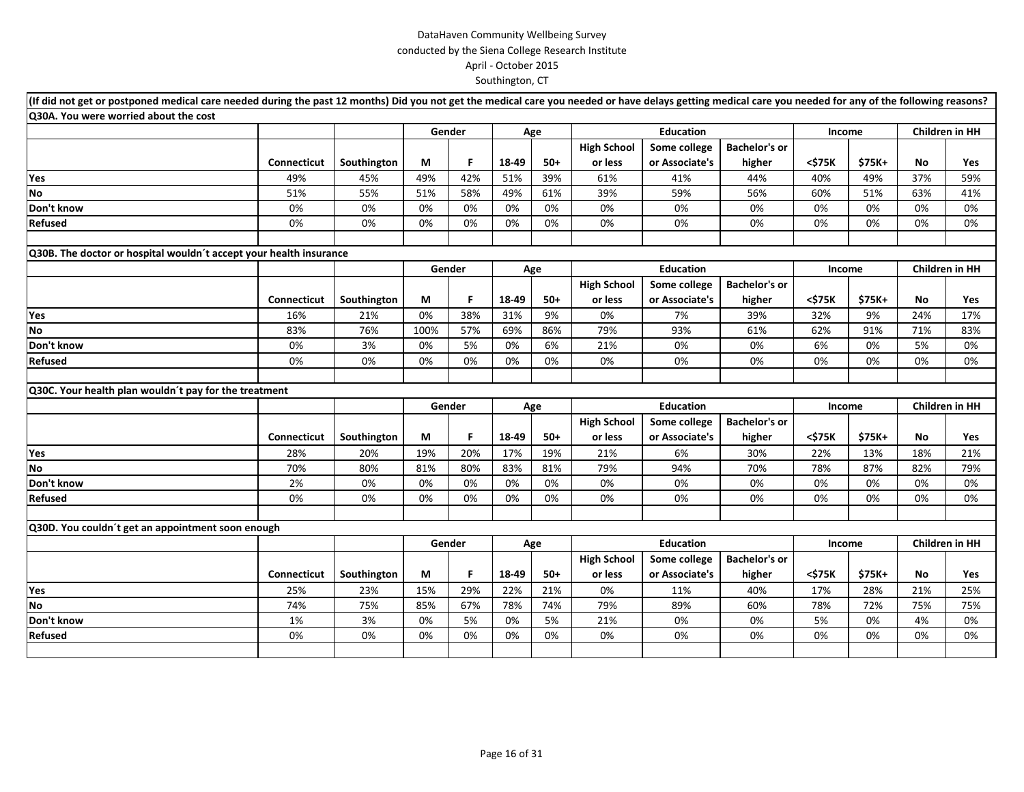| (If did not get or postponed medical care needed during the past 12 months) Did you not get the medical care you needed or have delays getting medical care you needed for any of the following reasons? |                    |             |        |        |       |       |                    |                  |                      |        |        |                       |     |
|----------------------------------------------------------------------------------------------------------------------------------------------------------------------------------------------------------|--------------------|-------------|--------|--------|-------|-------|--------------------|------------------|----------------------|--------|--------|-----------------------|-----|
| Q30A. You were worried about the cost                                                                                                                                                                    |                    |             |        |        |       |       |                    |                  |                      |        |        |                       |     |
|                                                                                                                                                                                                          |                    |             |        | Gender |       | Age   |                    | <b>Education</b> |                      | Income |        | Children in HH        |     |
|                                                                                                                                                                                                          |                    |             |        |        |       |       | <b>High School</b> | Some college     | <b>Bachelor's or</b> |        |        |                       |     |
|                                                                                                                                                                                                          | <b>Connecticut</b> | Southington | М      | F.     | 18-49 | $50+$ | or less            | or Associate's   | higher               | <\$75K | \$75K+ | No                    | Yes |
| Yes                                                                                                                                                                                                      | 49%                | 45%         | 49%    | 42%    | 51%   | 39%   | 61%                | 41%              | 44%                  | 40%    | 49%    | 37%                   | 59% |
| <b>No</b>                                                                                                                                                                                                | 51%                | 55%         | 51%    | 58%    | 49%   | 61%   | 39%                | 59%              | 56%                  | 60%    | 51%    | 63%                   | 41% |
| Don't know                                                                                                                                                                                               | 0%                 | 0%          | 0%     | 0%     | 0%    | 0%    | 0%                 | 0%               | 0%                   | 0%     | 0%     | 0%                    | 0%  |
| Refused                                                                                                                                                                                                  | 0%                 | 0%          | 0%     | 0%     | 0%    | 0%    | 0%                 | 0%               | 0%                   | 0%     | 0%     | 0%                    | 0%  |
| Q30B. The doctor or hospital wouldn't accept your health insurance                                                                                                                                       |                    |             |        |        |       |       |                    |                  |                      |        |        |                       |     |
|                                                                                                                                                                                                          |                    |             |        | Gender |       | Age   |                    | <b>Education</b> |                      | Income |        | <b>Children in HH</b> |     |
|                                                                                                                                                                                                          |                    |             |        |        |       |       | <b>High School</b> | Some college     | <b>Bachelor's or</b> |        |        |                       |     |
|                                                                                                                                                                                                          | <b>Connecticut</b> | Southington | М      | F.     | 18-49 | $50+$ | or less            | or Associate's   | higher               | <\$75K | \$75K+ | No                    | Yes |
| Yes                                                                                                                                                                                                      | 16%                | 21%         | 0%     | 38%    | 31%   | 9%    | 0%                 | 7%               | 39%                  | 32%    | 9%     | 24%                   | 17% |
| <b>No</b>                                                                                                                                                                                                | 83%                | 76%         | 100%   | 57%    | 69%   | 86%   | 79%                | 93%              | 61%                  | 62%    | 91%    | 71%                   | 83% |
| Don't know                                                                                                                                                                                               | 0%                 | 3%          | 0%     | 5%     | 0%    | 6%    | 21%                | 0%               | 0%                   | 6%     | 0%     | 5%                    | 0%  |
| Refused                                                                                                                                                                                                  | 0%                 | 0%          | 0%     | 0%     | 0%    | 0%    | 0%                 | 0%               | 0%                   | 0%     | 0%     | 0%                    | 0%  |
|                                                                                                                                                                                                          |                    |             |        |        |       |       |                    |                  |                      |        |        |                       |     |
| Q30C. Your health plan wouldn't pay for the treatment                                                                                                                                                    |                    |             |        |        |       |       |                    |                  |                      |        |        |                       |     |
|                                                                                                                                                                                                          |                    |             |        | Gender |       | Age   |                    | <b>Education</b> |                      | Income |        | Children in HH        |     |
|                                                                                                                                                                                                          |                    |             |        |        |       |       | <b>High School</b> | Some college     | <b>Bachelor's or</b> |        |        |                       |     |
|                                                                                                                                                                                                          | <b>Connecticut</b> | Southington | М      | F      | 18-49 | $50+$ | or less            | or Associate's   | higher               | <\$75K | \$75K+ | No                    | Yes |
| Yes                                                                                                                                                                                                      | 28%                | 20%         | 19%    | 20%    | 17%   | 19%   | 21%                | 6%               | 30%                  | 22%    | 13%    | 18%                   | 21% |
| No                                                                                                                                                                                                       | 70%                | 80%         | 81%    | 80%    | 83%   | 81%   | 79%                | 94%              | 70%                  | 78%    | 87%    | 82%                   | 79% |
| Don't know                                                                                                                                                                                               | 2%                 | 0%          | 0%     | 0%     | 0%    | 0%    | 0%                 | 0%               | 0%                   | 0%     | 0%     | 0%                    | 0%  |
| Refused                                                                                                                                                                                                  | 0%                 | 0%          | 0%     | 0%     | 0%    | 0%    | 0%                 | 0%               | 0%                   | 0%     | 0%     | 0%                    | 0%  |
|                                                                                                                                                                                                          |                    |             |        |        |       |       |                    |                  |                      |        |        |                       |     |
| Q30D. You couldn't get an appointment soon enough                                                                                                                                                        |                    |             |        |        |       |       |                    |                  |                      |        |        |                       |     |
|                                                                                                                                                                                                          |                    |             | Gender |        |       | Age   |                    | <b>Education</b> |                      | Income |        | Children in HH        |     |
|                                                                                                                                                                                                          |                    |             |        |        |       |       | <b>High School</b> | Some college     | <b>Bachelor's or</b> |        |        |                       |     |
|                                                                                                                                                                                                          | <b>Connecticut</b> | Southington | М      | F.     | 18-49 | $50+$ | or less            | or Associate's   | higher               | <\$75K | \$75K+ | No                    | Yes |
| Yes                                                                                                                                                                                                      | 25%                | 23%         | 15%    | 29%    | 22%   | 21%   | 0%                 | 11%              | 40%                  | 17%    | 28%    | 21%                   | 25% |
| <b>No</b>                                                                                                                                                                                                | 74%                | 75%         | 85%    | 67%    | 78%   | 74%   | 79%                | 89%              | 60%                  | 78%    | 72%    | 75%                   | 75% |
| Don't know                                                                                                                                                                                               | 1%                 | 3%          | 0%     | 5%     | 0%    | 5%    | 21%                | 0%               | 0%                   | 5%     | 0%     | 4%                    | 0%  |
| Refused                                                                                                                                                                                                  | 0%                 | 0%          | 0%     | 0%     | 0%    | 0%    | 0%                 | 0%               | 0%                   | 0%     | 0%     | 0%                    | 0%  |
|                                                                                                                                                                                                          |                    |             |        |        |       |       |                    |                  |                      |        |        |                       |     |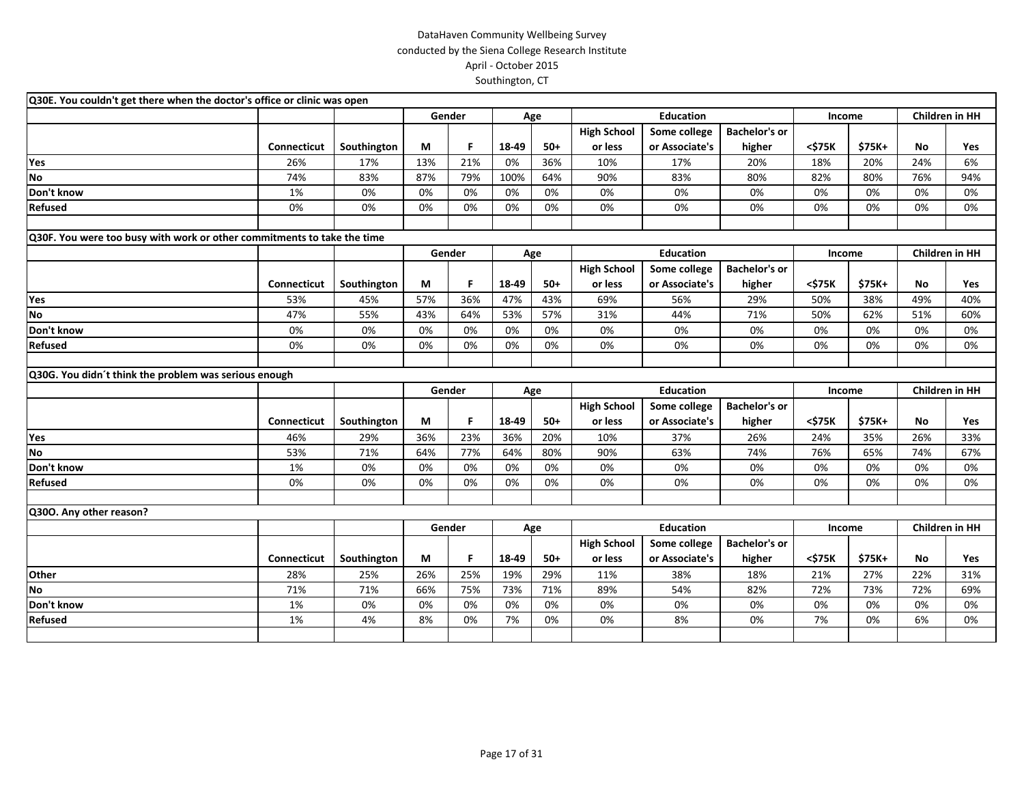| Q30E. You couldn't get there when the doctor's office or clinic was open |                    |             |     |        |       |       |                    |                  |                      |        |        |     |                       |
|--------------------------------------------------------------------------|--------------------|-------------|-----|--------|-------|-------|--------------------|------------------|----------------------|--------|--------|-----|-----------------------|
|                                                                          |                    |             |     | Gender |       | Age   |                    | <b>Education</b> |                      | Income |        |     | Children in HH        |
|                                                                          |                    |             |     |        |       |       | <b>High School</b> | Some college     | <b>Bachelor's or</b> |        |        |     |                       |
|                                                                          | <b>Connecticut</b> | Southington | М   | F      | 18-49 | $50+$ | or less            | or Associate's   | higher               | <\$75K | \$75K+ | No  | <b>Yes</b>            |
| Yes                                                                      | 26%                | 17%         | 13% | 21%    | 0%    | 36%   | 10%                | 17%              | 20%                  | 18%    | 20%    | 24% | 6%                    |
| <b>No</b>                                                                | 74%                | 83%         | 87% | 79%    | 100%  | 64%   | 90%                | 83%              | 80%                  | 82%    | 80%    | 76% | 94%                   |
| Don't know                                                               | 1%                 | 0%          | 0%  | 0%     | 0%    | 0%    | 0%                 | 0%               | 0%                   | 0%     | 0%     | 0%  | 0%                    |
| <b>Refused</b>                                                           | 0%                 | 0%          | 0%  | 0%     | 0%    | 0%    | 0%                 | 0%               | 0%                   | 0%     | 0%     | 0%  | 0%                    |
|                                                                          |                    |             |     |        |       |       |                    |                  |                      |        |        |     |                       |
| Q30F. You were too busy with work or other commitments to take the time  |                    |             |     |        |       |       |                    |                  |                      |        |        |     |                       |
|                                                                          |                    |             |     | Gender |       | Age   |                    | <b>Education</b> |                      | Income |        |     | Children in HH        |
|                                                                          |                    |             |     |        |       |       | <b>High School</b> | Some college     | <b>Bachelor's or</b> |        |        |     |                       |
|                                                                          | Connecticut        | Southington | М   | F      | 18-49 | $50+$ | or less            | or Associate's   | higher               | <\$75K | \$75K+ | No  | Yes                   |
| Yes                                                                      | 53%                | 45%         | 57% | 36%    | 47%   | 43%   | 69%                | 56%              | 29%                  | 50%    | 38%    | 49% | 40%                   |
| <b>No</b>                                                                | 47%                | 55%         | 43% | 64%    | 53%   | 57%   | 31%                | 44%              | 71%                  | 50%    | 62%    | 51% | 60%                   |
| Don't know                                                               | 0%                 | 0%          | 0%  | 0%     | 0%    | 0%    | 0%                 | 0%               | 0%                   | 0%     | 0%     | 0%  | 0%                    |
| <b>Refused</b>                                                           | 0%                 | 0%          | 0%  | 0%     | 0%    | 0%    | 0%                 | 0%               | 0%                   | 0%     | 0%     | 0%  | 0%                    |
|                                                                          |                    |             |     |        |       |       |                    |                  |                      |        |        |     |                       |
| Q30G. You didn't think the problem was serious enough                    |                    |             |     |        |       |       |                    |                  |                      |        |        |     |                       |
|                                                                          |                    |             |     | Gender |       | Age   |                    | <b>Education</b> |                      | Income |        |     | Children in HH        |
|                                                                          |                    |             |     |        |       |       | <b>High School</b> | Some college     | <b>Bachelor's or</b> |        |        |     |                       |
|                                                                          | Connecticut        | Southington | М   | F.     | 18-49 | $50+$ | or less            | or Associate's   | higher               | <\$75K | \$75K+ | No  | Yes                   |
| Yes                                                                      | 46%                | 29%         | 36% | 23%    | 36%   | 20%   | 10%                | 37%              | 26%                  | 24%    | 35%    | 26% | 33%                   |
| <b>No</b>                                                                | 53%                | 71%         | 64% | 77%    | 64%   | 80%   | 90%                | 63%              | 74%                  | 76%    | 65%    | 74% | 67%                   |
| Don't know                                                               | 1%                 | 0%          | 0%  | 0%     | 0%    | 0%    | 0%                 | 0%               | 0%                   | 0%     | 0%     | 0%  | 0%                    |
| <b>Refused</b>                                                           | 0%                 | 0%          | 0%  | 0%     | 0%    | 0%    | 0%                 | 0%               | 0%                   | 0%     | 0%     | 0%  | 0%                    |
|                                                                          |                    |             |     |        |       |       |                    |                  |                      |        |        |     |                       |
| Q300. Any other reason?                                                  |                    |             |     |        |       |       |                    |                  |                      |        |        |     |                       |
|                                                                          |                    |             |     | Gender |       | Age   |                    | <b>Education</b> |                      | Income |        |     | <b>Children in HH</b> |
|                                                                          |                    |             |     |        |       |       | <b>High School</b> | Some college     | <b>Bachelor's or</b> |        |        |     |                       |
|                                                                          | Connecticut        | Southington | М   | F      | 18-49 | $50+$ | or less            | or Associate's   | higher               | <\$75K | \$75K+ | No  | Yes                   |
| Other                                                                    | 28%                | 25%         | 26% | 25%    | 19%   | 29%   | 11%                | 38%              | 18%                  | 21%    | 27%    | 22% | 31%                   |
| <b>No</b>                                                                | 71%                | 71%         | 66% | 75%    | 73%   | 71%   | 89%                | 54%              | 82%                  | 72%    | 73%    | 72% | 69%                   |
| Don't know                                                               | 1%                 | 0%          | 0%  | 0%     | 0%    | 0%    | 0%                 | 0%               | 0%                   | 0%     | 0%     | 0%  | 0%                    |
| <b>Refused</b>                                                           | 1%                 | 4%          | 8%  | 0%     | 7%    | 0%    | 0%                 | 8%               | 0%                   | 7%     | 0%     | 6%  | 0%                    |
|                                                                          |                    |             |     |        |       |       |                    |                  |                      |        |        |     |                       |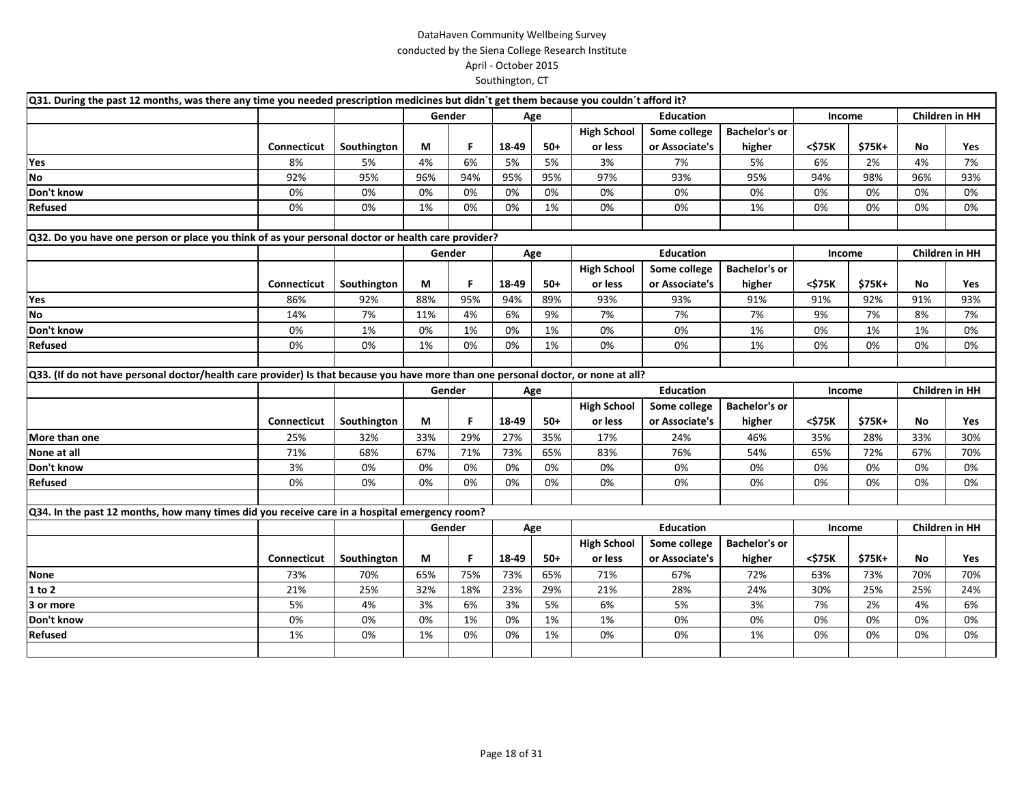| Q31. During the past 12 months, was there any time you needed prescription medicines but didn't get them because you couldn't afford it? |                    |             |     |        |       |       |                    |                  |                      |        |         |                       |     |
|------------------------------------------------------------------------------------------------------------------------------------------|--------------------|-------------|-----|--------|-------|-------|--------------------|------------------|----------------------|--------|---------|-----------------------|-----|
|                                                                                                                                          |                    |             |     | Gender |       | Age   |                    | <b>Education</b> |                      | Income |         | Children in HH        |     |
|                                                                                                                                          |                    |             |     |        |       |       | <b>High School</b> | Some college     | <b>Bachelor's or</b> |        |         |                       |     |
|                                                                                                                                          | Connecticut        | Southington | М   | F      | 18-49 | 50+   | or less            | or Associate's   | higher               | <\$75K | $$75K+$ | No                    | Yes |
| Yes                                                                                                                                      | 8%                 | 5%          | 4%  | 6%     | 5%    | 5%    | 3%                 | 7%               | 5%                   | 6%     | 2%      | 4%                    | 7%  |
| No                                                                                                                                       | 92%                | 95%         | 96% | 94%    | 95%   | 95%   | 97%                | 93%              | 95%                  | 94%    | 98%     | 96%                   | 93% |
| Don't know                                                                                                                               | 0%                 | 0%          | 0%  | 0%     | 0%    | 0%    | 0%                 | 0%               | 0%                   | 0%     | 0%      | 0%                    | 0%  |
| Refused                                                                                                                                  | 0%                 | 0%          | 1%  | 0%     | 0%    | 1%    | 0%                 | 0%               | 1%                   | 0%     | 0%      | 0%                    | 0%  |
|                                                                                                                                          |                    |             |     |        |       |       |                    |                  |                      |        |         |                       |     |
| Q32. Do you have one person or place you think of as your personal doctor or health care provider?                                       |                    |             |     |        |       |       |                    |                  |                      |        |         |                       |     |
|                                                                                                                                          |                    |             |     | Gender |       | Age   |                    | <b>Education</b> |                      | Income |         | <b>Children in HH</b> |     |
|                                                                                                                                          |                    |             |     |        |       |       | <b>High School</b> | Some college     | <b>Bachelor's or</b> |        |         |                       |     |
|                                                                                                                                          | <b>Connecticut</b> | Southington | М   | F.     | 18-49 | $50+$ | or less            | or Associate's   | higher               | <\$75K | $$75K+$ | No                    | Yes |
| Yes                                                                                                                                      | 86%                | 92%         | 88% | 95%    | 94%   | 89%   | 93%                | 93%              | 91%                  | 91%    | 92%     | 91%                   | 93% |
| <b>No</b>                                                                                                                                | 14%                | 7%          | 11% | 4%     | 6%    | 9%    | 7%                 | 7%               | 7%                   | 9%     | 7%      | 8%                    | 7%  |
| Don't know                                                                                                                               | 0%                 | 1%          | 0%  | 1%     | 0%    | 1%    | 0%                 | 0%               | 1%                   | 0%     | 1%      | 1%                    | 0%  |
| Refused                                                                                                                                  | 0%                 | 0%          | 1%  | 0%     | 0%    | 1%    | 0%                 | 0%               | 1%                   | 0%     | 0%      | 0%                    | 0%  |
|                                                                                                                                          |                    |             |     |        |       |       |                    |                  |                      |        |         |                       |     |
| Q33. (If do not have personal doctor/health care provider) Is that because you have more than one personal doctor, or none at all?       |                    |             |     |        |       |       |                    |                  |                      |        |         |                       |     |
|                                                                                                                                          |                    |             |     | Gender |       | Age   |                    | <b>Education</b> |                      | Income |         | Children in HH        |     |
|                                                                                                                                          |                    |             |     |        |       |       | <b>High School</b> | Some college     | <b>Bachelor's or</b> |        |         |                       |     |
|                                                                                                                                          | <b>Connecticut</b> | Southington | M   | F.     | 18-49 | $50+$ | or less            | or Associate's   | higher               | <\$75K | $$75K+$ | No                    | Yes |
| More than one                                                                                                                            | 25%                | 32%         | 33% | 29%    | 27%   | 35%   | 17%                | 24%              | 46%                  | 35%    | 28%     | 33%                   | 30% |
| None at all                                                                                                                              | 71%                | 68%         | 67% | 71%    | 73%   | 65%   | 83%                | 76%              | 54%                  | 65%    | 72%     | 67%                   | 70% |
| Don't know                                                                                                                               | 3%                 | 0%          | 0%  | 0%     | 0%    | 0%    | 0%                 | 0%               | 0%                   | 0%     | 0%      | 0%                    | 0%  |
| Refused                                                                                                                                  | 0%                 | 0%          | 0%  | 0%     | 0%    | 0%    | 0%                 | 0%               | 0%                   | 0%     | 0%      | 0%                    | 0%  |
|                                                                                                                                          |                    |             |     |        |       |       |                    |                  |                      |        |         |                       |     |
| Q34. In the past 12 months, how many times did you receive care in a hospital emergency room?                                            |                    |             |     |        |       |       |                    |                  |                      |        |         |                       |     |
|                                                                                                                                          |                    |             |     | Gender |       | Age   |                    | <b>Education</b> |                      | Income |         | Children in HH        |     |
|                                                                                                                                          |                    |             |     |        |       |       | <b>High School</b> | Some college     | <b>Bachelor's or</b> |        |         |                       |     |
|                                                                                                                                          | Connecticut        | Southington | М   | F.     | 18-49 | $50+$ | or less            | or Associate's   | higher               | <\$75K | \$75K+  | No                    | Yes |
| None                                                                                                                                     | 73%                | 70%         | 65% | 75%    | 73%   | 65%   | 71%                | 67%              | 72%                  | 63%    | 73%     | 70%                   | 70% |
| 1 to 2                                                                                                                                   | 21%                | 25%         | 32% | 18%    | 23%   | 29%   | 21%                | 28%              | 24%                  | 30%    | 25%     | 25%                   | 24% |
| 3 or more                                                                                                                                | 5%                 | 4%          | 3%  | 6%     | 3%    | 5%    | 6%                 | 5%               | 3%                   | 7%     | 2%      | 4%                    | 6%  |
| Don't know                                                                                                                               | 0%                 | 0%          | 0%  | 1%     | 0%    | 1%    | 1%                 | 0%               | 0%                   | 0%     | 0%      | 0%                    | 0%  |
| Refused                                                                                                                                  | 1%                 | 0%          | 1%  | 0%     | 0%    | 1%    | 0%                 | 0%               | 1%                   | 0%     | 0%      | 0%                    | 0%  |
|                                                                                                                                          |                    |             |     |        |       |       |                    |                  |                      |        |         |                       |     |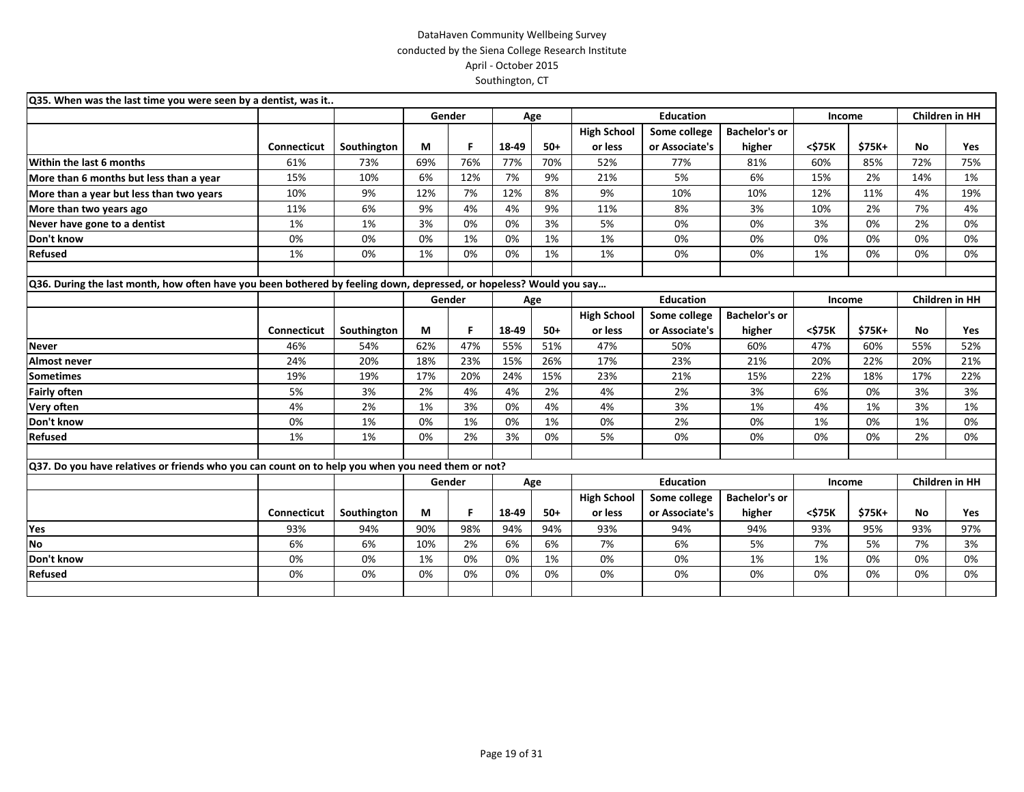| Q35. When was the last time you were seen by a dentist, was it                                                      |                    |             |        |     |       |       |                    |                  |                      |        |        |                       |     |
|---------------------------------------------------------------------------------------------------------------------|--------------------|-------------|--------|-----|-------|-------|--------------------|------------------|----------------------|--------|--------|-----------------------|-----|
|                                                                                                                     |                    |             | Gender |     | Age   |       |                    | <b>Education</b> |                      | Income |        | <b>Children in HH</b> |     |
|                                                                                                                     |                    |             |        |     |       |       | <b>High School</b> | Some college     | <b>Bachelor's or</b> |        |        |                       |     |
|                                                                                                                     | <b>Connecticut</b> | Southington | М      | F.  | 18-49 | $50+$ | or less            | or Associate's   | higher               | <\$75K | \$75K+ | No                    | Yes |
| Within the last 6 months                                                                                            | 61%                | 73%         | 69%    | 76% | 77%   | 70%   | 52%                | 77%              | 81%                  | 60%    | 85%    | 72%                   | 75% |
| More than 6 months but less than a year                                                                             | 15%                | 10%         | 6%     | 12% | 7%    | 9%    | 21%                | 5%               | 6%                   | 15%    | 2%     | 14%                   | 1%  |
| More than a year but less than two years                                                                            | 10%                | 9%          | 12%    | 7%  | 12%   | 8%    | 9%                 | 10%              | 10%                  | 12%    | 11%    | 4%                    | 19% |
| More than two years ago                                                                                             | 11%                | 6%          | 9%     | 4%  | 4%    | 9%    | 11%                | 8%               | 3%                   | 10%    | 2%     | 7%                    | 4%  |
| Never have gone to a dentist                                                                                        | 1%                 | 1%          | 3%     | 0%  | 0%    | 3%    | 5%                 | 0%               | 0%                   | 3%     | 0%     | 2%                    | 0%  |
| Don't know                                                                                                          | 0%                 | 0%          | 0%     | 1%  | 0%    | 1%    | 1%                 | 0%               | 0%                   | 0%     | 0%     | 0%                    | 0%  |
| <b>Refused</b>                                                                                                      | 1%                 | 0%          | 1%     | 0%  | 0%    | 1%    | 1%                 | 0%               | 0%                   | 1%     | 0%     | 0%                    | 0%  |
|                                                                                                                     |                    |             |        |     |       |       |                    |                  |                      |        |        |                       |     |
| Q36. During the last month, how often have you been bothered by feeling down, depressed, or hopeless? Would you say |                    |             |        |     |       |       |                    |                  |                      |        |        |                       |     |
|                                                                                                                     |                    |             | Gender |     |       | Age   |                    | <b>Education</b> |                      | Income |        | <b>Children in HH</b> |     |
|                                                                                                                     |                    |             |        |     |       |       | <b>High School</b> | Some college     | <b>Bachelor's or</b> |        |        |                       |     |
|                                                                                                                     | Connecticut        | Southington | М      | F   | 18-49 | $50+$ | or less            | or Associate's   | higher               | <\$75K | \$75K+ | No                    | Yes |
| <b>Never</b>                                                                                                        | 46%                | 54%         | 62%    | 47% | 55%   | 51%   | 47%                | 50%              | 60%                  | 47%    | 60%    | 55%                   | 52% |
| <b>Almost never</b>                                                                                                 | 24%                | 20%         | 18%    | 23% | 15%   | 26%   | 17%                | 23%              | 21%                  | 20%    | 22%    | 20%                   | 21% |
| <b>Sometimes</b>                                                                                                    | 19%                | 19%         | 17%    | 20% | 24%   | 15%   | 23%                | 21%              | 15%                  | 22%    | 18%    | 17%                   | 22% |
| <b>Fairly often</b>                                                                                                 | 5%                 | 3%          | 2%     | 4%  | 4%    | 2%    | 4%                 | 2%               | 3%                   | 6%     | 0%     | 3%                    | 3%  |
| Very often                                                                                                          | 4%                 | 2%          | 1%     | 3%  | 0%    | 4%    | 4%                 | 3%               | 1%                   | 4%     | 1%     | 3%                    | 1%  |
| Don't know                                                                                                          | 0%                 | 1%          | 0%     | 1%  | 0%    | 1%    | 0%                 | 2%               | 0%                   | 1%     | 0%     | 1%                    | 0%  |
| <b>Refused</b>                                                                                                      | 1%                 | 1%          | 0%     | 2%  | 3%    | 0%    | 5%                 | 0%               | 0%                   | 0%     | 0%     | 2%                    | 0%  |
|                                                                                                                     |                    |             |        |     |       |       |                    |                  |                      |        |        |                       |     |
| Q37. Do you have relatives or friends who you can count on to help you when you need them or not?                   |                    |             |        |     |       |       |                    |                  |                      |        |        |                       |     |
|                                                                                                                     |                    |             | Gender |     |       | Age   |                    | <b>Education</b> |                      | Income |        | Children in HH        |     |
|                                                                                                                     |                    |             |        |     |       |       | <b>High School</b> | Some college     | <b>Bachelor's or</b> |        |        |                       |     |
|                                                                                                                     | <b>Connecticut</b> | Southington | М      | F   | 18-49 | $50+$ | or less            | or Associate's   | higher               | <\$75K | \$75K+ | <b>No</b>             | Yes |
| Yes                                                                                                                 | 93%                | 94%         | 90%    | 98% | 94%   | 94%   | 93%                | 94%              | 94%                  | 93%    | 95%    | 93%                   | 97% |
| No                                                                                                                  | 6%                 | 6%          | 10%    | 2%  | 6%    | 6%    | 7%                 | 6%               | 5%                   | 7%     | 5%     | 7%                    | 3%  |
| Don't know                                                                                                          | 0%                 | 0%          | 1%     | 0%  | 0%    | 1%    | 0%                 | 0%               | 1%                   | 1%     | 0%     | 0%                    | 0%  |
| Refused                                                                                                             | 0%                 | 0%          | 0%     | 0%  | 0%    | 0%    | 0%                 | 0%               | 0%                   | 0%     | 0%     | 0%                    | 0%  |
|                                                                                                                     |                    |             |        |     |       |       |                    |                  |                      |        |        |                       |     |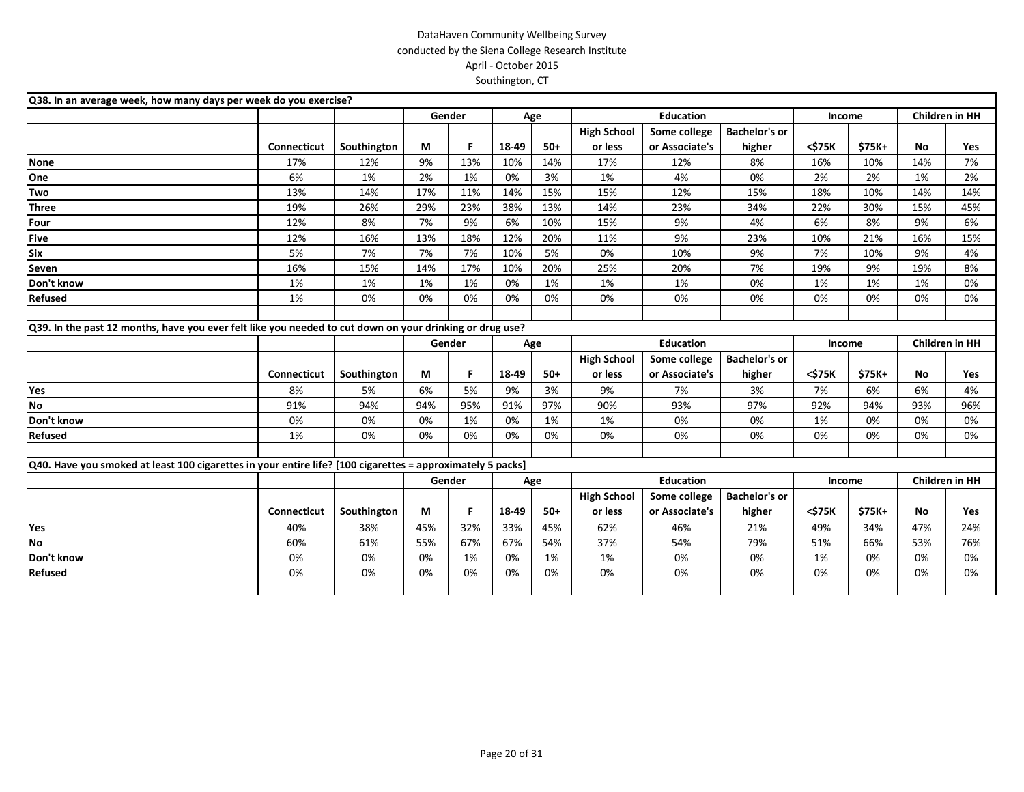| Q38. In an average week, how many days per week do you exercise?                                           |             |             |        |     |       |       |                    |                  |                      |        |        |                |     |
|------------------------------------------------------------------------------------------------------------|-------------|-------------|--------|-----|-------|-------|--------------------|------------------|----------------------|--------|--------|----------------|-----|
|                                                                                                            |             |             | Gender |     |       | Age   |                    | <b>Education</b> |                      | Income |        | Children in HH |     |
|                                                                                                            |             |             |        |     |       |       | <b>High School</b> | Some college     | <b>Bachelor's or</b> |        |        |                |     |
|                                                                                                            | Connecticut | Southington | М      | F.  | 18-49 | $50+$ | or less            | or Associate's   | higher               | <\$75K | \$75K+ | No             | Yes |
| <b>None</b>                                                                                                | 17%         | 12%         | 9%     | 13% | 10%   | 14%   | 17%                | 12%              | 8%                   | 16%    | 10%    | 14%            | 7%  |
| One                                                                                                        | 6%          | 1%          | 2%     | 1%  | 0%    | 3%    | 1%                 | 4%               | 0%                   | 2%     | 2%     | 1%             | 2%  |
| Two                                                                                                        | 13%         | 14%         | 17%    | 11% | 14%   | 15%   | 15%                | 12%              | 15%                  | 18%    | 10%    | 14%            | 14% |
| <b>Three</b>                                                                                               | 19%         | 26%         | 29%    | 23% | 38%   | 13%   | 14%                | 23%              | 34%                  | 22%    | 30%    | 15%            | 45% |
| Four                                                                                                       | 12%         | 8%          | 7%     | 9%  | 6%    | 10%   | 15%                | 9%               | 4%                   | 6%     | 8%     | 9%             | 6%  |
| <b>Five</b>                                                                                                | 12%         | 16%         | 13%    | 18% | 12%   | 20%   | 11%                | 9%               | 23%                  | 10%    | 21%    | 16%            | 15% |
| Six                                                                                                        | 5%          | 7%          | 7%     | 7%  | 10%   | 5%    | 0%                 | 10%              | 9%                   | 7%     | 10%    | 9%             | 4%  |
| Seven                                                                                                      | 16%         | 15%         | 14%    | 17% | 10%   | 20%   | 25%                | 20%              | 7%                   | 19%    | 9%     | 19%            | 8%  |
| Don't know                                                                                                 | 1%          | 1%          | 1%     | 1%  | 0%    | 1%    | 1%                 | 1%               | 0%                   | 1%     | 1%     | 1%             | 0%  |
| Refused                                                                                                    | 1%          | 0%          | 0%     | 0%  | 0%    | 0%    | 0%                 | 0%               | 0%                   | 0%     | 0%     | 0%             | 0%  |
|                                                                                                            |             |             |        |     |       |       |                    |                  |                      |        |        |                |     |
| Q39. In the past 12 months, have you ever felt like you needed to cut down on your drinking or drug use?   |             |             |        |     |       |       |                    |                  |                      |        |        |                |     |
|                                                                                                            |             |             | Gender |     |       | Age   |                    | <b>Education</b> |                      | Income |        | Children in HH |     |
|                                                                                                            |             |             |        |     |       |       | <b>High School</b> | Some college     | <b>Bachelor's or</b> |        |        |                |     |
|                                                                                                            | Connecticut | Southington | М      | F.  | 18-49 | $50+$ | or less            | or Associate's   | higher               | <\$75K | \$75K+ | <b>No</b>      | Yes |
| Yes                                                                                                        | 8%          | 5%          | 6%     | 5%  | 9%    | 3%    | 9%                 | 7%               | 3%                   | 7%     | 6%     | 6%             | 4%  |
| <b>No</b>                                                                                                  | 91%         | 94%         | 94%    | 95% | 91%   | 97%   | 90%                | 93%              | 97%                  | 92%    | 94%    | 93%            | 96% |
| Don't know                                                                                                 | 0%          | 0%          | 0%     | 1%  | 0%    | 1%    | 1%                 | 0%               | 0%                   | 1%     | 0%     | 0%             | 0%  |
| Refused                                                                                                    | 1%          | 0%          | 0%     | 0%  | 0%    | 0%    | 0%                 | 0%               | 0%                   | 0%     | 0%     | 0%             | 0%  |
|                                                                                                            |             |             |        |     |       |       |                    |                  |                      |        |        |                |     |
| Q40. Have you smoked at least 100 cigarettes in your entire life? [100 cigarettes = approximately 5 packs] |             |             |        |     |       |       |                    |                  |                      |        |        |                |     |
|                                                                                                            |             |             | Gender |     |       | Age   |                    | <b>Education</b> |                      | Income |        | Children in HH |     |
|                                                                                                            |             |             |        |     |       |       | <b>High School</b> | Some college     | <b>Bachelor's or</b> |        |        |                |     |
|                                                                                                            | Connecticut | Southington | М      | F   | 18-49 | $50+$ | or less            | or Associate's   | higher               | <\$75K | \$75K+ | No             | Yes |
| Yes                                                                                                        | 40%         | 38%         | 45%    | 32% | 33%   | 45%   | 62%                | 46%              | 21%                  | 49%    | 34%    | 47%            | 24% |
| <b>No</b>                                                                                                  | 60%         | 61%         | 55%    | 67% | 67%   | 54%   | 37%                | 54%              | 79%                  | 51%    | 66%    | 53%            | 76% |
| Don't know                                                                                                 | 0%          | 0%          | 0%     | 1%  | 0%    | 1%    | 1%                 | 0%               | 0%                   | 1%     | 0%     | 0%             | 0%  |
| Refused                                                                                                    | 0%          | 0%          | 0%     | 0%  | 0%    | 0%    | 0%                 | 0%               | 0%                   | 0%     | 0%     | 0%             | 0%  |
|                                                                                                            |             |             |        |     |       |       |                    |                  |                      |        |        |                |     |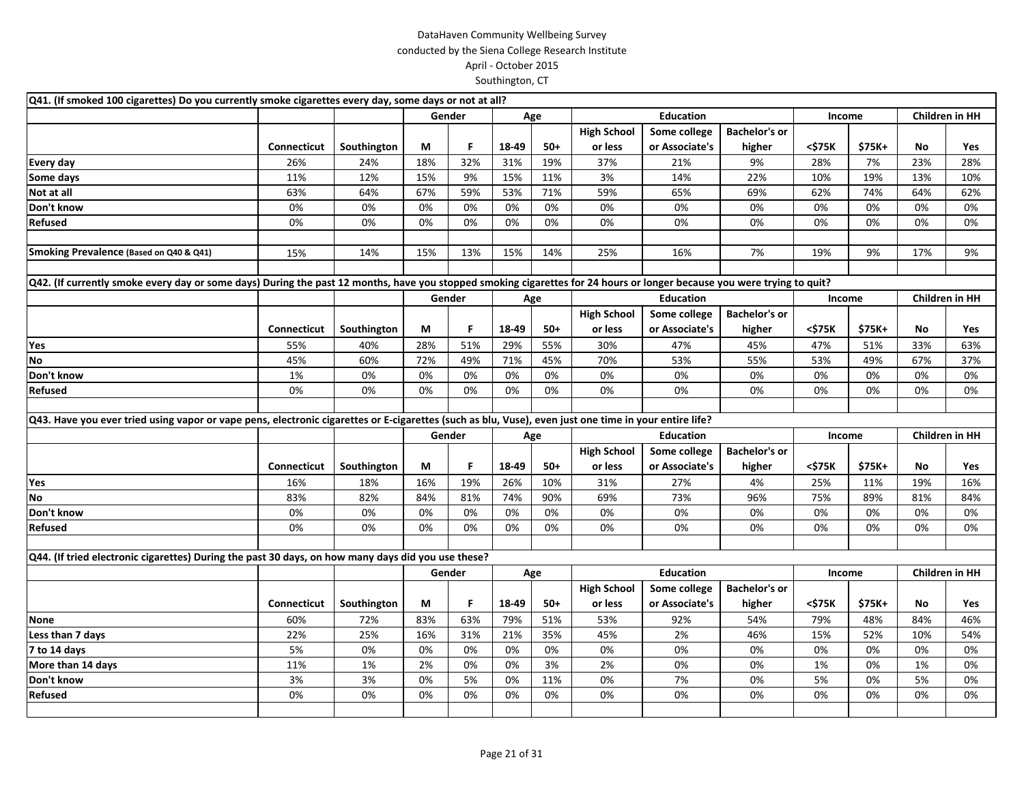| Q41. (If smoked 100 cigarettes) Do you currently smoke cigarettes every day, some days or not at all?                                                                   |                    |             |     |        |       |       |                    |                  |                      |        |        |                       |                       |
|-------------------------------------------------------------------------------------------------------------------------------------------------------------------------|--------------------|-------------|-----|--------|-------|-------|--------------------|------------------|----------------------|--------|--------|-----------------------|-----------------------|
|                                                                                                                                                                         |                    |             |     | Gender |       | Age   |                    | <b>Education</b> |                      | Income |        |                       | <b>Children in HH</b> |
|                                                                                                                                                                         |                    |             |     |        |       |       | <b>High School</b> | Some college     | <b>Bachelor's or</b> |        |        |                       |                       |
|                                                                                                                                                                         | <b>Connecticut</b> | Southington | М   | F      | 18-49 | $50+$ | or less            | or Associate's   | higher               | <\$75K | \$75K+ | No                    | Yes                   |
| <b>Every day</b>                                                                                                                                                        | 26%                | 24%         | 18% | 32%    | 31%   | 19%   | 37%                | 21%              | 9%                   | 28%    | 7%     | 23%                   | 28%                   |
| Some days                                                                                                                                                               | 11%                | 12%         | 15% | 9%     | 15%   | 11%   | 3%                 | 14%              | 22%                  | 10%    | 19%    | 13%                   | 10%                   |
| Not at all                                                                                                                                                              | 63%                | 64%         | 67% | 59%    | 53%   | 71%   | 59%                | 65%              | 69%                  | 62%    | 74%    | 64%                   | 62%                   |
| Don't know                                                                                                                                                              | 0%                 | 0%          | 0%  | 0%     | 0%    | 0%    | 0%                 | 0%               | 0%                   | 0%     | 0%     | 0%                    | 0%                    |
| Refused                                                                                                                                                                 | 0%                 | 0%          | 0%  | 0%     | 0%    | 0%    | 0%                 | 0%               | 0%                   | 0%     | 0%     | 0%                    | 0%                    |
|                                                                                                                                                                         |                    |             |     |        |       |       |                    |                  |                      |        |        |                       |                       |
| Smoking Prevalence (Based on Q40 & Q41)                                                                                                                                 | 15%                | 14%         | 15% | 13%    | 15%   | 14%   | 25%                | 16%              | 7%                   | 19%    | 9%     | 17%                   | 9%                    |
|                                                                                                                                                                         |                    |             |     |        |       |       |                    |                  |                      |        |        |                       |                       |
| Q42. (If currently smoke every day or some days) During the past 12 months, have you stopped smoking cigarettes for 24 hours or longer because you were trying to quit? |                    |             |     |        |       |       |                    |                  |                      |        |        |                       |                       |
|                                                                                                                                                                         |                    |             |     | Gender |       | Age   |                    | <b>Education</b> |                      | Income |        | <b>Children in HH</b> |                       |
|                                                                                                                                                                         |                    |             |     |        |       |       | <b>High School</b> | Some college     | <b>Bachelor's or</b> |        |        |                       |                       |
|                                                                                                                                                                         | Connecticut        | Southington | М   | F      | 18-49 | $50+$ | or less            | or Associate's   | higher               | <\$75K | \$75K+ | No                    | Yes                   |
| Yes                                                                                                                                                                     | 55%                | 40%         | 28% | 51%    | 29%   | 55%   | 30%                | 47%              | 45%                  | 47%    | 51%    | 33%                   | 63%                   |
| $\overline{N}$                                                                                                                                                          | 45%                | 60%         | 72% | 49%    | 71%   | 45%   | 70%                | 53%              | 55%                  | 53%    | 49%    | 67%                   | 37%                   |
| Don't know                                                                                                                                                              | 1%                 | 0%          | 0%  | 0%     | 0%    | 0%    | 0%                 | 0%               | 0%                   | 0%     | 0%     | 0%                    | 0%                    |
| Refused                                                                                                                                                                 | 0%                 | 0%          | 0%  | 0%     | 0%    | 0%    | 0%                 | 0%               | 0%                   | 0%     | 0%     | 0%                    | 0%                    |
|                                                                                                                                                                         |                    |             |     |        |       |       |                    |                  |                      |        |        |                       |                       |
| Q43. Have you ever tried using vapor or vape pens, electronic cigarettes or E-cigarettes (such as blu, Vuse), even just one time in your entire life?                   |                    |             |     |        |       |       |                    |                  |                      |        |        |                       |                       |
|                                                                                                                                                                         |                    |             |     | Gender |       | Age   |                    | <b>Education</b> |                      | Income |        | <b>Children in HH</b> |                       |
|                                                                                                                                                                         |                    |             |     |        |       |       | <b>High School</b> | Some college     | <b>Bachelor's or</b> |        |        |                       |                       |
|                                                                                                                                                                         | Connecticut        | Southington | М   | F      | 18-49 | $50+$ | or less            | or Associate's   | higher               | <\$75K | \$75K+ | No                    | Yes                   |
| Yes                                                                                                                                                                     | 16%                | 18%         | 16% | 19%    | 26%   | 10%   | 31%                | 27%              | 4%                   | 25%    | 11%    | 19%                   | 16%                   |
| No                                                                                                                                                                      | 83%                | 82%         | 84% | 81%    | 74%   | 90%   | 69%                | 73%              | 96%                  | 75%    | 89%    | 81%                   | 84%                   |
| Don't know                                                                                                                                                              | 0%                 | 0%          | 0%  | 0%     | 0%    | 0%    | 0%                 | 0%               | 0%                   | 0%     | 0%     | 0%                    | 0%                    |
| Refused                                                                                                                                                                 | 0%                 | 0%          | 0%  | 0%     | 0%    | 0%    | 0%                 | 0%               | 0%                   | 0%     | 0%     | 0%                    | 0%                    |
|                                                                                                                                                                         |                    |             |     |        |       |       |                    |                  |                      |        |        |                       |                       |
| Q44. (If tried electronic cigarettes) During the past 30 days, on how many days did you use these?                                                                      |                    |             |     |        |       |       |                    |                  |                      |        |        |                       |                       |
|                                                                                                                                                                         |                    |             |     | Gender |       | Age   |                    | <b>Education</b> |                      | Income |        | <b>Children in HH</b> |                       |
|                                                                                                                                                                         |                    |             |     |        |       |       | <b>High School</b> | Some college     | <b>Bachelor's or</b> |        |        |                       |                       |
|                                                                                                                                                                         | Connecticut        | Southington | М   | F      | 18-49 | $50+$ | or less            | or Associate's   | higher               | <\$75K | \$75K+ | No                    | Yes                   |
| <b>None</b>                                                                                                                                                             | 60%                | 72%         | 83% | 63%    | 79%   | 51%   | 53%                | 92%              | 54%                  | 79%    | 48%    | 84%                   | 46%                   |
| Less than 7 days                                                                                                                                                        | 22%                | 25%         | 16% | 31%    | 21%   | 35%   | 45%                | 2%               | 46%                  | 15%    | 52%    | 10%                   | 54%                   |
| 7 to 14 days                                                                                                                                                            | 5%                 | 0%          | 0%  | 0%     | 0%    | 0%    | 0%                 | 0%               | 0%                   | 0%     | 0%     | 0%                    | 0%                    |
| More than 14 days                                                                                                                                                       | 11%                | 1%          | 2%  | 0%     | 0%    | 3%    | 2%                 | 0%               | 0%                   | $1\%$  | 0%     | 1%                    | 0%                    |
| Don't know                                                                                                                                                              | 3%                 | 3%          | 0%  | 5%     | 0%    | 11%   | 0%                 | 7%               | 0%                   | 5%     | 0%     | 5%                    | 0%                    |
| Refused                                                                                                                                                                 | 0%                 | 0%          | 0%  | 0%     | 0%    | 0%    | 0%                 | 0%               | 0%                   | 0%     | 0%     | 0%                    | 0%                    |
|                                                                                                                                                                         |                    |             |     |        |       |       |                    |                  |                      |        |        |                       |                       |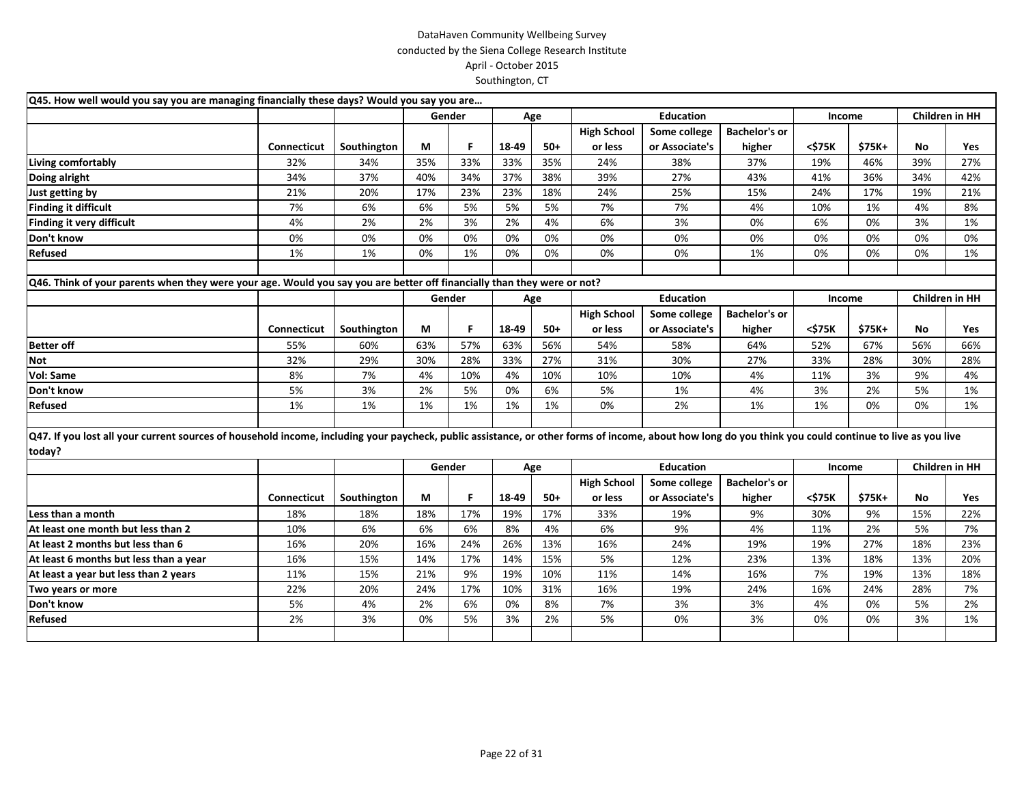| Q45. How well would you say you are managing financially these days? Would you say you are                                                                                                                        |                    |             |     |        |       |       |                               |                                |                                |        |        |     |                       |
|-------------------------------------------------------------------------------------------------------------------------------------------------------------------------------------------------------------------|--------------------|-------------|-----|--------|-------|-------|-------------------------------|--------------------------------|--------------------------------|--------|--------|-----|-----------------------|
|                                                                                                                                                                                                                   |                    |             |     | Gender | Age   |       |                               | <b>Education</b>               |                                | Income |        |     | Children in HH        |
|                                                                                                                                                                                                                   |                    |             |     |        |       |       | <b>High School</b>            | Some college                   | <b>Bachelor's or</b>           |        |        |     |                       |
|                                                                                                                                                                                                                   | <b>Connecticut</b> | Southington | М   | F.     | 18-49 | $50+$ | or less                       | or Associate's                 | higher                         | <\$75K | \$75K+ | No  | <b>Yes</b>            |
| Living comfortably                                                                                                                                                                                                | 32%                | 34%         | 35% | 33%    | 33%   | 35%   | 24%                           | 38%                            | 37%                            | 19%    | 46%    | 39% | 27%                   |
| Doing alright                                                                                                                                                                                                     | 34%                | 37%         | 40% | 34%    | 37%   | 38%   | 39%                           | 27%                            | 43%                            | 41%    | 36%    | 34% | 42%                   |
| Just getting by                                                                                                                                                                                                   | 21%                | 20%         | 17% | 23%    | 23%   | 18%   | 24%                           | 25%                            | 15%                            | 24%    | 17%    | 19% | 21%                   |
| <b>Finding it difficult</b>                                                                                                                                                                                       | 7%                 | 6%          | 6%  | 5%     | 5%    | 5%    | 7%                            | 7%                             | 4%                             | 10%    | 1%     | 4%  | 8%                    |
| Finding it very difficult                                                                                                                                                                                         | 4%                 | 2%          | 2%  | 3%     | 2%    | 4%    | 6%                            | 3%                             | 0%                             | 6%     | 0%     | 3%  | 1%                    |
| Don't know                                                                                                                                                                                                        | 0%                 | 0%          | 0%  | 0%     | 0%    | 0%    | 0%                            | 0%                             | 0%                             | 0%     | 0%     | 0%  | 0%                    |
| <b>Refused</b>                                                                                                                                                                                                    | 1%                 | 1%          | 0%  | 1%     | 0%    | 0%    | 0%                            | 0%                             | 1%                             | 0%     | 0%     | 0%  | 1%                    |
| Q46. Think of your parents when they were your age. Would you say you are better off financially than they were or not?                                                                                           |                    |             |     |        |       |       |                               |                                |                                |        |        |     |                       |
|                                                                                                                                                                                                                   |                    |             |     | Gender | Age   |       |                               | <b>Education</b>               |                                | Income |        |     | <b>Children in HH</b> |
|                                                                                                                                                                                                                   |                    |             |     |        |       |       | <b>High School</b>            | Some college                   | <b>Bachelor's or</b>           |        |        |     |                       |
|                                                                                                                                                                                                                   | <b>Connecticut</b> | Southington | М   | F      | 18-49 | $50+$ | or less                       | or Associate's                 | higher                         | <\$75K | \$75K+ | No  | Yes                   |
| <b>Better off</b>                                                                                                                                                                                                 | 55%                | 60%         | 63% | 57%    | 63%   | 56%   | 54%                           | 58%                            | 64%                            | 52%    | 67%    | 56% | 66%                   |
| <b>Not</b>                                                                                                                                                                                                        | 32%                | 29%         | 30% | 28%    | 33%   | 27%   | 31%                           | 30%                            | 27%                            | 33%    | 28%    | 30% | 28%                   |
| Vol: Same                                                                                                                                                                                                         | 8%                 | 7%          | 4%  | 10%    | 4%    | 10%   | 10%                           | 10%                            | 4%                             | 11%    | 3%     | 9%  | 4%                    |
| Don't know                                                                                                                                                                                                        | 5%                 | 3%          | 2%  | 5%     | 0%    | 6%    | 5%                            | 1%                             | 4%                             | 3%     | 2%     | 5%  | 1%                    |
| Refused                                                                                                                                                                                                           | 1%                 | 1%          | 1%  | 1%     | 1%    | 1%    | 0%                            | 2%                             | 1%                             | 1%     | 0%     | 0%  | 1%                    |
| Q47. If you lost all your current sources of household income, including your paycheck, public assistance, or other forms of income, about how long do you think you could continue to live as you live<br>today? |                    |             |     |        |       |       |                               |                                |                                |        |        |     |                       |
|                                                                                                                                                                                                                   |                    |             |     | Gender | Age   |       |                               | <b>Education</b>               |                                | Income |        |     | Children in HH        |
|                                                                                                                                                                                                                   | Connecticut        | Southington | М   | F.     | 18-49 | $50+$ | <b>High School</b><br>or less | Some college<br>or Associate's | <b>Bachelor's or</b><br>higher | <\$75K | \$75K+ | No  | <b>Yes</b>            |
| Less than a month                                                                                                                                                                                                 | 18%                | 18%         | 18% | 17%    | 19%   | 17%   | 33%                           | 19%                            | 9%                             | 30%    | 9%     | 15% | 22%                   |
| At least one month but less than 2                                                                                                                                                                                | 10%                | 6%          | 6%  | 6%     | 8%    | 4%    | 6%                            | 9%                             | 4%                             | 11%    | 2%     | 5%  | 7%                    |
| At least 2 months but less than 6                                                                                                                                                                                 | 16%                | 20%         | 16% | 24%    | 26%   | 13%   | 16%                           | 24%                            | 19%                            | 19%    | 27%    | 18% | 23%                   |
| At least 6 months but less than a year                                                                                                                                                                            | 16%                | 15%         | 14% | 17%    | 14%   | 15%   | 5%                            | 12%                            | 23%                            | 13%    | 18%    | 13% | 20%                   |
| At least a year but less than 2 years                                                                                                                                                                             | 11%                | 15%         | 21% | 9%     | 19%   | 10%   | 11%                           | 14%                            | 16%                            | 7%     | 19%    | 13% | 18%                   |
| Two years or more                                                                                                                                                                                                 | 22%                | 20%         | 24% | 17%    | 10%   | 31%   | 16%                           | 19%                            | 24%                            | 16%    | 24%    | 28% | 7%                    |
| Don't know                                                                                                                                                                                                        | 5%                 | 4%          | 2%  | 6%     | 0%    | 8%    | 7%                            | 3%                             | 3%                             | 4%     | 0%     | 5%  | 2%                    |
| Refused                                                                                                                                                                                                           | 2%                 | 3%          | 0%  | 5%     | 3%    | 2%    | 5%                            | 0%                             | 3%                             | 0%     | 0%     | 3%  | 1%                    |
|                                                                                                                                                                                                                   |                    |             |     |        |       |       |                               |                                |                                |        |        |     |                       |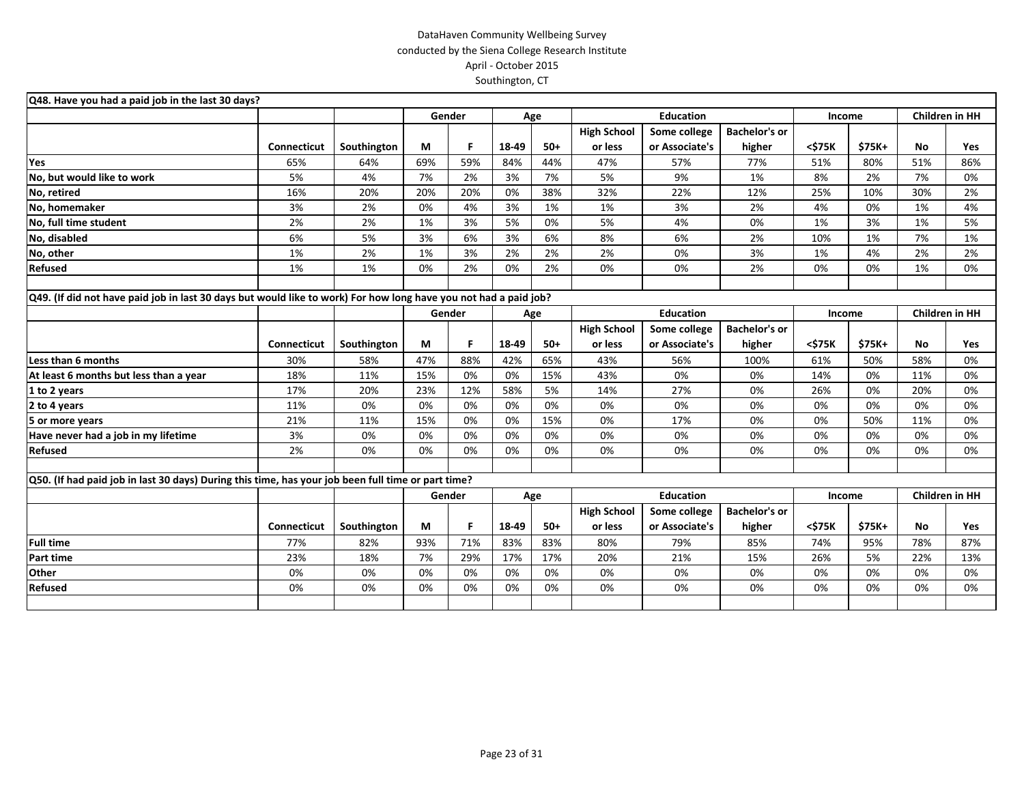| Q48. Have you had a paid job in the last 30 days?                                                                |                    |             |     |        |       |       |                    |                  |                      |        |        |                       |     |
|------------------------------------------------------------------------------------------------------------------|--------------------|-------------|-----|--------|-------|-------|--------------------|------------------|----------------------|--------|--------|-----------------------|-----|
|                                                                                                                  |                    |             |     | Gender |       | Age   |                    | <b>Education</b> |                      | Income |        | Children in HH        |     |
|                                                                                                                  |                    |             |     |        |       |       | <b>High School</b> | Some college     | <b>Bachelor's or</b> |        |        |                       |     |
|                                                                                                                  | <b>Connecticut</b> | Southington | М   | F      | 18-49 | $50+$ | or less            | or Associate's   | higher               | <\$75K | \$75K+ | <b>No</b>             | Yes |
| Yes                                                                                                              | 65%                | 64%         | 69% | 59%    | 84%   | 44%   | 47%                | 57%              | 77%                  | 51%    | 80%    | 51%                   | 86% |
| No, but would like to work                                                                                       | 5%                 | 4%          | 7%  | 2%     | 3%    | 7%    | 5%                 | 9%               | 1%                   | 8%     | 2%     | 7%                    | 0%  |
| No, retired                                                                                                      | 16%                | 20%         | 20% | 20%    | 0%    | 38%   | 32%                | 22%              | 12%                  | 25%    | 10%    | 30%                   | 2%  |
| No, homemaker                                                                                                    | 3%                 | 2%          | 0%  | 4%     | 3%    | 1%    | 1%                 | 3%               | 2%                   | 4%     | 0%     | 1%                    | 4%  |
| No, full time student                                                                                            | 2%                 | 2%          | 1%  | 3%     | 5%    | 0%    | 5%                 | 4%               | 0%                   | 1%     | 3%     | 1%                    | 5%  |
| No, disabled                                                                                                     | 6%                 | 5%          | 3%  | 6%     | 3%    | 6%    | 8%                 | 6%               | 2%                   | 10%    | 1%     | 7%                    | 1%  |
| No, other                                                                                                        | 1%                 | 2%          | 1%  | 3%     | 2%    | 2%    | 2%                 | 0%               | 3%                   | 1%     | 4%     | 2%                    | 2%  |
| Refused                                                                                                          | 1%                 | 1%          | 0%  | 2%     | 0%    | 2%    | 0%                 | 0%               | 2%                   | 0%     | 0%     | 1%                    | 0%  |
|                                                                                                                  |                    |             |     |        |       |       |                    |                  |                      |        |        |                       |     |
| Q49. (If did not have paid job in last 30 days but would like to work) For how long have you not had a paid job? |                    |             |     |        |       |       |                    |                  |                      |        |        |                       |     |
|                                                                                                                  |                    |             |     | Gender |       | Age   |                    | <b>Education</b> |                      | Income |        | <b>Children in HH</b> |     |
|                                                                                                                  |                    |             |     |        |       |       | <b>High School</b> | Some college     | <b>Bachelor's or</b> |        |        |                       |     |
|                                                                                                                  | Connecticut        | Southington | М   | F.     | 18-49 | $50+$ | or less            | or Associate's   | higher               | <\$75K | \$75K+ | No                    | Yes |
| Less than 6 months                                                                                               | 30%                | 58%         | 47% | 88%    | 42%   | 65%   | 43%                | 56%              | 100%                 | 61%    | 50%    | 58%                   | 0%  |
| At least 6 months but less than a year                                                                           | 18%                | 11%         | 15% | 0%     | 0%    | 15%   | 43%                | 0%               | 0%                   | 14%    | 0%     | 11%                   | 0%  |
| 1 to 2 years                                                                                                     | 17%                | 20%         | 23% | 12%    | 58%   | 5%    | 14%                | 27%              | 0%                   | 26%    | 0%     | 20%                   | 0%  |
| 2 to 4 years                                                                                                     | 11%                | 0%          | 0%  | 0%     | 0%    | 0%    | 0%                 | 0%               | 0%                   | 0%     | 0%     | 0%                    | 0%  |
| 5 or more years                                                                                                  | 21%                | 11%         | 15% | 0%     | 0%    | 15%   | 0%                 | 17%              | 0%                   | 0%     | 50%    | 11%                   | 0%  |
| Have never had a job in my lifetime                                                                              | 3%                 | 0%          | 0%  | 0%     | 0%    | 0%    | 0%                 | 0%               | 0%                   | 0%     | 0%     | 0%                    | 0%  |
| <b>Refused</b>                                                                                                   | 2%                 | 0%          | 0%  | 0%     | 0%    | 0%    | 0%                 | 0%               | 0%                   | 0%     | 0%     | 0%                    | 0%  |
|                                                                                                                  |                    |             |     |        |       |       |                    |                  |                      |        |        |                       |     |
| Q50. (If had paid job in last 30 days) During this time, has your job been full time or part time?               |                    |             |     |        |       |       |                    |                  |                      |        |        |                       |     |
|                                                                                                                  |                    |             |     | Gender |       | Age   |                    | <b>Education</b> |                      | Income |        | <b>Children in HH</b> |     |
|                                                                                                                  |                    |             |     |        |       |       | <b>High School</b> | Some college     | <b>Bachelor's or</b> |        |        |                       |     |
|                                                                                                                  | Connecticut        | Southington | М   | F      | 18-49 | $50+$ | or less            | or Associate's   | higher               | <\$75K | \$75K+ | <b>No</b>             | Yes |
| <b>Full time</b>                                                                                                 | 77%                | 82%         | 93% | 71%    | 83%   | 83%   | 80%                | 79%              | 85%                  | 74%    | 95%    | 78%                   | 87% |
| Part time                                                                                                        | 23%                | 18%         | 7%  | 29%    | 17%   | 17%   | 20%                | 21%              | 15%                  | 26%    | 5%     | 22%                   | 13% |
| Other                                                                                                            | 0%                 | 0%          | 0%  | 0%     | 0%    | 0%    | 0%                 | 0%               | 0%                   | 0%     | 0%     | 0%                    | 0%  |
| Refused                                                                                                          | 0%                 | 0%          | 0%  | 0%     | 0%    | 0%    | 0%                 | 0%               | 0%                   | 0%     | 0%     | 0%                    | 0%  |
|                                                                                                                  |                    |             |     |        |       |       |                    |                  |                      |        |        |                       |     |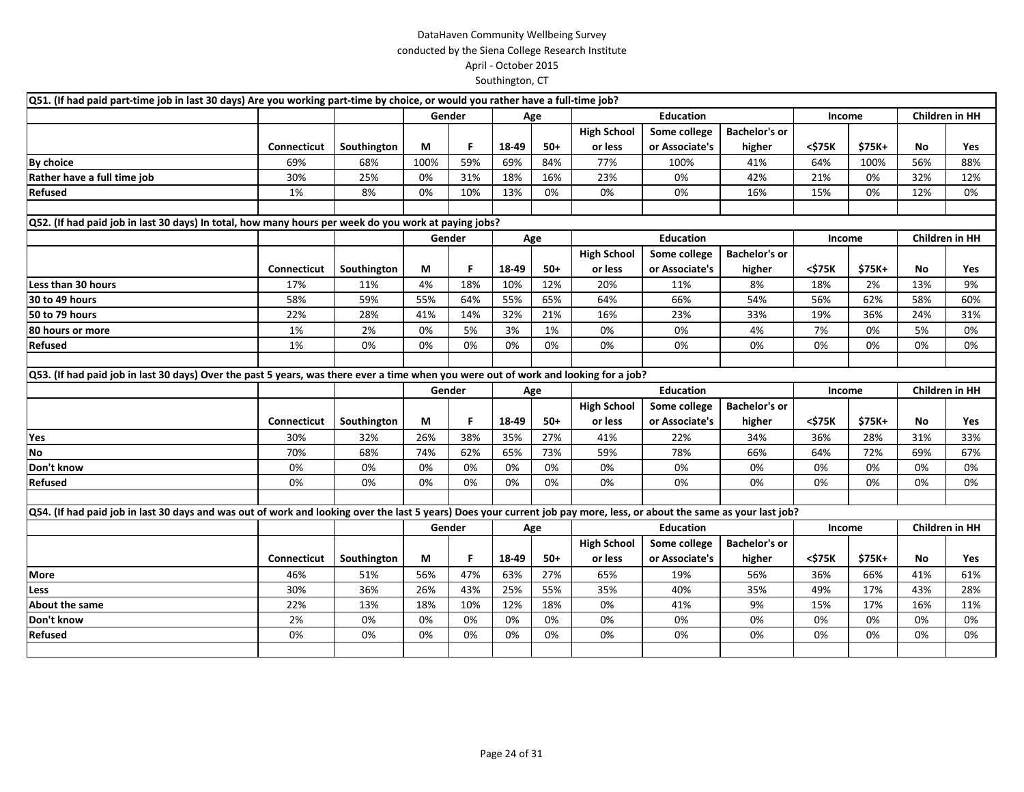| Q51. (If had paid part-time job in last 30 days) Are you working part-time by choice, or would you rather have a full-time job?                                        |                    |             |      |        |       |       |                    |                  |                      |        |        |                |                       |
|------------------------------------------------------------------------------------------------------------------------------------------------------------------------|--------------------|-------------|------|--------|-------|-------|--------------------|------------------|----------------------|--------|--------|----------------|-----------------------|
|                                                                                                                                                                        |                    |             |      | Gender |       | Age   |                    | <b>Education</b> |                      | Income |        |                | <b>Children in HH</b> |
|                                                                                                                                                                        |                    |             |      |        |       |       | <b>High School</b> | Some college     | <b>Bachelor's or</b> |        |        |                |                       |
|                                                                                                                                                                        | Connecticut        | Southington | М    | F.     | 18-49 | 50+   | or less            | or Associate's   | higher               | <\$75K | \$75K+ | No             | Yes                   |
| <b>By choice</b>                                                                                                                                                       | 69%                | 68%         | 100% | 59%    | 69%   | 84%   | 77%                | 100%             | 41%                  | 64%    | 100%   | 56%            | 88%                   |
| Rather have a full time job                                                                                                                                            | 30%                | 25%         | 0%   | 31%    | 18%   | 16%   | 23%                | 0%               | 42%                  | 21%    | 0%     | 32%            | 12%                   |
| <b>Refused</b>                                                                                                                                                         | 1%                 | 8%          | 0%   | 10%    | 13%   | 0%    | 0%                 | 0%               | 16%                  | 15%    | 0%     | 12%            | 0%                    |
|                                                                                                                                                                        |                    |             |      |        |       |       |                    |                  |                      |        |        |                |                       |
| Q52. (If had paid job in last 30 days) In total, how many hours per week do you work at paying jobs?                                                                   |                    |             |      |        |       |       |                    |                  |                      |        |        |                |                       |
|                                                                                                                                                                        |                    |             |      | Gender |       | Age   |                    | <b>Education</b> |                      | Income |        |                | <b>Children in HH</b> |
|                                                                                                                                                                        |                    |             |      |        |       |       | <b>High School</b> | Some college     | <b>Bachelor's or</b> |        |        |                |                       |
|                                                                                                                                                                        | <b>Connecticut</b> | Southington | М    | F.     | 18-49 | $50+$ | or less            | or Associate's   | higher               | <\$75K | \$75K+ | No             | Yes                   |
| Less than 30 hours                                                                                                                                                     | 17%                | 11%         | 4%   | 18%    | 10%   | 12%   | 20%                | 11%              | 8%                   | 18%    | 2%     | 13%            | 9%                    |
| 30 to 49 hours                                                                                                                                                         | 58%                | 59%         | 55%  | 64%    | 55%   | 65%   | 64%                | 66%              | 54%                  | 56%    | 62%    | 58%            | 60%                   |
| 50 to 79 hours                                                                                                                                                         | 22%                | 28%         | 41%  | 14%    | 32%   | 21%   | 16%                | 23%              | 33%                  | 19%    | 36%    | 24%            | 31%                   |
| 80 hours or more                                                                                                                                                       | 1%                 | 2%          | 0%   | 5%     | 3%    | 1%    | 0%                 | 0%               | 4%                   | 7%     | 0%     | 5%             | 0%                    |
| Refused                                                                                                                                                                | 1%                 | 0%          | 0%   | 0%     | 0%    | 0%    | 0%                 | 0%               | 0%                   | 0%     | 0%     | 0%             | 0%                    |
|                                                                                                                                                                        |                    |             |      |        |       |       |                    |                  |                      |        |        |                |                       |
| Q53. (If had paid job in last 30 days) Over the past 5 years, was there ever a time when you were out of work and looking for a job?                                   |                    |             |      |        |       |       |                    |                  |                      |        |        |                |                       |
|                                                                                                                                                                        |                    |             |      | Gender | Age   |       |                    | <b>Education</b> |                      | Income |        |                | Children in HH        |
|                                                                                                                                                                        |                    |             |      |        |       |       | <b>High School</b> | Some college     | <b>Bachelor's or</b> |        |        |                |                       |
|                                                                                                                                                                        | Connecticut        | Southington | М    | F.     | 18-49 | 50+   | or less            | or Associate's   | higher               | <\$75K | \$75K+ | No             | Yes                   |
| Yes                                                                                                                                                                    | 30%                | 32%         | 26%  | 38%    | 35%   | 27%   | 41%                | 22%              | 34%                  | 36%    | 28%    | 31%            | 33%                   |
| <b>No</b>                                                                                                                                                              | 70%                | 68%         | 74%  | 62%    | 65%   | 73%   | 59%                | 78%              | 66%                  | 64%    | 72%    | 69%            | 67%                   |
| Don't know                                                                                                                                                             | 0%                 | 0%          | 0%   | 0%     | 0%    | 0%    | 0%                 | 0%               | 0%                   | 0%     | 0%     | 0%             | 0%                    |
| Refused                                                                                                                                                                | 0%                 | 0%          | 0%   | 0%     | 0%    | 0%    | 0%                 | 0%               | 0%                   | 0%     | 0%     | 0%             | 0%                    |
|                                                                                                                                                                        |                    |             |      |        |       |       |                    |                  |                      |        |        |                |                       |
| Q54. (If had paid job in last 30 days and was out of work and looking over the last 5 years) Does your current job pay more, less, or about the same as your last job? |                    |             |      |        |       |       |                    |                  |                      |        |        |                |                       |
|                                                                                                                                                                        |                    |             |      | Gender | Age   |       |                    | <b>Education</b> |                      | Income |        | Children in HH |                       |
|                                                                                                                                                                        |                    |             |      |        |       |       | <b>High School</b> | Some college     | <b>Bachelor's or</b> |        |        |                |                       |
|                                                                                                                                                                        | <b>Connecticut</b> | Southington | М    | F      | 18-49 | $50+$ | or less            | or Associate's   | higher               | <\$75K | \$75K+ | No             | Yes                   |
| <b>More</b>                                                                                                                                                            | 46%                | 51%         | 56%  | 47%    | 63%   | 27%   | 65%                | 19%              | 56%                  | 36%    | 66%    | 41%            | 61%                   |
| Less                                                                                                                                                                   | 30%                | 36%         | 26%  | 43%    | 25%   | 55%   | 35%                | 40%              | 35%                  | 49%    | 17%    | 43%            | 28%                   |
| About the same                                                                                                                                                         | 22%                | 13%         | 18%  | 10%    | 12%   | 18%   | 0%                 | 41%              | 9%                   | 15%    | 17%    | 16%            | 11%                   |
| Don't know                                                                                                                                                             | 2%                 | 0%          | 0%   | 0%     | 0%    | 0%    | 0%                 | 0%               | 0%                   | 0%     | 0%     | 0%             | 0%                    |
| Refused                                                                                                                                                                | 0%                 | 0%          | 0%   | 0%     | 0%    | 0%    | 0%                 | 0%               | 0%                   | 0%     | 0%     | 0%             | 0%                    |
|                                                                                                                                                                        |                    |             |      |        |       |       |                    |                  |                      |        |        |                |                       |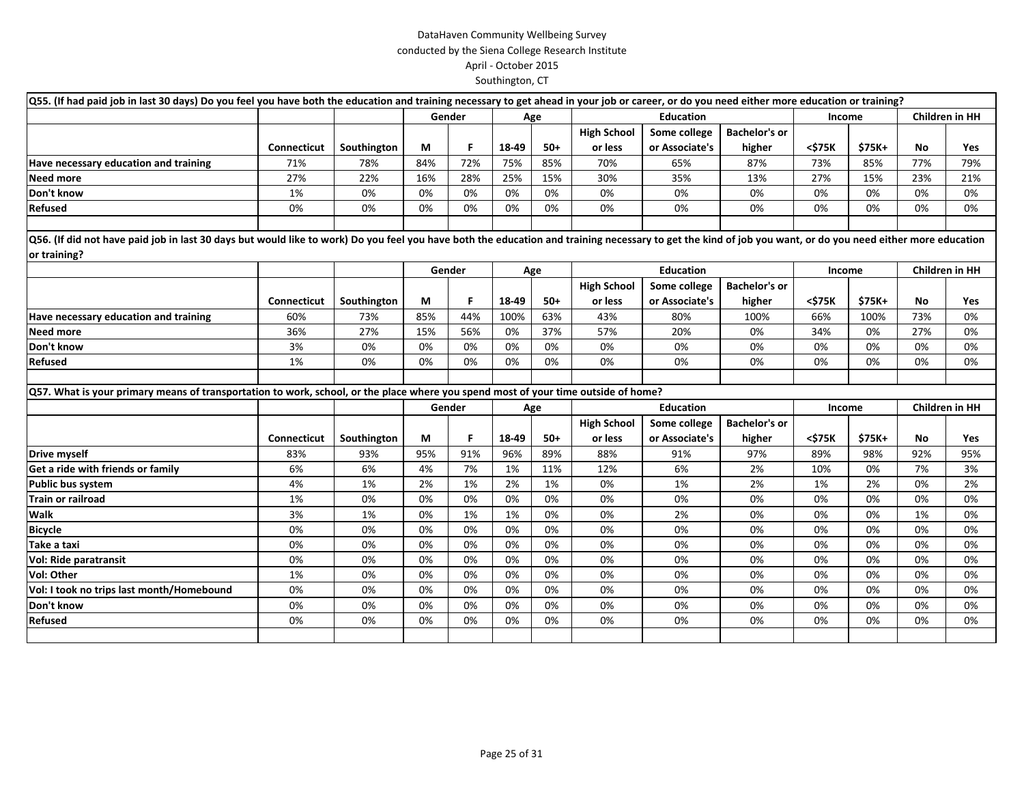| Q55. (If had paid job in last 30 days) Do you feel you have both the education and training necessary to get ahead in your job or career, or do you need either more education or training?                                 |                    |             |     |        |       |       |                    |                  |                      |        |        |                       |            |
|-----------------------------------------------------------------------------------------------------------------------------------------------------------------------------------------------------------------------------|--------------------|-------------|-----|--------|-------|-------|--------------------|------------------|----------------------|--------|--------|-----------------------|------------|
|                                                                                                                                                                                                                             |                    |             |     | Gender |       | Age   | <b>Education</b>   |                  |                      | Income |        | <b>Children in HH</b> |            |
|                                                                                                                                                                                                                             |                    |             |     |        |       |       | <b>High School</b> | Some college     | <b>Bachelor's or</b> |        |        |                       |            |
|                                                                                                                                                                                                                             | <b>Connecticut</b> | Southington | М   | F.     | 18-49 | $50+$ | or less            | or Associate's   | higher               | <\$75K | \$75K+ | No                    | <b>Yes</b> |
| Have necessary education and training                                                                                                                                                                                       | 71%                | 78%         | 84% | 72%    | 75%   | 85%   | 70%                | 65%              | 87%                  | 73%    | 85%    | 77%                   | 79%        |
| <b>Need more</b>                                                                                                                                                                                                            | 27%                | 22%         | 16% | 28%    | 25%   | 15%   | 30%                | 35%              | 13%                  | 27%    | 15%    | 23%                   | 21%        |
| Don't know                                                                                                                                                                                                                  | 1%                 | 0%          | 0%  | 0%     | 0%    | 0%    | 0%                 | 0%               | 0%                   | 0%     | 0%     | 0%                    | 0%         |
| Refused                                                                                                                                                                                                                     | 0%                 | 0%          | 0%  | 0%     | 0%    | 0%    | 0%                 | 0%               | 0%                   | 0%     | 0%     | 0%                    | 0%         |
| Q56. (If did not have paid job in last 30 days but would like to work) Do you feel you have both the education and training necessary to get the kind of job you want, or do you need either more education<br>or training? |                    |             |     |        |       |       |                    |                  |                      |        |        |                       |            |
|                                                                                                                                                                                                                             |                    |             |     | Gender |       | Age   |                    | <b>Education</b> |                      | Income |        | <b>Children in HH</b> |            |
|                                                                                                                                                                                                                             |                    |             |     |        |       |       | <b>High School</b> | Some college     | <b>Bachelor's or</b> |        |        |                       |            |
|                                                                                                                                                                                                                             | <b>Connecticut</b> | Southington | М   | F.     | 18-49 | $50+$ | or less            | or Associate's   | higher               | <\$75K | \$75K+ | No                    | <b>Yes</b> |
| Have necessary education and training                                                                                                                                                                                       | 60%                | 73%         | 85% | 44%    | 100%  | 63%   | 43%                | 80%              | 100%                 | 66%    | 100%   | 73%                   | 0%         |
| Need more                                                                                                                                                                                                                   | 36%                | 27%         | 15% | 56%    | 0%    | 37%   | 57%                | 20%              | 0%                   | 34%    | 0%     | 27%                   | 0%         |
| Don't know                                                                                                                                                                                                                  | 3%                 | 0%          | 0%  | 0%     | 0%    | 0%    | 0%                 | 0%               | 0%                   | 0%     | 0%     | 0%                    | 0%         |
| Refused                                                                                                                                                                                                                     | 1%                 | 0%          | 0%  | 0%     | 0%    | 0%    | 0%                 | 0%               | 0%                   | 0%     | 0%     | 0%                    | 0%         |
|                                                                                                                                                                                                                             |                    |             |     |        |       |       |                    |                  |                      |        |        |                       |            |
| Q57. What is your primary means of transportation to work, school, or the place where you spend most of your time outside of home?                                                                                          |                    |             |     |        |       |       |                    |                  |                      |        |        |                       |            |
|                                                                                                                                                                                                                             |                    |             |     | Gender |       | Age   |                    | <b>Education</b> |                      | Income |        | Children in HH        |            |
|                                                                                                                                                                                                                             |                    |             |     |        |       |       | <b>High School</b> | Some college     | <b>Bachelor's or</b> |        |        |                       |            |
|                                                                                                                                                                                                                             | Connecticut        | Southington | М   | F      | 18-49 | $50+$ | or less            | or Associate's   | higher               | <\$75K | \$75K+ | No                    | <b>Yes</b> |
| Drive myself                                                                                                                                                                                                                | 83%                | 93%         | 95% | 91%    | 96%   | 89%   | 88%                | 91%              | 97%                  | 89%    | 98%    | 92%                   | 95%        |
| Get a ride with friends or family                                                                                                                                                                                           | 6%                 | 6%          | 4%  | 7%     | 1%    | 11%   | 12%                | 6%               | 2%                   | 10%    | 0%     | 7%                    | 3%         |
| Public bus system                                                                                                                                                                                                           | 4%                 | 1%          | 2%  | 1%     | 2%    | 1%    | 0%                 | 1%               | 2%                   | 1%     | 2%     | 0%                    | 2%         |
| <b>Train or railroad</b>                                                                                                                                                                                                    | 1%                 | 0%          | 0%  | 0%     | 0%    | 0%    | 0%                 | 0%               | 0%                   | 0%     | 0%     | 0%                    | 0%         |
| Walk                                                                                                                                                                                                                        | 3%                 | 1%          | 0%  | 1%     | 1%    | 0%    | 0%                 | 2%               | 0%                   | 0%     | 0%     | 1%                    | 0%         |
| <b>Bicycle</b>                                                                                                                                                                                                              | 0%                 | 0%          | 0%  | 0%     | 0%    | 0%    | 0%                 | 0%               | 0%                   | 0%     | 0%     | 0%                    | 0%         |
| Take a taxi                                                                                                                                                                                                                 | 0%                 | 0%          | 0%  | 0%     | 0%    | 0%    | 0%                 | 0%               | 0%                   | 0%     | 0%     | 0%                    | 0%         |
| Vol: Ride paratransit                                                                                                                                                                                                       | 0%                 | 0%          | 0%  | 0%     | 0%    | 0%    | 0%                 | 0%               | 0%                   | 0%     | 0%     | 0%                    | 0%         |
| Vol: Other                                                                                                                                                                                                                  | 1%                 | 0%          | 0%  | 0%     | 0%    | 0%    | 0%                 | 0%               | 0%                   | 0%     | 0%     | 0%                    | 0%         |
| Vol: I took no trips last month/Homebound                                                                                                                                                                                   | 0%                 | 0%          | 0%  | 0%     | 0%    | 0%    | 0%                 | 0%               | 0%                   | 0%     | 0%     | 0%                    | 0%         |
| Don't know                                                                                                                                                                                                                  | 0%                 | 0%          | 0%  | 0%     | 0%    | 0%    | 0%                 | 0%               | 0%                   | 0%     | 0%     | 0%                    | 0%         |
| <b>Refused</b>                                                                                                                                                                                                              | 0%                 | 0%          | 0%  | 0%     | 0%    | 0%    | 0%                 | 0%               | 0%                   | 0%     | 0%     | 0%                    | 0%         |
|                                                                                                                                                                                                                             |                    |             |     |        |       |       |                    |                  |                      |        |        |                       |            |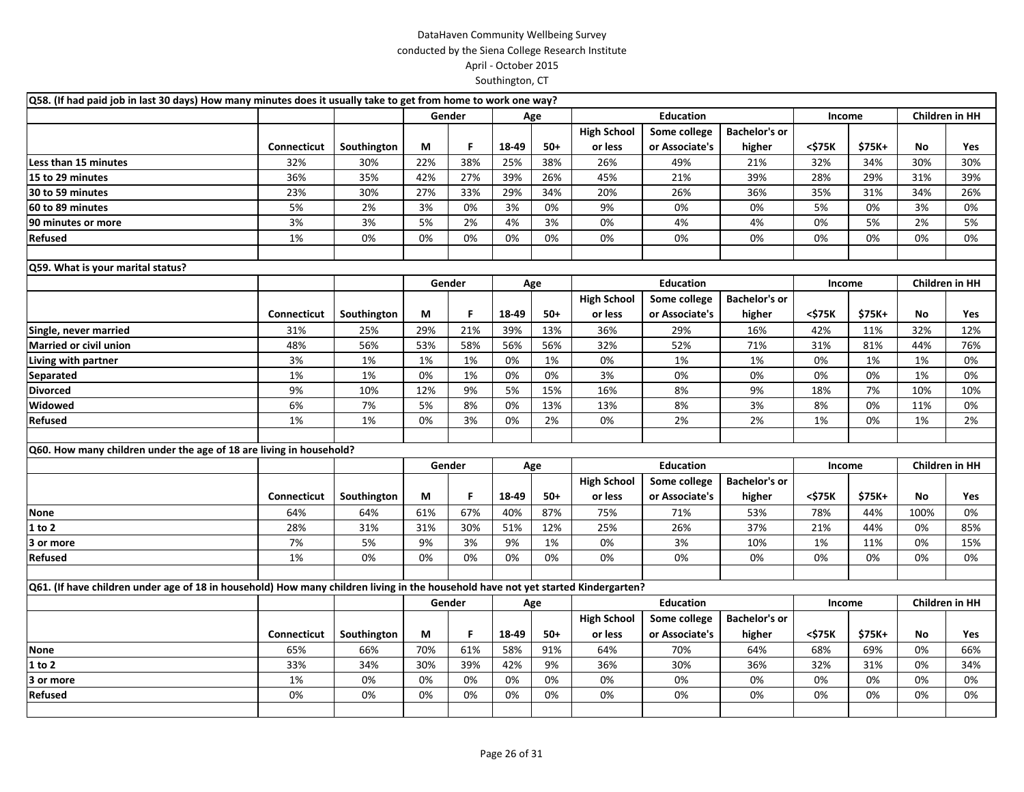| Q58. (If had paid job in last 30 days) How many minutes does it usually take to get from home to work one way?                    |                    |             |     |        |       |       |                    |                  |                      |        |        |                |                       |
|-----------------------------------------------------------------------------------------------------------------------------------|--------------------|-------------|-----|--------|-------|-------|--------------------|------------------|----------------------|--------|--------|----------------|-----------------------|
|                                                                                                                                   |                    |             |     | Gender |       | Age   | <b>Education</b>   |                  |                      | Income |        |                | <b>Children in HH</b> |
|                                                                                                                                   |                    |             |     |        |       |       | <b>High School</b> | Some college     | <b>Bachelor's or</b> |        |        |                |                       |
|                                                                                                                                   | Connecticut        | Southington | M   | F      | 18-49 | $50+$ | or less            | or Associate's   | higher               | <\$75K | \$75K+ | No             | Yes                   |
| Less than 15 minutes                                                                                                              | 32%                | 30%         | 22% | 38%    | 25%   | 38%   | 26%                | 49%              | 21%                  | 32%    | 34%    | 30%            | 30%                   |
| 15 to 29 minutes                                                                                                                  | 36%                | 35%         | 42% | 27%    | 39%   | 26%   | 45%                | 21%              | 39%                  | 28%    | 29%    | 31%            | 39%                   |
| 30 to 59 minutes                                                                                                                  | 23%                | 30%         | 27% | 33%    | 29%   | 34%   | 20%                | 26%              | 36%                  | 35%    | 31%    | 34%            | 26%                   |
| 60 to 89 minutes                                                                                                                  | 5%                 | 2%          | 3%  | 0%     | 3%    | 0%    | 9%                 | 0%               | 0%                   | 5%     | 0%     | 3%             | 0%                    |
| 90 minutes or more                                                                                                                | 3%                 | 3%          | 5%  | 2%     | 4%    | 3%    | 0%                 | 4%               | 4%                   | 0%     | 5%     | 2%             | 5%                    |
| Refused                                                                                                                           | 1%                 | 0%          | 0%  | 0%     | 0%    | 0%    | 0%                 | 0%               | 0%                   | 0%     | 0%     | 0%             | 0%                    |
|                                                                                                                                   |                    |             |     |        |       |       |                    |                  |                      |        |        |                |                       |
| Q59. What is your marital status?                                                                                                 |                    |             |     |        |       |       |                    |                  |                      |        |        |                |                       |
|                                                                                                                                   |                    |             |     | Gender |       | Age   | <b>Education</b>   |                  |                      | Income |        | Children in HH |                       |
|                                                                                                                                   |                    |             |     |        |       |       | <b>High School</b> | Some college     | <b>Bachelor's or</b> |        |        |                |                       |
|                                                                                                                                   | Connecticut        | Southington | М   | F      | 18-49 | $50+$ | or less            | or Associate's   | higher               | <\$75K | \$75K+ | No             | Yes                   |
| Single, never married                                                                                                             | 31%                | 25%         | 29% | 21%    | 39%   | 13%   | 36%                | 29%              | 16%                  | 42%    | 11%    | 32%            | 12%                   |
| <b>Married or civil union</b>                                                                                                     | 48%                | 56%         | 53% | 58%    | 56%   | 56%   | 32%                | 52%              | 71%                  | 31%    | 81%    | 44%            | 76%                   |
| Living with partner                                                                                                               | 3%                 | 1%          | 1%  | 1%     | 0%    | 1%    | 0%                 | 1%               | 1%                   | 0%     | 1%     | 1%             | 0%                    |
| <b>Separated</b>                                                                                                                  | 1%                 | 1%          | 0%  | 1%     | 0%    | 0%    | 3%                 | 0%               | 0%                   | 0%     | 0%     | 1%             | 0%                    |
| <b>Divorced</b>                                                                                                                   | 9%                 | 10%         | 12% | 9%     | 5%    | 15%   | 16%                | 8%               | 9%                   | 18%    | 7%     | 10%            | 10%                   |
| Widowed                                                                                                                           | 6%                 | 7%          | 5%  | 8%     | 0%    | 13%   | 13%                | 8%               | 3%                   | 8%     | 0%     | 11%            | 0%                    |
| Refused                                                                                                                           | 1%                 | 1%          | 0%  | 3%     | 0%    | 2%    | 0%                 | 2%               | 2%                   | 1%     | 0%     | 1%             | 2%                    |
|                                                                                                                                   |                    |             |     |        |       |       |                    |                  |                      |        |        |                |                       |
| Q60. How many children under the age of 18 are living in household?                                                               |                    |             |     |        |       |       |                    |                  |                      |        |        |                |                       |
|                                                                                                                                   |                    |             |     | Gender |       | Age   |                    | <b>Education</b> |                      | Income |        |                | <b>Children in HH</b> |
|                                                                                                                                   |                    |             |     |        |       |       | <b>High School</b> | Some college     | <b>Bachelor's or</b> |        |        |                |                       |
|                                                                                                                                   | <b>Connecticut</b> | Southington | М   | F      | 18-49 | $50+$ | or less            | or Associate's   | higher               | <\$75K | \$75K+ | No             | Yes                   |
| None                                                                                                                              | 64%                | 64%         | 61% | 67%    | 40%   | 87%   | 75%                | 71%              | 53%                  | 78%    | 44%    | 100%           | 0%                    |
| 1 to 2                                                                                                                            | 28%                | 31%         | 31% | 30%    | 51%   | 12%   | 25%                | 26%              | 37%                  | 21%    | 44%    | 0%             | 85%                   |
| 3 or more                                                                                                                         | 7%                 | 5%          | 9%  | 3%     | 9%    | 1%    | 0%                 | 3%               | 10%                  | 1%     | 11%    | 0%             | 15%                   |
| Refused                                                                                                                           | 1%                 | 0%          | 0%  | 0%     | 0%    | 0%    | 0%                 | 0%               | 0%                   | 0%     | 0%     | 0%             | 0%                    |
|                                                                                                                                   |                    |             |     |        |       |       |                    |                  |                      |        |        |                |                       |
| Q61. (If have children under age of 18 in household) How many children living in the household have not yet started Kindergarten? |                    |             |     |        |       |       |                    |                  |                      |        |        |                |                       |
|                                                                                                                                   |                    |             |     | Gender |       | Age   |                    | <b>Education</b> |                      | Income |        |                | <b>Children in HH</b> |
|                                                                                                                                   |                    |             |     |        |       |       | <b>High School</b> | Some college     | <b>Bachelor's or</b> |        |        |                |                       |
|                                                                                                                                   | Connecticut        | Southington | М   | F      | 18-49 | $50+$ | or less            | or Associate's   | higher               | <\$75K | \$75K+ | No             | Yes                   |
| None                                                                                                                              | 65%                | 66%         | 70% | 61%    | 58%   | 91%   | 64%                | 70%              | 64%                  | 68%    | 69%    | 0%             | 66%                   |
| 1 to 2                                                                                                                            | 33%                | 34%         | 30% | 39%    | 42%   | 9%    | 36%                | 30%              | 36%                  | 32%    | 31%    | 0%             | 34%                   |
| 3 or more                                                                                                                         | 1%                 | 0%          | 0%  | 0%     | 0%    | 0%    | 0%                 | 0%               | 0%                   | 0%     | 0%     | 0%             | 0%                    |
| Refused                                                                                                                           | 0%                 | 0%          | 0%  | 0%     | 0%    | 0%    | 0%                 | 0%               | 0%                   | 0%     | 0%     | 0%             | 0%                    |
|                                                                                                                                   |                    |             |     |        |       |       |                    |                  |                      |        |        |                |                       |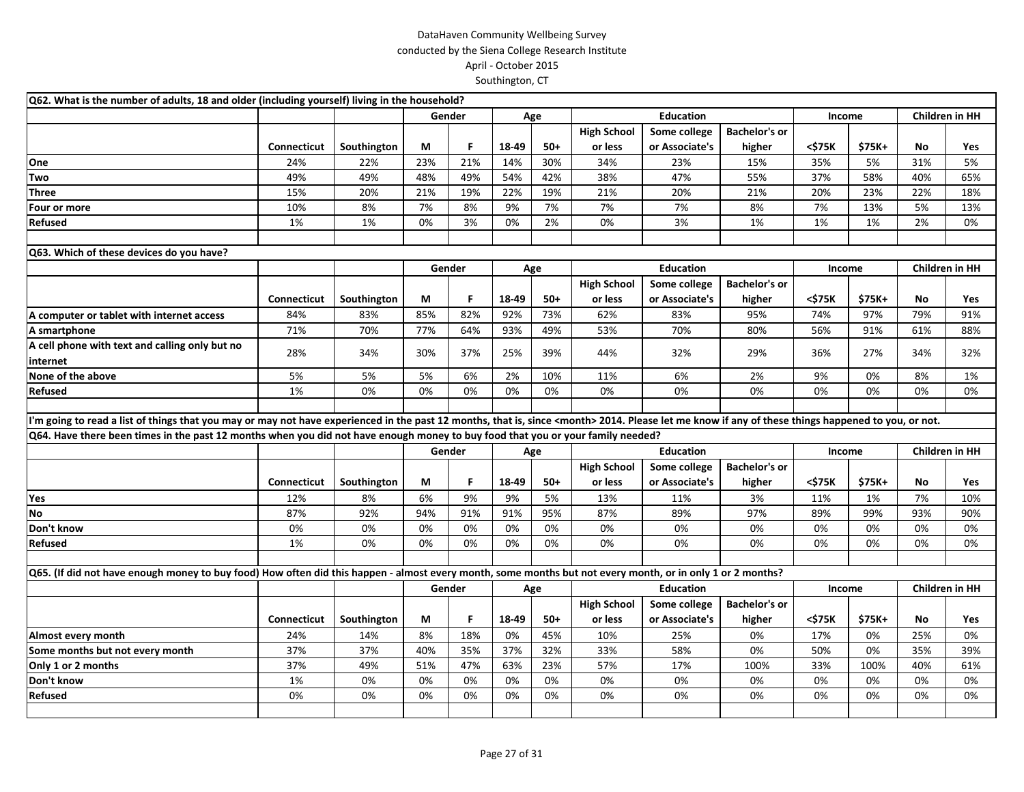| Q62. What is the number of adults, 18 and older (including yourself) living in the household?                                                                                                              |             |             |     |        |       |       |                    |                  |                      |        |        |                       |                       |
|------------------------------------------------------------------------------------------------------------------------------------------------------------------------------------------------------------|-------------|-------------|-----|--------|-------|-------|--------------------|------------------|----------------------|--------|--------|-----------------------|-----------------------|
|                                                                                                                                                                                                            |             |             |     | Gender |       | Age   |                    | <b>Education</b> |                      | Income |        |                       | Children in HH        |
|                                                                                                                                                                                                            |             |             |     |        |       |       | <b>High School</b> | Some college     | <b>Bachelor's or</b> |        |        |                       |                       |
|                                                                                                                                                                                                            | Connecticut | Southington | М   | F      | 18-49 | $50+$ | or less            | or Associate's   | higher               | <\$75K | \$75K+ | No                    | Yes                   |
| One                                                                                                                                                                                                        | 24%         | 22%         | 23% | 21%    | 14%   | 30%   | 34%                | 23%              | 15%                  | 35%    | 5%     | 31%                   | 5%                    |
| Two                                                                                                                                                                                                        | 49%         | 49%         | 48% | 49%    | 54%   | 42%   | 38%                | 47%              | 55%                  | 37%    | 58%    | 40%                   | 65%                   |
| <b>Three</b>                                                                                                                                                                                               | 15%         | 20%         | 21% | 19%    | 22%   | 19%   | 21%                | 20%              | 21%                  | 20%    | 23%    | 22%                   | 18%                   |
| Four or more                                                                                                                                                                                               | 10%         | 8%          | 7%  | 8%     | 9%    | 7%    | 7%                 | 7%               | 8%                   | 7%     | 13%    | 5%                    | 13%                   |
| Refused                                                                                                                                                                                                    | 1%          | 1%          | 0%  | 3%     | 0%    | 2%    | 0%                 | 3%               | 1%                   | 1%     | 1%     | 2%                    | 0%                    |
|                                                                                                                                                                                                            |             |             |     |        |       |       |                    |                  |                      |        |        |                       |                       |
| Q63. Which of these devices do you have?                                                                                                                                                                   |             |             |     |        |       |       |                    |                  |                      |        |        |                       |                       |
|                                                                                                                                                                                                            |             |             |     | Gender |       | Age   |                    | <b>Education</b> |                      | Income |        | <b>Children in HH</b> |                       |
|                                                                                                                                                                                                            |             |             |     |        |       |       | <b>High School</b> | Some college     | <b>Bachelor's or</b> |        |        |                       |                       |
|                                                                                                                                                                                                            | Connecticut | Southington | М   | F      | 18-49 | $50+$ | or less            | or Associate's   | higher               | <\$75K | \$75K+ | No                    | Yes                   |
| A computer or tablet with internet access                                                                                                                                                                  | 84%         | 83%         | 85% | 82%    | 92%   | 73%   | 62%                | 83%              | 95%                  | 74%    | 97%    | 79%                   | 91%                   |
| A smartphone                                                                                                                                                                                               | 71%         | 70%         | 77% | 64%    | 93%   | 49%   | 53%                | 70%              | 80%                  | 56%    | 91%    | 61%                   | 88%                   |
| A cell phone with text and calling only but no                                                                                                                                                             |             |             |     |        |       |       |                    |                  |                      |        |        |                       |                       |
| internet                                                                                                                                                                                                   | 28%         | 34%         | 30% | 37%    | 25%   | 39%   | 44%                | 32%              | 29%                  | 36%    | 27%    | 34%                   | 32%                   |
| None of the above                                                                                                                                                                                          | 5%          | 5%          | 5%  | 6%     | 2%    | 10%   | 11%                | 6%               | 2%                   | 9%     | 0%     | 8%                    | 1%                    |
| Refused                                                                                                                                                                                                    | 1%          | 0%          | 0%  | 0%     | 0%    | 0%    | 0%                 | 0%               | 0%                   | 0%     | 0%     | 0%                    | 0%                    |
|                                                                                                                                                                                                            |             |             |     |        |       |       |                    |                  |                      |        |        |                       |                       |
| I'm going to read a list of things that you may or may not have experienced in the past 12 months, that is, since <month> 2014. Please let me know if any of these things happened to you, or not.</month> |             |             |     |        |       |       |                    |                  |                      |        |        |                       |                       |
| Q64. Have there been times in the past 12 months when you did not have enough money to buy food that you or your family needed?                                                                            |             |             |     |        |       |       |                    |                  |                      |        |        |                       |                       |
|                                                                                                                                                                                                            |             |             |     | Gender |       | Age   |                    |                  | Income               |        |        | Children in HH        |                       |
|                                                                                                                                                                                                            |             |             |     |        |       |       | <b>High School</b> | Some college     | <b>Bachelor's or</b> |        |        |                       |                       |
|                                                                                                                                                                                                            | Connecticut | Southington | М   | F      | 18-49 | $50+$ | or less            | or Associate's   | higher               | <\$75K | \$75K+ | No                    | Yes                   |
| Yes                                                                                                                                                                                                        | 12%         | 8%          | 6%  | 9%     | 9%    | 5%    | 13%                | 11%              | 3%                   | 11%    | 1%     | 7%                    | 10%                   |
| No                                                                                                                                                                                                         | 87%         | 92%         | 94% | 91%    | 91%   | 95%   | 87%                | 89%              | 97%                  | 89%    | 99%    | 93%                   | 90%                   |
| Don't know                                                                                                                                                                                                 | 0%          | 0%          | 0%  | 0%     | 0%    | 0%    | 0%                 | 0%               | 0%                   | 0%     | 0%     | 0%                    | 0%                    |
| <b>Refused</b>                                                                                                                                                                                             | 1%          | 0%          | 0%  | 0%     | 0%    | 0%    | 0%                 | 0%               | 0%                   | 0%     | 0%     | 0%                    | 0%                    |
|                                                                                                                                                                                                            |             |             |     |        |       |       |                    |                  |                      |        |        |                       |                       |
| Q65. (If did not have enough money to buy food) How often did this happen - almost every month, some months but not every month, or in only 1 or 2 months?                                                 |             |             |     |        |       |       |                    |                  |                      |        |        |                       |                       |
|                                                                                                                                                                                                            |             |             |     | Gender |       | Age   |                    | <b>Education</b> |                      | Income |        |                       | <b>Children in HH</b> |
|                                                                                                                                                                                                            |             |             |     |        |       |       | <b>High School</b> | Some college     | <b>Bachelor's or</b> |        |        |                       |                       |
|                                                                                                                                                                                                            | Connecticut | Southington | М   | F      | 18-49 | $50+$ | or less            | or Associate's   | higher               | <\$75K | \$75K+ | No                    | Yes                   |
| Almost every month                                                                                                                                                                                         | 24%         | 14%         | 8%  | 18%    | 0%    | 45%   | 10%                | 25%              | 0%                   | 17%    | 0%     | 25%                   | 0%                    |
| Some months but not every month                                                                                                                                                                            | 37%         | 37%         | 40% | 35%    | 37%   | 32%   | 33%                | 58%              | 0%                   | 50%    | 0%     | 35%                   | 39%                   |
| Only 1 or 2 months                                                                                                                                                                                         | 37%         | 49%         | 51% | 47%    | 63%   | 23%   | 57%                | 17%              | 100%                 | 33%    | 100%   | 40%                   | 61%                   |
| Don't know                                                                                                                                                                                                 | 1%          | 0%          | 0%  | 0%     | 0%    | 0%    | 0%                 | 0%               | 0%                   | 0%     | 0%     | 0%                    | 0%                    |
| Refused                                                                                                                                                                                                    | 0%          | 0%          | 0%  | 0%     | 0%    | 0%    | 0%                 | 0%               | 0%                   | 0%     | 0%     | 0%                    | 0%                    |
|                                                                                                                                                                                                            |             |             |     |        |       |       |                    |                  |                      |        |        |                       |                       |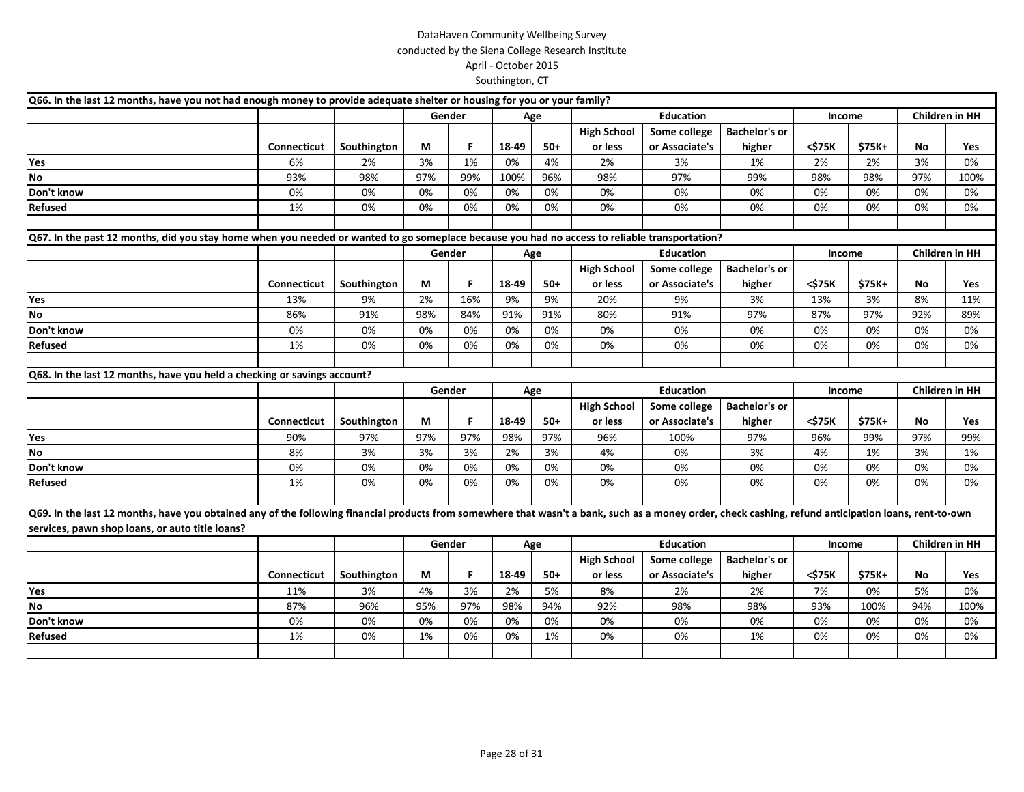| Q66. In the last 12 months, have you not had enough money to provide adequate shelter or housing for you or your family?                                                                              |                    |             |               |        |       |                  |                    |                  |                      |        |                |                |                |
|-------------------------------------------------------------------------------------------------------------------------------------------------------------------------------------------------------|--------------------|-------------|---------------|--------|-------|------------------|--------------------|------------------|----------------------|--------|----------------|----------------|----------------|
|                                                                                                                                                                                                       |                    |             | Gender<br>Age |        |       |                  | <b>Education</b>   |                  | Income               |        |                | Children in HH |                |
|                                                                                                                                                                                                       |                    |             |               |        |       |                  | <b>High School</b> | Some college     | <b>Bachelor's or</b> |        |                |                |                |
|                                                                                                                                                                                                       | <b>Connecticut</b> | Southington | М             | F.     | 18-49 | $50+$            | or less            | or Associate's   | higher               | <\$75K | \$75K+         | <b>No</b>      | Yes            |
| Yes                                                                                                                                                                                                   | 6%                 | 2%          | 3%            | 1%     | 0%    | 4%               | 2%                 | 3%               | 1%                   | 2%     | 2%             | 3%             | 0%             |
| <b>No</b>                                                                                                                                                                                             | 93%                | 98%         | 97%           | 99%    | 100%  | 96%              | 98%                | 97%              | 99%                  | 98%    | 98%            | 97%            | 100%           |
| Don't know                                                                                                                                                                                            | 0%                 | 0%          | 0%            | 0%     | 0%    | 0%               | 0%                 | 0%               | 0%                   | 0%     | 0%             | 0%             | 0%             |
| <b>Refused</b>                                                                                                                                                                                        | 1%                 | 0%          | 0%            | 0%     | 0%    | 0%               | 0%                 | 0%               | 0%                   | 0%     | 0%             | 0%             | 0%             |
|                                                                                                                                                                                                       |                    |             |               |        |       |                  |                    |                  |                      |        |                |                |                |
| Q67. In the past 12 months, did you stay home when you needed or wanted to go someplace because you had no access to reliable transportation?                                                         |                    |             |               |        |       |                  |                    |                  |                      |        |                |                |                |
|                                                                                                                                                                                                       |                    |             |               | Gender |       | Age              |                    | <b>Education</b> |                      | Income |                | Children in HH |                |
|                                                                                                                                                                                                       |                    |             |               |        |       |                  | <b>High School</b> | Some college     | <b>Bachelor's or</b> |        |                |                |                |
|                                                                                                                                                                                                       | <b>Connecticut</b> | Southington | М             | F.     | 18-49 | $50+$            | or less            | or Associate's   | higher               | <\$75K | \$75K+         | No             | Yes            |
| Yes                                                                                                                                                                                                   | 13%                | 9%          | 2%            | 16%    | 9%    | 9%               | 20%                | 9%               | 3%                   | 13%    | 3%             | 8%             | 11%            |
| No                                                                                                                                                                                                    | 86%                | 91%         | 98%           | 84%    | 91%   | 91%              | 80%                | 91%              | 97%                  | 87%    | 97%            | 92%            | 89%            |
| Don't know                                                                                                                                                                                            | 0%                 | 0%          | 0%            | 0%     | 0%    | 0%               | 0%                 | 0%               | 0%                   | 0%     | 0%             | 0%             | 0%             |
| <b>Refused</b>                                                                                                                                                                                        | 1%                 | 0%          | 0%            | 0%     | 0%    | 0%               | 0%                 | 0%               | 0%                   | 0%     | 0%             | 0%             | 0%             |
|                                                                                                                                                                                                       |                    |             |               |        |       |                  |                    |                  |                      |        |                |                |                |
| Q68. In the last 12 months, have you held a checking or savings account?                                                                                                                              |                    |             |               |        |       |                  |                    |                  |                      |        |                |                |                |
|                                                                                                                                                                                                       |                    |             | Gender<br>Age |        |       | <b>Education</b> |                    | Income           |                      |        | Children in HH |                |                |
|                                                                                                                                                                                                       |                    |             |               |        |       |                  | <b>High School</b> | Some college     | <b>Bachelor's or</b> |        |                |                |                |
|                                                                                                                                                                                                       | <b>Connecticut</b> | Southington | М             | F.     | 18-49 | $50+$            | or less            | or Associate's   | higher               | <\$75K | \$75K+         | No             | Yes            |
| Yes                                                                                                                                                                                                   | 90%                | 97%         | 97%           | 97%    | 98%   | 97%              | 96%                | 100%             | 97%                  | 96%    | 99%            | 97%            | 99%            |
| <b>No</b>                                                                                                                                                                                             | 8%                 | 3%          | 3%            | 3%     | 2%    |                  |                    |                  |                      |        |                |                |                |
| Don't know                                                                                                                                                                                            |                    |             |               |        |       | 3%               | 4%                 | 0%               | 3%                   | 4%     | 1%             | 3%             | 1%             |
|                                                                                                                                                                                                       | 0%                 | 0%          | 0%            | 0%     | 0%    | 0%               | 0%                 | 0%               | 0%                   | 0%     | 0%             | 0%             | 0%             |
| <b>Refused</b>                                                                                                                                                                                        | 1%                 | 0%          | 0%            | 0%     | 0%    | 0%               | 0%                 | 0%               | 0%                   | 0%     | 0%             | 0%             | 0%             |
|                                                                                                                                                                                                       |                    |             |               |        |       |                  |                    |                  |                      |        |                |                |                |
| Q69. In the last 12 months, have you obtained any of the following financial products from somewhere that wasn't a bank, such as a money order, check cashing, refund anticipation loans, rent-to-own |                    |             |               |        |       |                  |                    |                  |                      |        |                |                |                |
| services, pawn shop loans, or auto title loans?                                                                                                                                                       |                    |             |               |        |       |                  |                    |                  |                      |        |                |                |                |
|                                                                                                                                                                                                       |                    |             |               | Gender |       | Age              |                    | <b>Education</b> |                      | Income |                |                | Children in HH |
|                                                                                                                                                                                                       |                    |             |               |        |       |                  | <b>High School</b> | Some college     | <b>Bachelor's or</b> |        |                |                |                |
|                                                                                                                                                                                                       | <b>Connecticut</b> | Southington | М             | F      | 18-49 | $50+$            | or less            | or Associate's   | higher               | <\$75K | \$75K+         | No             | Yes            |
| Yes                                                                                                                                                                                                   | 11%                | 3%          | 4%            | 3%     | 2%    | 5%               | 8%                 | 2%               | 2%                   | 7%     | 0%             | 5%             | 0%             |
| <b>No</b>                                                                                                                                                                                             | 87%                | 96%         | 95%           | 97%    | 98%   | 94%              | 92%                | 98%              | 98%                  | 93%    | 100%           | 94%            | 100%           |
| Don't know                                                                                                                                                                                            | 0%                 | 0%          | 0%            | 0%     | 0%    | 0%               | 0%                 | 0%               | 0%                   | 0%     | 0%             | 0%             | 0%             |
| Refused                                                                                                                                                                                               | 1%                 | 0%          | 1%            | 0%     | 0%    | 1%               | 0%                 | 0%               | 1%                   | 0%     | 0%             | 0%             | 0%             |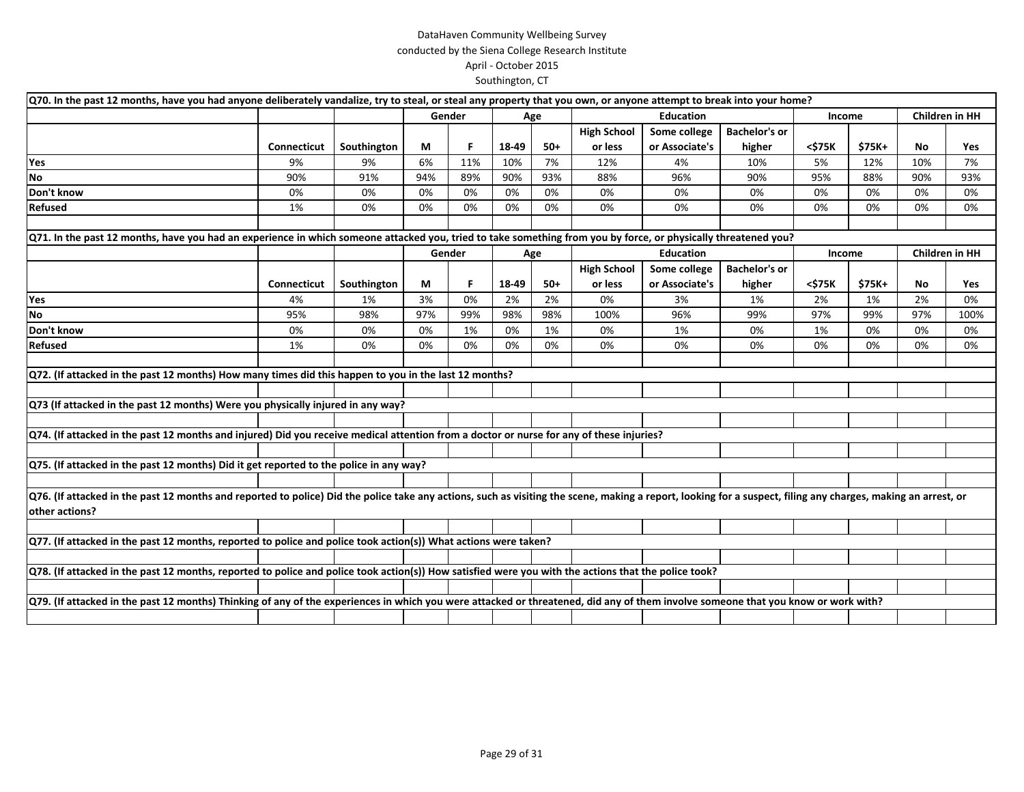| Q70. In the past 12 months, have you had anyone deliberately vandalize, try to steal, or steal any property that you own, or anyone attempt to break into your home?                                                            |                    |             |     |        |       |       |                    |                  |                      |        |        |                       |                       |
|---------------------------------------------------------------------------------------------------------------------------------------------------------------------------------------------------------------------------------|--------------------|-------------|-----|--------|-------|-------|--------------------|------------------|----------------------|--------|--------|-----------------------|-----------------------|
|                                                                                                                                                                                                                                 |                    |             |     | Gender |       | Age   | <b>Education</b>   |                  |                      | Income |        |                       | <b>Children in HH</b> |
|                                                                                                                                                                                                                                 |                    |             |     |        |       |       | <b>High School</b> | Some college     | <b>Bachelor's or</b> |        |        |                       |                       |
|                                                                                                                                                                                                                                 | <b>Connecticut</b> | Southington | М   | F      | 18-49 | $50+$ | or less            | or Associate's   | higher               | <\$75K | \$75K+ | No                    | Yes                   |
| Yes                                                                                                                                                                                                                             | 9%                 | 9%          | 6%  | 11%    | 10%   | 7%    | 12%                | 4%               | 10%                  | 5%     | 12%    | 10%                   | 7%                    |
| <b>No</b>                                                                                                                                                                                                                       | 90%                | 91%         | 94% | 89%    | 90%   | 93%   | 88%                | 96%              | 90%                  | 95%    | 88%    | 90%                   | 93%                   |
| Don't know                                                                                                                                                                                                                      | 0%                 | 0%          | 0%  | 0%     | 0%    | 0%    | 0%                 | 0%               | 0%                   | 0%     | 0%     | 0%                    | 0%                    |
| <b>Refused</b>                                                                                                                                                                                                                  | 1%                 | 0%          | 0%  | 0%     | 0%    | 0%    | 0%                 | 0%               | 0%                   | 0%     | 0%     | 0%                    | 0%                    |
|                                                                                                                                                                                                                                 |                    |             |     |        |       |       |                    |                  |                      |        |        |                       |                       |
| Q71. In the past 12 months, have you had an experience in which someone attacked you, tried to take something from you by force, or physically threatened you?                                                                  |                    |             |     |        |       |       |                    |                  |                      |        |        |                       |                       |
|                                                                                                                                                                                                                                 |                    |             |     | Gender |       | Age   |                    | <b>Education</b> |                      | Income |        | <b>Children in HH</b> |                       |
|                                                                                                                                                                                                                                 |                    |             |     |        |       |       | <b>High School</b> | Some college     | <b>Bachelor's or</b> |        |        |                       |                       |
|                                                                                                                                                                                                                                 | Connecticut        | Southington | М   | F      | 18-49 | 50+   | or less            | or Associate's   | higher               | <\$75K | \$75K+ | No                    | Yes                   |
| Yes                                                                                                                                                                                                                             | 4%                 | 1%          | 3%  | 0%     | 2%    | 2%    | 0%                 | 3%               | 1%                   | 2%     | 1%     | 2%                    | 0%                    |
| No                                                                                                                                                                                                                              | 95%                | 98%         | 97% | 99%    | 98%   | 98%   | 100%               | 96%              | 99%                  | 97%    | 99%    | 97%                   | 100%                  |
| Don't know                                                                                                                                                                                                                      | 0%                 | 0%          | 0%  | 1%     | 0%    | 1%    | 0%                 | 1%               | 0%                   | 1%     | 0%     | 0%                    | 0%                    |
| Refused                                                                                                                                                                                                                         | 1%                 | 0%          | 0%  | 0%     | 0%    | 0%    | 0%                 | 0%               | 0%                   | 0%     | 0%     | 0%                    | 0%                    |
|                                                                                                                                                                                                                                 |                    |             |     |        |       |       |                    |                  |                      |        |        |                       |                       |
| Q72. (If attacked in the past 12 months) How many times did this happen to you in the last 12 months?                                                                                                                           |                    |             |     |        |       |       |                    |                  |                      |        |        |                       |                       |
|                                                                                                                                                                                                                                 |                    |             |     |        |       |       |                    |                  |                      |        |        |                       |                       |
| Q73 (If attacked in the past 12 months) Were you physically injured in any way?                                                                                                                                                 |                    |             |     |        |       |       |                    |                  |                      |        |        |                       |                       |
|                                                                                                                                                                                                                                 |                    |             |     |        |       |       |                    |                  |                      |        |        |                       |                       |
| Q74. (If attacked in the past 12 months and injured) Did you receive medical attention from a doctor or nurse for any of these injuries?                                                                                        |                    |             |     |        |       |       |                    |                  |                      |        |        |                       |                       |
|                                                                                                                                                                                                                                 |                    |             |     |        |       |       |                    |                  |                      |        |        |                       |                       |
| Q75. (If attacked in the past 12 months) Did it get reported to the police in any way?                                                                                                                                          |                    |             |     |        |       |       |                    |                  |                      |        |        |                       |                       |
|                                                                                                                                                                                                                                 |                    |             |     |        |       |       |                    |                  |                      |        |        |                       |                       |
| Q76. (If attacked in the past 12 months and reported to police) Did the police take any actions, such as visiting the scene, making a report, looking for a suspect, filing any charges, making an arrest, or<br>other actions? |                    |             |     |        |       |       |                    |                  |                      |        |        |                       |                       |
|                                                                                                                                                                                                                                 |                    |             |     |        |       |       |                    |                  |                      |        |        |                       |                       |
| Q77. (If attacked in the past 12 months, reported to police and police took action(s)) What actions were taken?                                                                                                                 |                    |             |     |        |       |       |                    |                  |                      |        |        |                       |                       |
|                                                                                                                                                                                                                                 |                    |             |     |        |       |       |                    |                  |                      |        |        |                       |                       |
| Q78. (If attacked in the past 12 months, reported to police and police took action(s)) How satisfied were you with the actions that the police took?                                                                            |                    |             |     |        |       |       |                    |                  |                      |        |        |                       |                       |
|                                                                                                                                                                                                                                 |                    |             |     |        |       |       |                    |                  |                      |        |        |                       |                       |
| Q79. (If attacked in the past 12 months) Thinking of any of the experiences in which you were attacked or threatened, did any of them involve someone that you know or work with?                                               |                    |             |     |        |       |       |                    |                  |                      |        |        |                       |                       |
|                                                                                                                                                                                                                                 |                    |             |     |        |       |       |                    |                  |                      |        |        |                       |                       |
|                                                                                                                                                                                                                                 |                    |             |     |        |       |       |                    |                  |                      |        |        |                       |                       |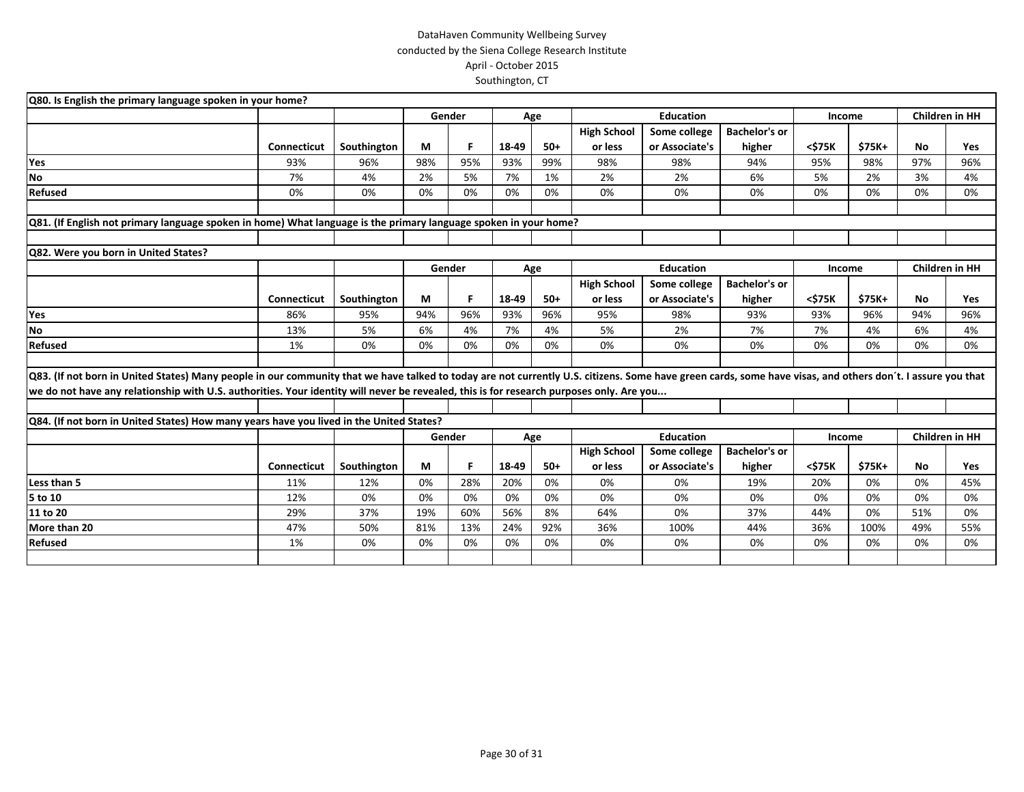| Q80. Is English the primary language spoken in your home?                                                                                                                                                                                                                                                                                              |                    |             |        |                                   |       |       |                    |                  |                      |        |                       |                       |                       |  |
|--------------------------------------------------------------------------------------------------------------------------------------------------------------------------------------------------------------------------------------------------------------------------------------------------------------------------------------------------------|--------------------|-------------|--------|-----------------------------------|-------|-------|--------------------|------------------|----------------------|--------|-----------------------|-----------------------|-----------------------|--|
|                                                                                                                                                                                                                                                                                                                                                        |                    |             |        | Gender<br><b>Education</b><br>Age |       |       |                    | Income           |                      |        | <b>Children in HH</b> |                       |                       |  |
|                                                                                                                                                                                                                                                                                                                                                        |                    |             |        |                                   |       |       | <b>High School</b> | Some college     | <b>Bachelor's or</b> |        |                       |                       |                       |  |
|                                                                                                                                                                                                                                                                                                                                                        | Connecticut        | Southington | М      | F                                 | 18-49 | $50+$ | or less            | or Associate's   | higher               | <\$75K | \$75K+                | <b>No</b>             | Yes                   |  |
| Yes                                                                                                                                                                                                                                                                                                                                                    | 93%                | 96%         | 98%    | 95%                               | 93%   | 99%   | 98%                | 98%              | 94%                  | 95%    | 98%                   | 97%                   | 96%                   |  |
| <b>No</b>                                                                                                                                                                                                                                                                                                                                              | 7%                 | 4%          | 2%     | 5%                                | 7%    | 1%    | 2%                 | 2%               | 6%                   | 5%     | 2%                    | 3%                    | 4%                    |  |
| Refused                                                                                                                                                                                                                                                                                                                                                | 0%                 | 0%          | 0%     | 0%                                | 0%    | 0%    | 0%                 | 0%               | 0%                   | 0%     | 0%                    | 0%                    | 0%                    |  |
| Q81. (If English not primary language spoken in home) What language is the primary language spoken in your home?                                                                                                                                                                                                                                       |                    |             |        |                                   |       |       |                    |                  |                      |        |                       |                       |                       |  |
| Q82. Were you born in United States?                                                                                                                                                                                                                                                                                                                   |                    |             |        |                                   |       |       |                    |                  |                      |        |                       |                       |                       |  |
|                                                                                                                                                                                                                                                                                                                                                        |                    |             | Gender |                                   |       | Age   |                    | <b>Education</b> |                      | Income |                       | <b>Children in HH</b> |                       |  |
|                                                                                                                                                                                                                                                                                                                                                        |                    |             |        |                                   |       |       | <b>High School</b> | Some college     | <b>Bachelor's or</b> |        |                       |                       |                       |  |
|                                                                                                                                                                                                                                                                                                                                                        | <b>Connecticut</b> | Southington | М      | F                                 | 18-49 | $50+$ | or less            | or Associate's   | higher               | <\$75K | \$75K+                | <b>No</b>             | Yes                   |  |
| Yes                                                                                                                                                                                                                                                                                                                                                    | 86%                | 95%         | 94%    | 96%                               | 93%   | 96%   | 95%                | 98%              | 93%                  | 93%    | 96%                   | 94%                   | 96%                   |  |
| <b>No</b>                                                                                                                                                                                                                                                                                                                                              | 13%                | 5%          | 6%     | 4%                                | 7%    | 4%    | 5%                 | 2%               | 7%                   | 7%     | 4%                    | 6%                    | 4%                    |  |
| Refused                                                                                                                                                                                                                                                                                                                                                | 1%                 | 0%          | 0%     | 0%                                | 0%    | 0%    | 0%                 | 0%               | 0%                   | 0%     | 0%                    | 0%                    | 0%                    |  |
| Q83. (If not born in United States) Many people in our community that we have talked to today are not currently U.S. citizens. Some have green cards, some have visas, and others don't. I assure you that<br>we do not have any relationship with U.S. authorities. Your identity will never be revealed, this is for research purposes only. Are you |                    |             |        |                                   |       |       |                    |                  |                      |        |                       |                       |                       |  |
| Q84. (If not born in United States) How many years have you lived in the United States?                                                                                                                                                                                                                                                                |                    |             |        |                                   |       |       |                    |                  |                      |        |                       |                       |                       |  |
|                                                                                                                                                                                                                                                                                                                                                        |                    |             |        | Gender                            |       | Age   |                    | <b>Education</b> |                      | Income |                       |                       | <b>Children in HH</b> |  |
|                                                                                                                                                                                                                                                                                                                                                        |                    |             |        |                                   |       |       | <b>High School</b> | Some college     | <b>Bachelor's or</b> |        |                       |                       |                       |  |
|                                                                                                                                                                                                                                                                                                                                                        | Connecticut        | Southington | М      | F.                                | 18-49 | $50+$ | or less            | or Associate's   | higher               | <\$75K | \$75K+                | No                    | Yes                   |  |
| Less than 5                                                                                                                                                                                                                                                                                                                                            | 11%                | 12%         | 0%     | 28%                               | 20%   | 0%    | 0%                 | 0%               | 19%                  | 20%    | 0%                    | 0%                    | 45%                   |  |
| 5 to 10                                                                                                                                                                                                                                                                                                                                                | 12%                | 0%          | 0%     | 0%                                | 0%    | 0%    | 0%                 | 0%               | 0%                   | 0%     | 0%                    | 0%                    | 0%                    |  |
| 11 to 20                                                                                                                                                                                                                                                                                                                                               | 29%                | 37%         | 19%    | 60%                               | 56%   | 8%    | 64%                | 0%               | 37%                  | 44%    | 0%                    | 51%                   | 0%                    |  |
| More than 20                                                                                                                                                                                                                                                                                                                                           | 47%                | 50%         | 81%    | 13%                               | 24%   | 92%   | 36%                | 100%             | 44%                  | 36%    | 100%                  | 49%                   | 55%                   |  |
| <b>Refused</b>                                                                                                                                                                                                                                                                                                                                         | 1%                 | 0%          | 0%     | 0%                                | 0%    | 0%    | 0%                 | 0%               | 0%                   | 0%     | 0%                    | 0%                    | 0%                    |  |
|                                                                                                                                                                                                                                                                                                                                                        |                    |             |        |                                   |       |       |                    |                  |                      |        |                       |                       |                       |  |